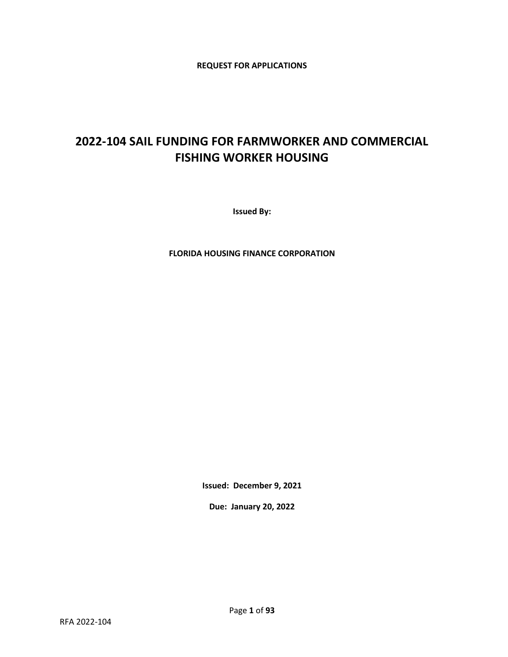**REQUEST FOR APPLICATIONS** 

# **2022-104 SAIL FUNDING FOR FARMWORKER AND COMMERCIAL FISHING WORKER HOUSING**

**Issued By:**

**FLORIDA HOUSING FINANCE CORPORATION**

**Issued: December 9, 2021**

**Due: January 20, 2022**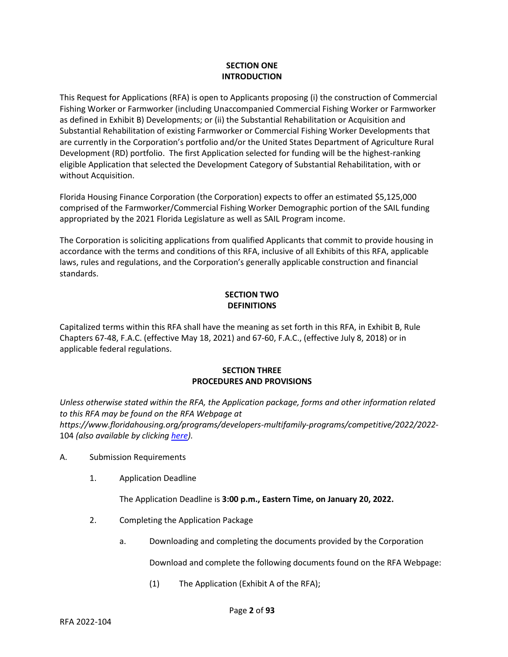# **SECTION ONE INTRODUCTION**

This Request for Applications (RFA) is open to Applicants proposing (i) the construction of Commercial Fishing Worker or Farmworker (including Unaccompanied Commercial Fishing Worker or Farmworker as defined in Exhibit B) Developments; or (ii) the Substantial Rehabilitation or Acquisition and Substantial Rehabilitation of existing Farmworker or Commercial Fishing Worker Developments that are currently in the Corporation's portfolio and/or the United States Department of Agriculture Rural Development (RD) portfolio. The first Application selected for funding will be the highest-ranking eligible Application that selected the Development Category of Substantial Rehabilitation, with or without Acquisition.

Florida Housing Finance Corporation (the Corporation) expects to offer an estimated \$5,125,000 comprised of the Farmworker/Commercial Fishing Worker Demographic portion of the SAIL funding appropriated by the 2021 Florida Legislature as well as SAIL Program income.

The Corporation is soliciting applications from qualified Applicants that commit to provide housing in accordance with the terms and conditions of this RFA, inclusive of all Exhibits of this RFA, applicable laws, rules and regulations, and the Corporation's generally applicable construction and financial standards.

# **SECTION TWO DEFINITIONS**

Capitalized terms within this RFA shall have the meaning as set forth in this RFA, in Exhibit B, Rule Chapters 67-48, F.A.C. (effective May 18, 2021) and 67-60, F.A.C., (effective July 8, 2018) or in applicable federal regulations.

# **SECTION THREE PROCEDURES AND PROVISIONS**

*Unless otherwise stated within the RFA, the Application package, forms and other information related to this RFA may be found on the RFA Webpage at https://www.floridahousing.org/programs/developers-multifamily-programs/competitive/2022/2022-* 104 *(also available by clickin[g here\)](https://www.floridahousing.org/programs/developers-multifamily-programs/competitive/2022/2022-104).*

- A. Submission Requirements
	- 1. Application Deadline

The Application Deadline is **3:00 p.m., Eastern Time, on January 20, 2022.**

- 2. Completing the Application Package
	- a. Downloading and completing the documents provided by the Corporation

Download and complete the following documents found on the RFA Webpage:

(1) The Application (Exhibit A of the RFA);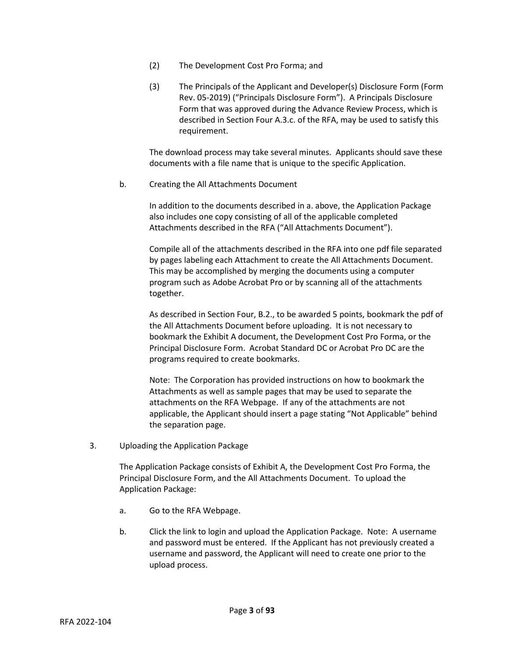- (2) The Development Cost Pro Forma; and
- (3) The Principals of the Applicant and Developer(s) Disclosure Form (Form Rev. 05-2019) ("Principals Disclosure Form"). A Principals Disclosure Form that was approved during the Advance Review Process, which is described in Section Four A.3.c. of the RFA, may be used to satisfy this requirement.

The download process may take several minutes. Applicants should save these documents with a file name that is unique to the specific Application.

b. Creating the All Attachments Document

In addition to the documents described in a. above, the Application Package also includes one copy consisting of all of the applicable completed Attachments described in the RFA ("All Attachments Document").

Compile all of the attachments described in the RFA into one pdf file separated by pages labeling each Attachment to create the All Attachments Document. This may be accomplished by merging the documents using a computer program such as Adobe Acrobat Pro or by scanning all of the attachments together.

As described in Section Four, B.2., to be awarded 5 points, bookmark the pdf of the All Attachments Document before uploading. It is not necessary to bookmark the Exhibit A document, the Development Cost Pro Forma, or the Principal Disclosure Form. Acrobat Standard DC or Acrobat Pro DC are the programs required to create bookmarks.

Note: The Corporation has provided instructions on how to bookmark the Attachments as well as sample pages that may be used to separate the attachments on the RFA Webpage. If any of the attachments are not applicable, the Applicant should insert a page stating "Not Applicable" behind the separation page.

3. Uploading the Application Package

The Application Package consists of Exhibit A, the Development Cost Pro Forma, the Principal Disclosure Form, and the All Attachments Document. To upload the Application Package:

- a. Go to the RFA Webpage.
- b. Click the link to login and upload the Application Package. Note: A username and password must be entered. If the Applicant has not previously created a username and password, the Applicant will need to create one prior to the upload process.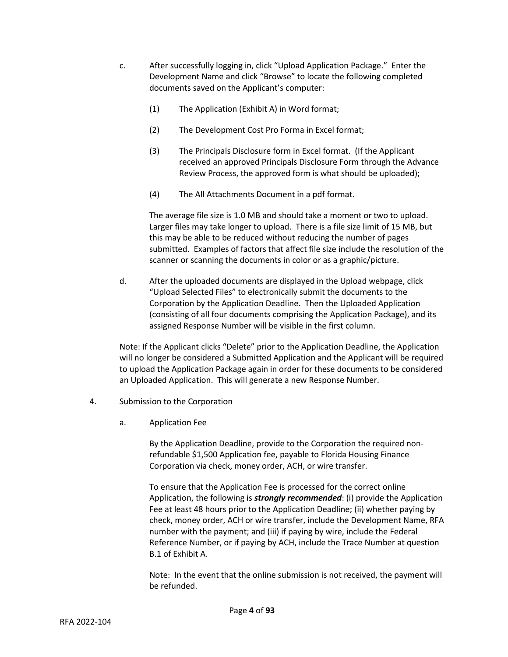- c. After successfully logging in, click "Upload Application Package." Enter the Development Name and click "Browse" to locate the following completed documents saved on the Applicant's computer:
	- (1) The Application (Exhibit A) in Word format;
	- (2) The Development Cost Pro Forma in Excel format;
	- (3) The Principals Disclosure form in Excel format. (If the Applicant received an approved Principals Disclosure Form through the Advance Review Process, the approved form is what should be uploaded);
	- (4) The All Attachments Document in a pdf format.

The average file size is 1.0 MB and should take a moment or two to upload. Larger files may take longer to upload. There is a file size limit of 15 MB, but this may be able to be reduced without reducing the number of pages submitted. Examples of factors that affect file size include the resolution of the scanner or scanning the documents in color or as a graphic/picture.

d. After the uploaded documents are displayed in the Upload webpage, click "Upload Selected Files" to electronically submit the documents to the Corporation by the Application Deadline. Then the Uploaded Application (consisting of all four documents comprising the Application Package), and its assigned Response Number will be visible in the first column.

Note: If the Applicant clicks "Delete" prior to the Application Deadline, the Application will no longer be considered a Submitted Application and the Applicant will be required to upload the Application Package again in order for these documents to be considered an Uploaded Application. This will generate a new Response Number.

- 4. Submission to the Corporation
	- a. Application Fee

By the Application Deadline, provide to the Corporation the required nonrefundable \$1,500 Application fee, payable to Florida Housing Finance Corporation via check, money order, ACH, or wire transfer.

To ensure that the Application Fee is processed for the correct online Application, the following is *strongly recommended*: (i) provide the Application Fee at least 48 hours prior to the Application Deadline; (ii) whether paying by check, money order, ACH or wire transfer, include the Development Name, RFA number with the payment; and (iii) if paying by wire, include the Federal Reference Number, or if paying by ACH, include the Trace Number at question B.1 of Exhibit A.

Note: In the event that the online submission is not received, the payment will be refunded.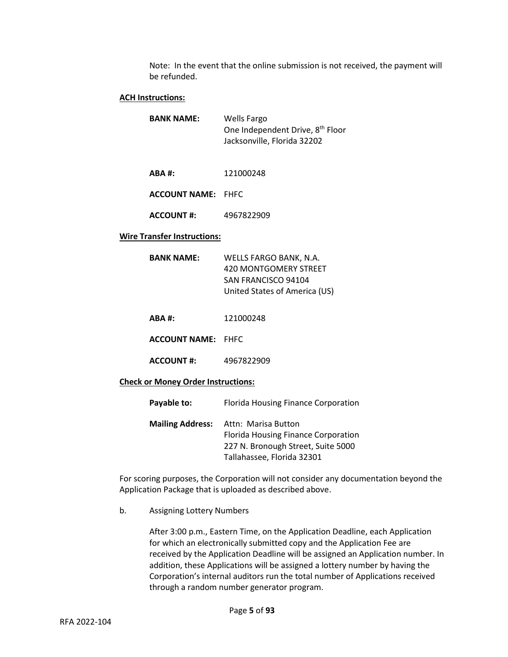Note: In the event that the online submission is not received, the payment will be refunded.

# **ACH Instructions:**

| <b>BANK NAME:</b> | Wells Fargo                                  |
|-------------------|----------------------------------------------|
|                   | One Independent Drive, 8 <sup>th</sup> Floor |
|                   | Jacksonville, Florida 32202                  |

**ABA #:** 121000248

**ACCOUNT NAME:** FHFC

**ACCOUNT #:** 4967822909

#### **Wire Transfer Instructions:**

| BANK NAME: | WELLS FARGO BANK, N.A.        |  |  |
|------------|-------------------------------|--|--|
|            | 420 MONTGOMERY STREET         |  |  |
|            | SAN FRANCISCO 94104           |  |  |
|            | United States of America (US) |  |  |

**ABA #:** 121000248

**ACCOUNT NAME:** FHFC

**ACCOUNT #:** 4967822909

#### **Check or Money Order Instructions:**

| Payable to:             | Florida Housing Finance Corporation                                                                                            |
|-------------------------|--------------------------------------------------------------------------------------------------------------------------------|
| <b>Mailing Address:</b> | Attn: Marisa Button<br>Florida Housing Finance Corporation<br>227 N. Bronough Street, Suite 5000<br>Tallahassee, Florida 32301 |

For scoring purposes, the Corporation will not consider any documentation beyond the Application Package that is uploaded as described above.

b. Assigning Lottery Numbers

After 3:00 p.m., Eastern Time, on the Application Deadline, each Application for which an electronically submitted copy and the Application Fee are received by the Application Deadline will be assigned an Application number. In addition, these Applications will be assigned a lottery number by having the Corporation's internal auditors run the total number of Applications received through a random number generator program.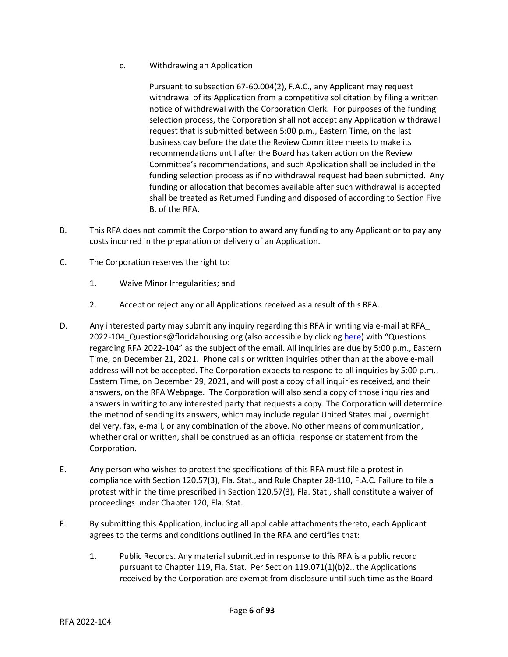c. Withdrawing an Application

Pursuant to subsection 67-60.004(2), F.A.C., any Applicant may request withdrawal of its Application from a competitive solicitation by filing a written notice of withdrawal with the Corporation Clerk. For purposes of the funding selection process, the Corporation shall not accept any Application withdrawal request that is submitted between 5:00 p.m., Eastern Time, on the last business day before the date the Review Committee meets to make its recommendations until after the Board has taken action on the Review Committee's recommendations, and such Application shall be included in the funding selection process as if no withdrawal request had been submitted. Any funding or allocation that becomes available after such withdrawal is accepted shall be treated as Returned Funding and disposed of according to Section Five B. of the RFA.

- B. This RFA does not commit the Corporation to award any funding to any Applicant or to pay any costs incurred in the preparation or delivery of an Application.
- C. The Corporation reserves the right to:
	- 1. Waive Minor Irregularities; and
	- 2. Accept or reject any or all Applications received as a result of this RFA.
- D. Any interested party may submit any inquiry regarding this RFA in writing via e-mail at RFA\_ 2022-104\_Questions@floridahousing.org (also accessible by clicking [here](mailto:RFA_2022-104_Questions@floridahousing.org?subject=Questions%20regarding%20RFA%202022-104)) with "Questions regarding RFA 2022-104" as the subject of the email. All inquiries are due by 5:00 p.m., Eastern Time, on December 21, 2021. Phone calls or written inquiries other than at the above e-mail address will not be accepted. The Corporation expects to respond to all inquiries by 5:00 p.m., Eastern Time, on December 29, 2021, and will post a copy of all inquiries received, and their answers, on the RFA Webpage. The Corporation will also send a copy of those inquiries and answers in writing to any interested party that requests a copy. The Corporation will determine the method of sending its answers, which may include regular United States mail, overnight delivery, fax, e-mail, or any combination of the above. No other means of communication, whether oral or written, shall be construed as an official response or statement from the Corporation.
- E. Any person who wishes to protest the specifications of this RFA must file a protest in compliance with Section 120.57(3), Fla. Stat., and Rule Chapter 28-110, F.A.C. Failure to file a protest within the time prescribed in Section 120.57(3), Fla. Stat., shall constitute a waiver of proceedings under Chapter 120, Fla. Stat.
- F. By submitting this Application, including all applicable attachments thereto, each Applicant agrees to the terms and conditions outlined in the RFA and certifies that:
	- 1. Public Records. Any material submitted in response to this RFA is a public record pursuant to Chapter 119, Fla. Stat. Per Section 119.071(1)(b)2., the Applications received by the Corporation are exempt from disclosure until such time as the Board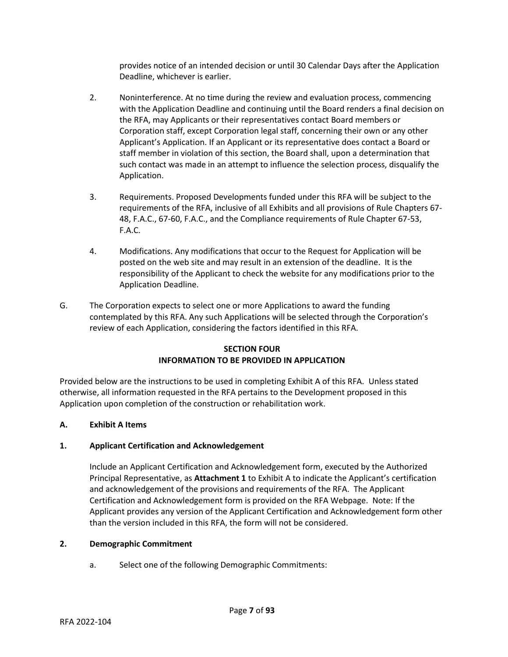provides notice of an intended decision or until 30 Calendar Days after the Application Deadline, whichever is earlier.

- 2. Noninterference. At no time during the review and evaluation process, commencing with the Application Deadline and continuing until the Board renders a final decision on the RFA, may Applicants or their representatives contact Board members or Corporation staff, except Corporation legal staff, concerning their own or any other Applicant's Application. If an Applicant or its representative does contact a Board or staff member in violation of this section, the Board shall, upon a determination that such contact was made in an attempt to influence the selection process, disqualify the Application.
- 3. Requirements. Proposed Developments funded under this RFA will be subject to the requirements of the RFA, inclusive of all Exhibits and all provisions of Rule Chapters 67- 48, F.A.C., 67-60, F.A.C., and the Compliance requirements of Rule Chapter 67-53, F.A.C.
- 4. Modifications. Any modifications that occur to the Request for Application will be posted on the web site and may result in an extension of the deadline. It is the responsibility of the Applicant to check the website for any modifications prior to the Application Deadline.
- G. The Corporation expects to select one or more Applications to award the funding contemplated by this RFA. Any such Applications will be selected through the Corporation's review of each Application, considering the factors identified in this RFA.

# **SECTION FOUR INFORMATION TO BE PROVIDED IN APPLICATION**

Provided below are the instructions to be used in completing Exhibit A of this RFA. Unless stated otherwise, all information requested in the RFA pertains to the Development proposed in this Application upon completion of the construction or rehabilitation work.

# **A. Exhibit A Items**

## **1. Applicant Certification and Acknowledgement**

Include an Applicant Certification and Acknowledgement form, executed by the Authorized Principal Representative, as **Attachment 1** to Exhibit A to indicate the Applicant's certification and acknowledgement of the provisions and requirements of the RFA. The Applicant Certification and Acknowledgement form is provided on the RFA Webpage. Note: If the Applicant provides any version of the Applicant Certification and Acknowledgement form other than the version included in this RFA, the form will not be considered.

## **2. Demographic Commitment**

a. Select one of the following Demographic Commitments: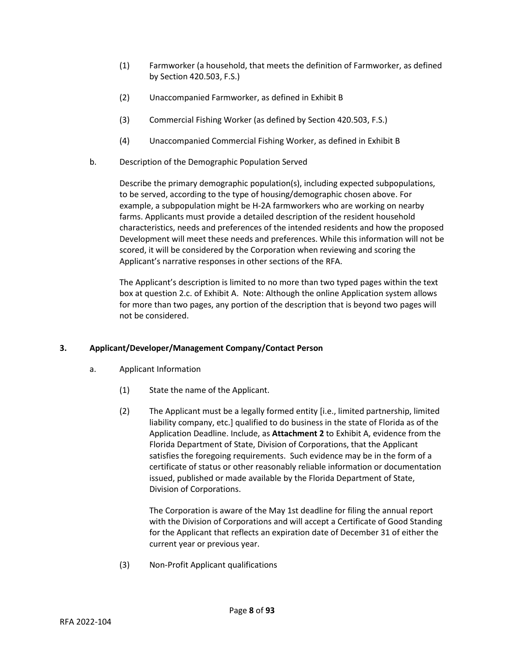- (1) Farmworker (a household, that meets the definition of Farmworker, as defined by Section 420.503, F.S.)
- (2) Unaccompanied Farmworker, as defined in Exhibit B
- (3) Commercial Fishing Worker (as defined by Section 420.503, F.S.)
- (4) Unaccompanied Commercial Fishing Worker, as defined in Exhibit B
- b. Description of the Demographic Population Served

Describe the primary demographic population(s), including expected subpopulations, to be served, according to the type of housing/demographic chosen above. For example, a subpopulation might be H-2A farmworkers who are working on nearby farms. Applicants must provide a detailed description of the resident household characteristics, needs and preferences of the intended residents and how the proposed Development will meet these needs and preferences. While this information will not be scored, it will be considered by the Corporation when reviewing and scoring the Applicant's narrative responses in other sections of the RFA.

The Applicant's description is limited to no more than two typed pages within the text box at question 2.c. of Exhibit A. Note: Although the online Application system allows for more than two pages, any portion of the description that is beyond two pages will not be considered.

# **3. Applicant/Developer/Management Company/Contact Person**

- a. Applicant Information
	- (1) State the name of the Applicant.
	- (2) The Applicant must be a legally formed entity [i.e., limited partnership, limited liability company, etc.] qualified to do business in the state of Florida as of the Application Deadline. Include, as **Attachment 2** to Exhibit A, evidence from the Florida Department of State, Division of Corporations, that the Applicant satisfies the foregoing requirements. Such evidence may be in the form of a certificate of status or other reasonably reliable information or documentation issued, published or made available by the Florida Department of State, Division of Corporations.

The Corporation is aware of the May 1st deadline for filing the annual report with the Division of Corporations and will accept a Certificate of Good Standing for the Applicant that reflects an expiration date of December 31 of either the current year or previous year.

(3) Non-Profit Applicant qualifications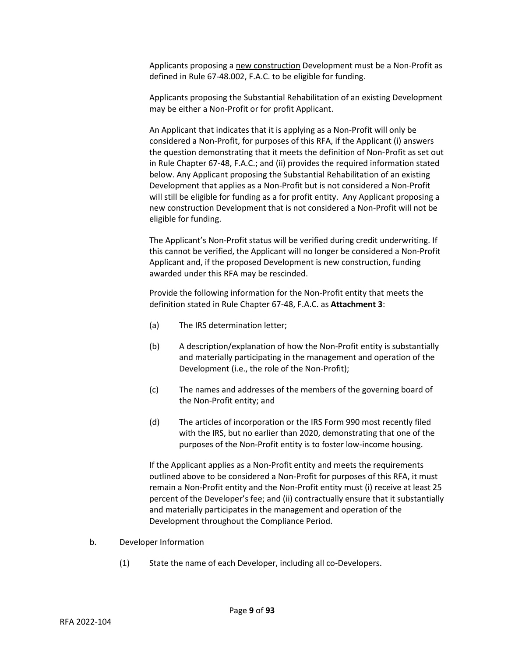Applicants proposing a new construction Development must be a Non-Profit as defined in Rule 67-48.002, F.A.C. to be eligible for funding.

Applicants proposing the Substantial Rehabilitation of an existing Development may be either a Non-Profit or for profit Applicant.

An Applicant that indicates that it is applying as a Non-Profit will only be considered a Non-Profit, for purposes of this RFA, if the Applicant (i) answers the question demonstrating that it meets the definition of Non-Profit as set out in Rule Chapter 67-48, F.A.C.; and (ii) provides the required information stated below. Any Applicant proposing the Substantial Rehabilitation of an existing Development that applies as a Non-Profit but is not considered a Non-Profit will still be eligible for funding as a for profit entity. Any Applicant proposing a new construction Development that is not considered a Non-Profit will not be eligible for funding.

The Applicant's Non-Profit status will be verified during credit underwriting. If this cannot be verified, the Applicant will no longer be considered a Non-Profit Applicant and, if the proposed Development is new construction, funding awarded under this RFA may be rescinded.

Provide the following information for the Non-Profit entity that meets the definition stated in Rule Chapter 67-48, F.A.C. as **Attachment 3**:

- (a) The IRS determination letter;
- (b) A description/explanation of how the Non-Profit entity is substantially and materially participating in the management and operation of the Development (i.e., the role of the Non-Profit);
- (c) The names and addresses of the members of the governing board of the Non-Profit entity; and
- (d) The articles of incorporation or the IRS Form 990 most recently filed with the IRS, but no earlier than 2020, demonstrating that one of the purposes of the Non-Profit entity is to foster low-income housing.

If the Applicant applies as a Non-Profit entity and meets the requirements outlined above to be considered a Non-Profit for purposes of this RFA, it must remain a Non-Profit entity and the Non-Profit entity must (i) receive at least 25 percent of the Developer's fee; and (ii) contractually ensure that it substantially and materially participates in the management and operation of the Development throughout the Compliance Period.

- b. Developer Information
	- (1) State the name of each Developer, including all co-Developers.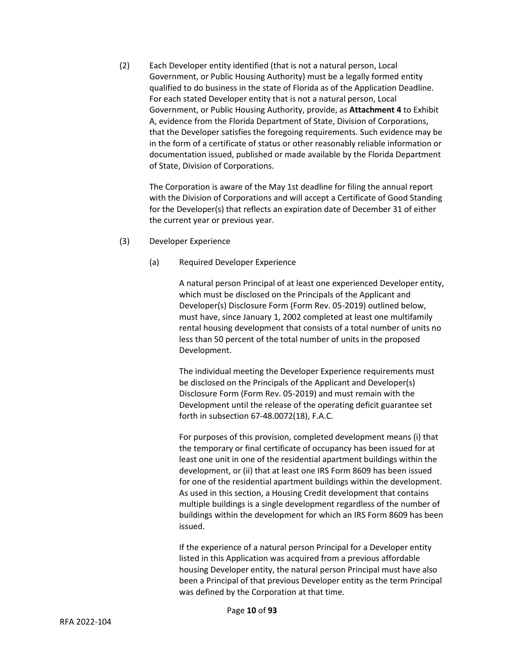(2) Each Developer entity identified (that is not a natural person, Local Government, or Public Housing Authority) must be a legally formed entity qualified to do business in the state of Florida as of the Application Deadline. For each stated Developer entity that is not a natural person, Local Government, or Public Housing Authority, provide, as **Attachment 4** to Exhibit A, evidence from the Florida Department of State, Division of Corporations, that the Developer satisfies the foregoing requirements. Such evidence may be in the form of a certificate of status or other reasonably reliable information or documentation issued, published or made available by the Florida Department of State, Division of Corporations.

The Corporation is aware of the May 1st deadline for filing the annual report with the Division of Corporations and will accept a Certificate of Good Standing for the Developer(s) that reflects an expiration date of December 31 of either the current year or previous year.

- (3) Developer Experience
	- (a) Required Developer Experience

A natural person Principal of at least one experienced Developer entity, which must be disclosed on the Principals of the Applicant and Developer(s) Disclosure Form (Form Rev. 05-2019) outlined below, must have, since January 1, 2002 completed at least one multifamily rental housing development that consists of a total number of units no less than 50 percent of the total number of units in the proposed Development.

The individual meeting the Developer Experience requirements must be disclosed on the Principals of the Applicant and Developer(s) Disclosure Form (Form Rev. 05-2019) and must remain with the Development until the release of the operating deficit guarantee set forth in subsection 67-48.0072(18), F.A.C.

For purposes of this provision, completed development means (i) that the temporary or final certificate of occupancy has been issued for at least one unit in one of the residential apartment buildings within the development, or (ii) that at least one IRS Form 8609 has been issued for one of the residential apartment buildings within the development. As used in this section, a Housing Credit development that contains multiple buildings is a single development regardless of the number of buildings within the development for which an IRS Form 8609 has been issued.

If the experience of a natural person Principal for a Developer entity listed in this Application was acquired from a previous affordable housing Developer entity, the natural person Principal must have also been a Principal of that previous Developer entity as the term Principal was defined by the Corporation at that time.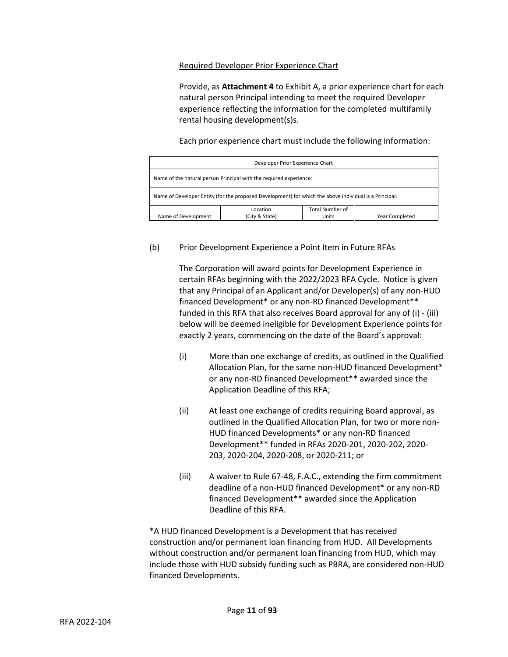## Required Developer Prior Experience Chart

Provide, as **Attachment 4** to Exhibit A, a prior experience chart for each natural person Principal intending to meet the required Developer experience reflecting the information for the completed multifamily rental housing development(s)s.

Each prior experience chart must include the following information:

| Developer Prior Experience Chart                                                                       |                |                 |                |  |
|--------------------------------------------------------------------------------------------------------|----------------|-----------------|----------------|--|
| Name of the natural person Principal with the required experience:                                     |                |                 |                |  |
| Name of Developer Entity (for the proposed Development) for which the above individual is a Principal: |                |                 |                |  |
|                                                                                                        | Location       | Total Number of |                |  |
| Name of Development                                                                                    | (City & State) | Units           | Year Completed |  |

## (b) Prior Development Experience a Point Item in Future RFAs

The Corporation will award points for Development Experience in certain RFAs beginning with the 2022/2023 RFA Cycle. Notice is given that any Principal of an Applicant and/or Developer(s) of any non-HUD financed Development\* or any non-RD financed Development\*\* funded in this RFA that also receives Board approval for any of (i) - (iii) below will be deemed ineligible for Development Experience points for exactly 2 years, commencing on the date of the Board's approval:

- (i) More than one exchange of credits, as outlined in the Qualified Allocation Plan, for the same non-HUD financed Development\* or any non-RD financed Development\*\* awarded since the Application Deadline of this RFA;
- (ii) At least one exchange of credits requiring Board approval, as outlined in the Qualified Allocation Plan, for two or more non-HUD financed Developments\* or any non-RD financed Development\*\* funded in RFAs 2020-201, 2020-202, 2020- 203, 2020-204, 2020-208, or 2020-211; or
- (iii) A waiver to Rule 67-48, F.A.C., extending the firm commitment deadline of a non-HUD financed Development\* or any non-RD financed Development\*\* awarded since the Application Deadline of this RFA.

\*A HUD financed Development is a Development that has received construction and/or permanent loan financing from HUD. All Developments without construction and/or permanent loan financing from HUD, which may include those with HUD subsidy funding such as PBRA, are considered non-HUD financed Developments.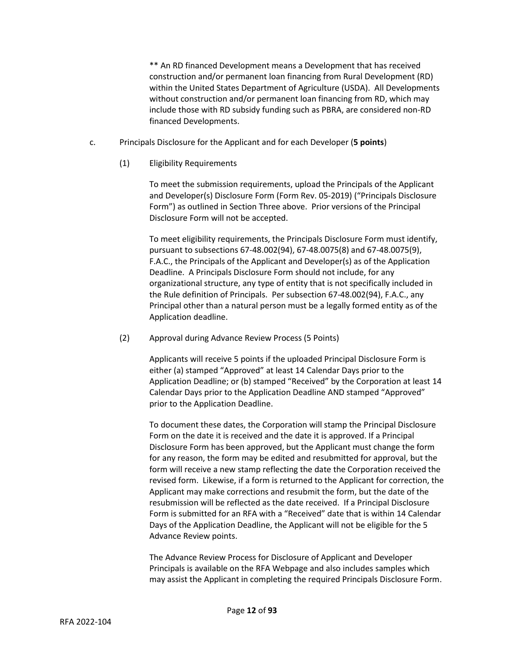\*\* An RD financed Development means a Development that has received construction and/or permanent loan financing from Rural Development (RD) within the United States Department of Agriculture (USDA). All Developments without construction and/or permanent loan financing from RD, which may include those with RD subsidy funding such as PBRA, are considered non-RD financed Developments.

- c. Principals Disclosure for the Applicant and for each Developer (**5 points**)
	- (1) Eligibility Requirements

To meet the submission requirements, upload the Principals of the Applicant and Developer(s) Disclosure Form (Form Rev. 05-2019) ("Principals Disclosure Form") as outlined in Section Three above. Prior versions of the Principal Disclosure Form will not be accepted.

To meet eligibility requirements, the Principals Disclosure Form must identify, pursuant to subsections 67-48.002(94), 67-48.0075(8) and 67-48.0075(9), F.A.C., the Principals of the Applicant and Developer(s) as of the Application Deadline. A Principals Disclosure Form should not include, for any organizational structure, any type of entity that is not specifically included in the Rule definition of Principals. Per subsection 67-48.002(94), F.A.C., any Principal other than a natural person must be a legally formed entity as of the Application deadline.

(2) Approval during Advance Review Process (5 Points)

Applicants will receive 5 points if the uploaded Principal Disclosure Form is either (a) stamped "Approved" at least 14 Calendar Days prior to the Application Deadline; or (b) stamped "Received" by the Corporation at least 14 Calendar Days prior to the Application Deadline AND stamped "Approved" prior to the Application Deadline.

To document these dates, the Corporation will stamp the Principal Disclosure Form on the date it is received and the date it is approved. If a Principal Disclosure Form has been approved, but the Applicant must change the form for any reason, the form may be edited and resubmitted for approval, but the form will receive a new stamp reflecting the date the Corporation received the revised form. Likewise, if a form is returned to the Applicant for correction, the Applicant may make corrections and resubmit the form, but the date of the resubmission will be reflected as the date received. If a Principal Disclosure Form is submitted for an RFA with a "Received" date that is within 14 Calendar Days of the Application Deadline, the Applicant will not be eligible for the 5 Advance Review points.

The Advance Review Process for Disclosure of Applicant and Developer Principals is available on the RFA Webpage and also includes samples which may assist the Applicant in completing the required Principals Disclosure Form.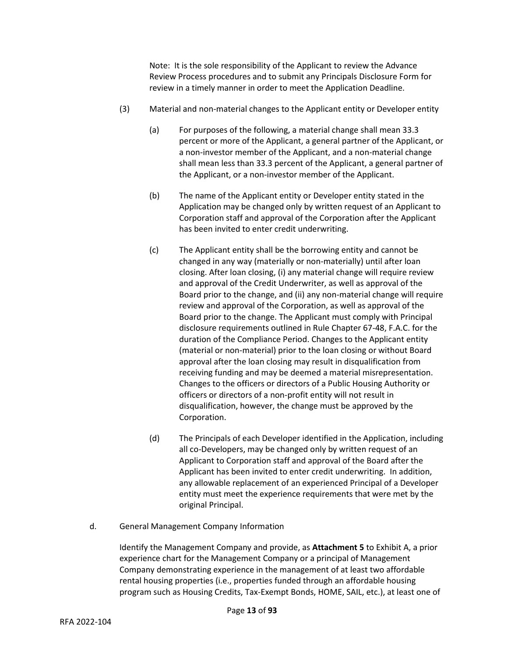Note: It is the sole responsibility of the Applicant to review the Advance Review Process procedures and to submit any Principals Disclosure Form for review in a timely manner in order to meet the Application Deadline.

- (3) Material and non-material changes to the Applicant entity or Developer entity
	- (a) For purposes of the following, a material change shall mean 33.3 percent or more of the Applicant, a general partner of the Applicant, or a non-investor member of the Applicant, and a non-material change shall mean less than 33.3 percent of the Applicant, a general partner of the Applicant, or a non-investor member of the Applicant.
	- (b) The name of the Applicant entity or Developer entity stated in the Application may be changed only by written request of an Applicant to Corporation staff and approval of the Corporation after the Applicant has been invited to enter credit underwriting.
	- (c) The Applicant entity shall be the borrowing entity and cannot be changed in any way (materially or non-materially) until after loan closing. After loan closing, (i) any material change will require review and approval of the Credit Underwriter, as well as approval of the Board prior to the change, and (ii) any non-material change will require review and approval of the Corporation, as well as approval of the Board prior to the change. The Applicant must comply with Principal disclosure requirements outlined in Rule Chapter 67-48, F.A.C. for the duration of the Compliance Period. Changes to the Applicant entity (material or non-material) prior to the loan closing or without Board approval after the loan closing may result in disqualification from receiving funding and may be deemed a material misrepresentation. Changes to the officers or directors of a Public Housing Authority or officers or directors of a non-profit entity will not result in disqualification, however, the change must be approved by the Corporation.
	- (d) The Principals of each Developer identified in the Application, including all co-Developers, may be changed only by written request of an Applicant to Corporation staff and approval of the Board after the Applicant has been invited to enter credit underwriting. In addition, any allowable replacement of an experienced Principal of a Developer entity must meet the experience requirements that were met by the original Principal.
- d. General Management Company Information

Identify the Management Company and provide, as **Attachment 5** to Exhibit A, a prior experience chart for the Management Company or a principal of Management Company demonstrating experience in the management of at least two affordable rental housing properties (i.e., properties funded through an affordable housing program such as Housing Credits, Tax-Exempt Bonds, HOME, SAIL, etc.), at least one of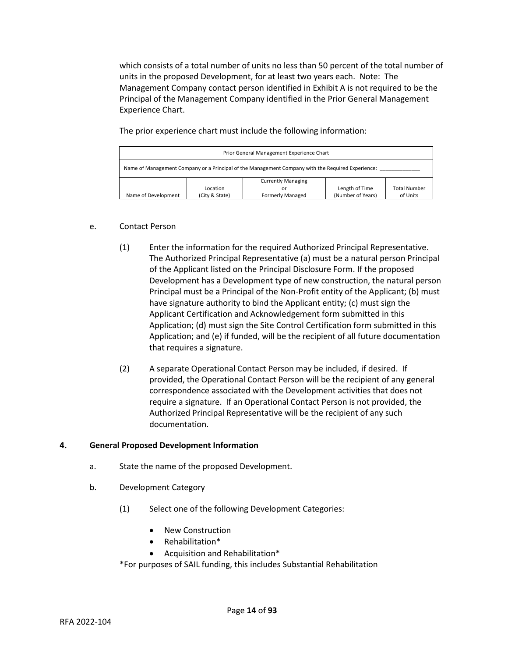which consists of a total number of units no less than 50 percent of the total number of units in the proposed Development, for at least two years each. Note: The Management Company contact person identified in Exhibit A is not required to be the Principal of the Management Company identified in the Prior General Management Experience Chart.

The prior experience chart must include the following information:

| Prior General Management Experience Chart                                                         |                |                                 |                   |                     |
|---------------------------------------------------------------------------------------------------|----------------|---------------------------------|-------------------|---------------------|
| Name of Management Company or a Principal of the Management Company with the Required Experience: |                |                                 |                   |                     |
|                                                                                                   | Location       | <b>Currently Managing</b><br>or | Length of Time    | <b>Total Number</b> |
| Name of Development                                                                               | (City & State) | <b>Formerly Managed</b>         | (Number of Years) | of Units            |

# e. Contact Person

- (1) Enter the information for the required Authorized Principal Representative. The Authorized Principal Representative (a) must be a natural person Principal of the Applicant listed on the Principal Disclosure Form. If the proposed Development has a Development type of new construction, the natural person Principal must be a Principal of the Non-Profit entity of the Applicant; (b) must have signature authority to bind the Applicant entity; (c) must sign the Applicant Certification and Acknowledgement form submitted in this Application; (d) must sign the Site Control Certification form submitted in this Application; and (e) if funded, will be the recipient of all future documentation that requires a signature.
- (2) A separate Operational Contact Person may be included, if desired. If provided, the Operational Contact Person will be the recipient of any general correspondence associated with the Development activities that does not require a signature. If an Operational Contact Person is not provided, the Authorized Principal Representative will be the recipient of any such documentation.

# **4. General Proposed Development Information**

- a. State the name of the proposed Development.
- b. Development Category
	- (1) Select one of the following Development Categories:
		- New Construction
		- Rehabilitation\*
		- Acquisition and Rehabilitation\*

\*For purposes of SAIL funding, this includes Substantial Rehabilitation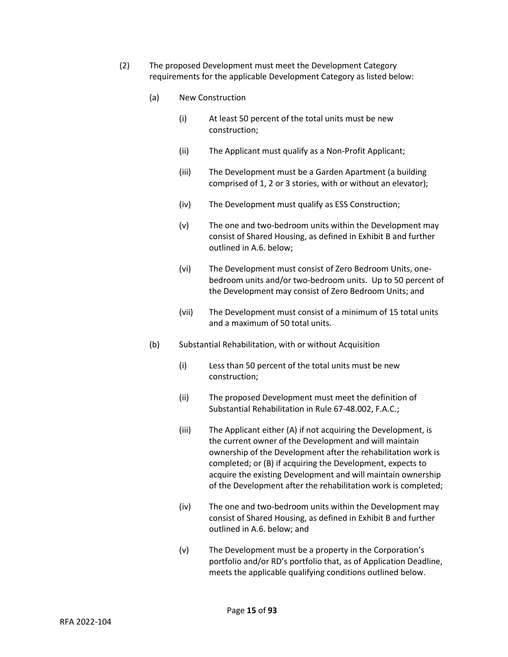- (2) The proposed Development must meet the Development Category requirements for the applicable Development Category as listed below:
	- (a) New Construction
		- (i) At least 50 percent of the total units must be new construction;
		- (ii) The Applicant must qualify as a Non-Profit Applicant;
		- (iii) The Development must be a Garden Apartment (a building comprised of 1, 2 or 3 stories, with or without an elevator);
		- (iv) The Development must qualify as ESS Construction;
		- (v) The one and two-bedroom units within the Development may consist of Shared Housing, as defined in Exhibit B and further outlined in A.6. below;
		- (vi) The Development must consist of Zero Bedroom Units, onebedroom units and/or two-bedroom units. Up to 50 percent of the Development may consist of Zero Bedroom Units; and
		- (vii) The Development must consist of a minimum of 15 total units and a maximum of 50 total units.
	- (b) Substantial Rehabilitation, with or without Acquisition
		- (i) Less than 50 percent of the total units must be new construction;
		- (ii) The proposed Development must meet the definition of Substantial Rehabilitation in Rule 67-48.002, F.A.C.;
		- (iii) The Applicant either (A) if not acquiring the Development, is the current owner of the Development and will maintain ownership of the Development after the rehabilitation work is completed; or (B) if acquiring the Development, expects to acquire the existing Development and will maintain ownership of the Development after the rehabilitation work is completed;
		- (iv) The one and two-bedroom units within the Development may consist of Shared Housing, as defined in Exhibit B and further outlined in A.6. below; and
		- (v) The Development must be a property in the Corporation's portfolio and/or RD's portfolio that, as of Application Deadline, meets the applicable qualifying conditions outlined below.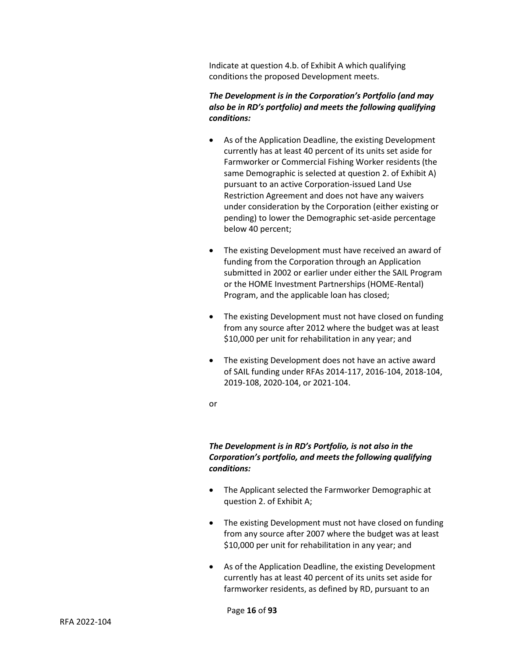Indicate at question 4.b. of Exhibit A which qualifying conditions the proposed Development meets.

# *The Development is in the Corporation's Portfolio (and may also be in RD's portfolio) and meets the following qualifying conditions:*

- As of the Application Deadline, the existing Development currently has at least 40 percent of its units set aside for Farmworker or Commercial Fishing Worker residents (the same Demographic is selected at question 2. of Exhibit A) pursuant to an active Corporation-issued Land Use Restriction Agreement and does not have any waivers under consideration by the Corporation (either existing or pending) to lower the Demographic set-aside percentage below 40 percent;
- The existing Development must have received an award of funding from the Corporation through an Application submitted in 2002 or earlier under either the SAIL Program or the HOME Investment Partnerships (HOME-Rental) Program, and the applicable loan has closed;
- The existing Development must not have closed on funding from any source after 2012 where the budget was at least \$10,000 per unit for rehabilitation in any year; and
- The existing Development does not have an active award of SAIL funding under RFAs 2014-117, 2016-104, 2018-104, 2019-108, 2020-104, or 2021-104.
- or

# *The Development is in RD's Portfolio, is not also in the Corporation's portfolio, and meets the following qualifying conditions:*

- The Applicant selected the Farmworker Demographic at question 2. of Exhibit A;
- The existing Development must not have closed on funding from any source after 2007 where the budget was at least \$10,000 per unit for rehabilitation in any year; and
- As of the Application Deadline, the existing Development currently has at least 40 percent of its units set aside for farmworker residents, as defined by RD, pursuant to an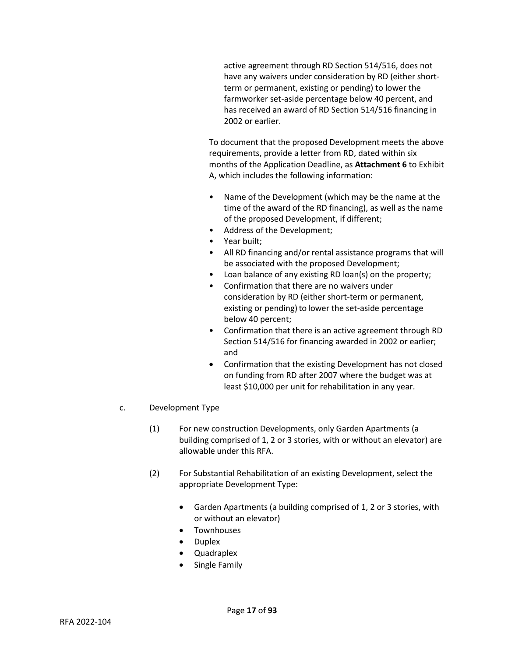active agreement through RD Section 514/516, does not have any waivers under consideration by RD (either shortterm or permanent, existing or pending) to lower the farmworker set-aside percentage below 40 percent, and has received an award of RD Section 514/516 financing in 2002 or earlier.

To document that the proposed Development meets the above requirements, provide a letter from RD, dated within six months of the Application Deadline, as **Attachment 6** to Exhibit A, which includes the following information:

- Name of the Development (which may be the name at the time of the award of the RD financing), as well as the name of the proposed Development, if different;
- Address of the Development;
- Year built;
- All RD financing and/or rental assistance programs that will be associated with the proposed Development;
- Loan balance of any existing RD loan(s) on the property;
- Confirmation that there are no waivers under consideration by RD (either short-term or permanent, existing or pending) to lower the set-aside percentage below 40 percent;
- Confirmation that there is an active agreement through RD Section 514/516 for financing awarded in 2002 or earlier; and
- Confirmation that the existing Development has not closed on funding from RD after 2007 where the budget was at least \$10,000 per unit for rehabilitation in any year.
- c. Development Type
	- (1) For new construction Developments, only Garden Apartments (a building comprised of 1, 2 or 3 stories, with or without an elevator) are allowable under this RFA.
	- (2) For Substantial Rehabilitation of an existing Development, select the appropriate Development Type:
		- Garden Apartments (a building comprised of 1, 2 or 3 stories, with or without an elevator)
		- Townhouses
		- Duplex
		- Quadraplex
		- Single Family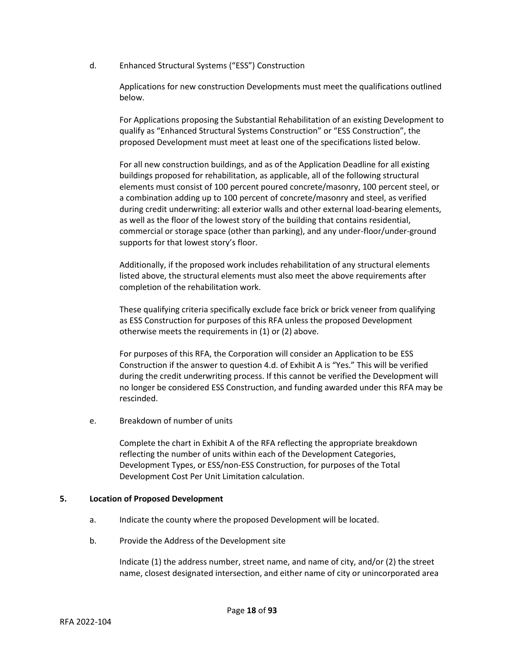d. Enhanced Structural Systems ("ESS") Construction

Applications for new construction Developments must meet the qualifications outlined below.

For Applications proposing the Substantial Rehabilitation of an existing Development to qualify as "Enhanced Structural Systems Construction" or "ESS Construction", the proposed Development must meet at least one of the specifications listed below.

For all new construction buildings, and as of the Application Deadline for all existing buildings proposed for rehabilitation, as applicable, all of the following structural elements must consist of 100 percent poured concrete/masonry, 100 percent steel, or a combination adding up to 100 percent of concrete/masonry and steel, as verified during credit underwriting: all exterior walls and other external load-bearing elements, as well as the floor of the lowest story of the building that contains residential, commercial or storage space (other than parking), and any under-floor/under-ground supports for that lowest story's floor.

Additionally, if the proposed work includes rehabilitation of any structural elements listed above, the structural elements must also meet the above requirements after completion of the rehabilitation work.

These qualifying criteria specifically exclude face brick or brick veneer from qualifying as ESS Construction for purposes of this RFA unless the proposed Development otherwise meets the requirements in (1) or (2) above.

For purposes of this RFA, the Corporation will consider an Application to be ESS Construction if the answer to question 4.d. of Exhibit A is "Yes." This will be verified during the credit underwriting process. If this cannot be verified the Development will no longer be considered ESS Construction, and funding awarded under this RFA may be rescinded.

e. Breakdown of number of units

Complete the chart in Exhibit A of the RFA reflecting the appropriate breakdown reflecting the number of units within each of the Development Categories, Development Types, or ESS/non-ESS Construction, for purposes of the Total Development Cost Per Unit Limitation calculation.

#### **5. Location of Proposed Development**

- a. Indicate the county where the proposed Development will be located.
- b. Provide the Address of the Development site

Indicate (1) the address number, street name, and name of city, and/or (2) the street name, closest designated intersection, and either name of city or unincorporated area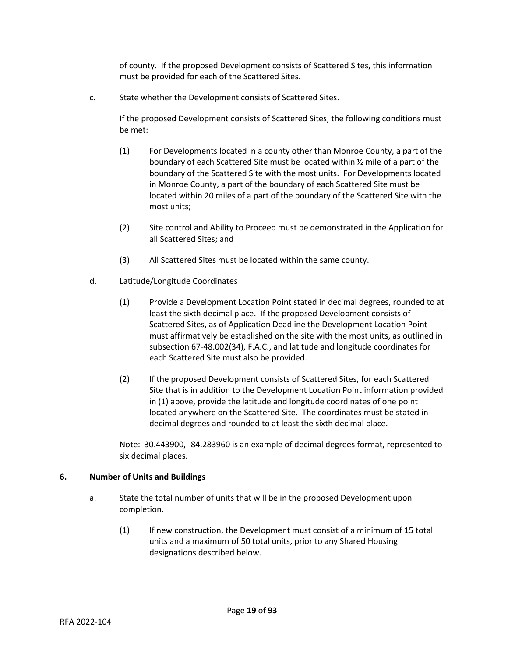of county. If the proposed Development consists of Scattered Sites, this information must be provided for each of the Scattered Sites.

c. State whether the Development consists of Scattered Sites.

If the proposed Development consists of Scattered Sites, the following conditions must be met:

- (1) For Developments located in a county other than Monroe County, a part of the boundary of each Scattered Site must be located within ½ mile of a part of the boundary of the Scattered Site with the most units. For Developments located in Monroe County, a part of the boundary of each Scattered Site must be located within 20 miles of a part of the boundary of the Scattered Site with the most units;
- (2) Site control and Ability to Proceed must be demonstrated in the Application for all Scattered Sites; and
- (3) All Scattered Sites must be located within the same county.
- d. Latitude/Longitude Coordinates
	- (1) Provide a Development Location Point stated in decimal degrees, rounded to at least the sixth decimal place. If the proposed Development consists of Scattered Sites, as of Application Deadline the Development Location Point must affirmatively be established on the site with the most units, as outlined in subsection 67-48.002(34), F.A.C., and latitude and longitude coordinates for each Scattered Site must also be provided.
	- (2) If the proposed Development consists of Scattered Sites, for each Scattered Site that is in addition to the Development Location Point information provided in (1) above, provide the latitude and longitude coordinates of one point located anywhere on the Scattered Site. The coordinates must be stated in decimal degrees and rounded to at least the sixth decimal place.

Note: 30.443900, -84.283960 is an example of decimal degrees format, represented to six decimal places.

## **6. Number of Units and Buildings**

- a. State the total number of units that will be in the proposed Development upon completion.
	- (1) If new construction, the Development must consist of a minimum of 15 total units and a maximum of 50 total units, prior to any Shared Housing designations described below.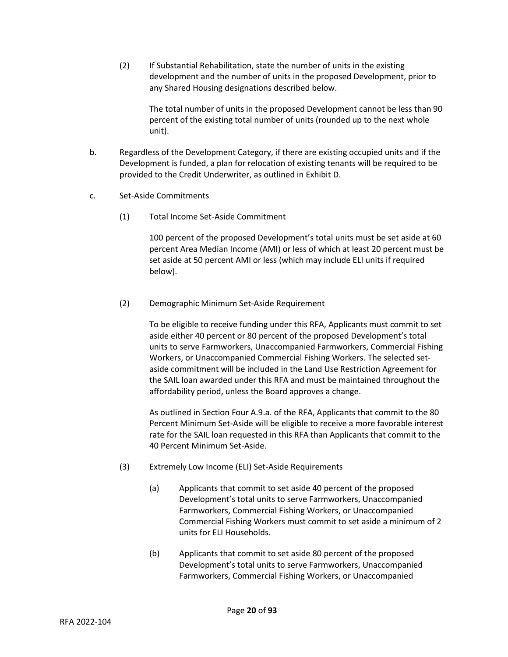(2) If Substantial Rehabilitation, state the number of units in the existing development and the number of units in the proposed Development, prior to any Shared Housing designations described below.

The total number of units in the proposed Development cannot be less than 90 percent of the existing total number of units (rounded up to the next whole unit).

- b. Regardless of the Development Category, if there are existing occupied units and if the Development is funded, a plan for relocation of existing tenants will be required to be provided to the Credit Underwriter, as outlined in Exhibit D.
- c. Set-Aside Commitments
	- (1) Total Income Set-Aside Commitment

100 percent of the proposed Development's total units must be set aside at 60 percent Area Median Income (AMI) or less of which at least 20 percent must be set aside at 50 percent AMI or less (which may include ELI units if required below).

(2) Demographic Minimum Set-Aside Requirement

To be eligible to receive funding under this RFA, Applicants must commit to set aside either 40 percent or 80 percent of the proposed Development's total units to serve Farmworkers, Unaccompanied Farmworkers, Commercial Fishing Workers, or Unaccompanied Commercial Fishing Workers. The selected setaside commitment will be included in the Land Use Restriction Agreement for the SAIL loan awarded under this RFA and must be maintained throughout the affordability period, unless the Board approves a change.

As outlined in Section Four A.9.a. of the RFA, Applicants that commit to the 80 Percent Minimum Set-Aside will be eligible to receive a more favorable interest rate for the SAIL loan requested in this RFA than Applicants that commit to the 40 Percent Minimum Set-Aside.

- (3) Extremely Low Income (ELI) Set-Aside Requirements
	- (a) Applicants that commit to set aside 40 percent of the proposed Development's total units to serve Farmworkers, Unaccompanied Farmworkers, Commercial Fishing Workers, or Unaccompanied Commercial Fishing Workers must commit to set aside a minimum of 2 units for ELI Households.
	- (b) Applicants that commit to set aside 80 percent of the proposed Development's total units to serve Farmworkers, Unaccompanied Farmworkers, Commercial Fishing Workers, or Unaccompanied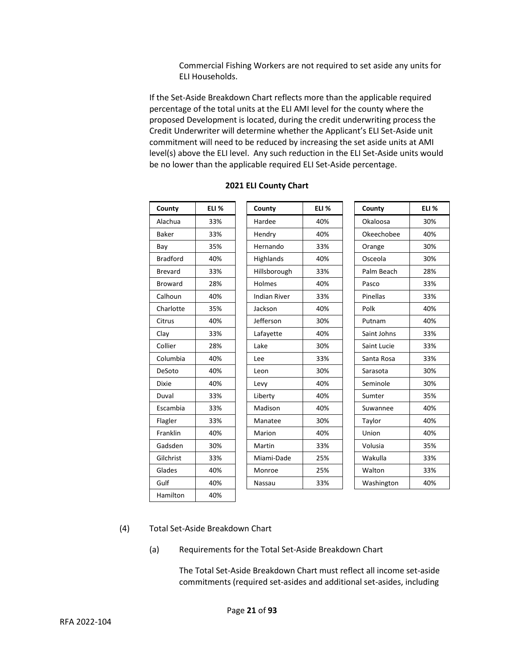Commercial Fishing Workers are not required to set aside any units for ELI Households.

If the Set-Aside Breakdown Chart reflects more than the applicable required percentage of the total units at the ELI AMI level for the county where the proposed Development is located, during the credit underwriting process the Credit Underwriter will determine whether the Applicant's ELI Set-Aside unit commitment will need to be reduced by increasing the set aside units at AMI level(s) above the ELI level. Any such reduction in the ELI Set-Aside units would be no lower than the applicable required ELI Set-Aside percentage.

| County          | ELI <sub>%</sub> | County              | ELI <sub>%</sub> | County      | ELI % |
|-----------------|------------------|---------------------|------------------|-------------|-------|
| Alachua         | 33%              | Hardee              | 40%              | Okaloosa    | 30%   |
| <b>Baker</b>    | 33%              | Hendry              | 40%              | Okeechobee  | 40%   |
| Bay             | 35%              | Hernando            | 33%              | Orange      | 30%   |
| <b>Bradford</b> | 40%              | Highlands           | 40%              | Osceola     | 30%   |
| <b>Brevard</b>  | 33%              | Hillsborough        | 33%              | Palm Beach  | 28%   |
| <b>Broward</b>  | 28%              | Holmes              | 40%              | Pasco       | 33%   |
| Calhoun         | 40%              | <b>Indian River</b> | 33%              | Pinellas    | 33%   |
| Charlotte       | 35%              | Jackson             | 40%              | Polk        | 40%   |
| Citrus          | 40%              | Jefferson           | 30%              | Putnam      | 40%   |
| Clay            | 33%              | Lafayette           | 40%              | Saint Johns | 33%   |
| Collier         | 28%              | Lake                | 30%              | Saint Lucie | 33%   |
| Columbia        | 40%              | Lee                 | 33%              | Santa Rosa  | 33%   |
| DeSoto          | 40%              | Leon                | 30%              | Sarasota    | 30%   |
| <b>Dixie</b>    | 40%              | Levy                | 40%              | Seminole    | 30%   |
| Duval           | 33%              | Liberty             | 40%              | Sumter      | 35%   |
| Escambia        | 33%              | Madison             | 40%              | Suwannee    | 40%   |
| Flagler         | 33%              | Manatee             | 30%              | Taylor      | 40%   |
| Franklin        | 40%              | Marion              | 40%              | Union       | 40%   |
| Gadsden         | 30%              | Martin              | 33%              | Volusia     | 35%   |
| Gilchrist       | 33%              | Miami-Dade          | 25%              | Wakulla     | 33%   |
| Glades          | 40%              | Monroe              | 25%              | Walton      | 33%   |
| Gulf            | 40%              | Nassau              | 33%              | Washington  | 40%   |
| Hamilton        | 40%              |                     |                  |             |       |

#### **2021 ELI County Chart**

## (4) Total Set-Aside Breakdown Chart

(a) Requirements for the Total Set-Aside Breakdown Chart

The Total Set-Aside Breakdown Chart must reflect all income set-aside commitments (required set-asides and additional set-asides, including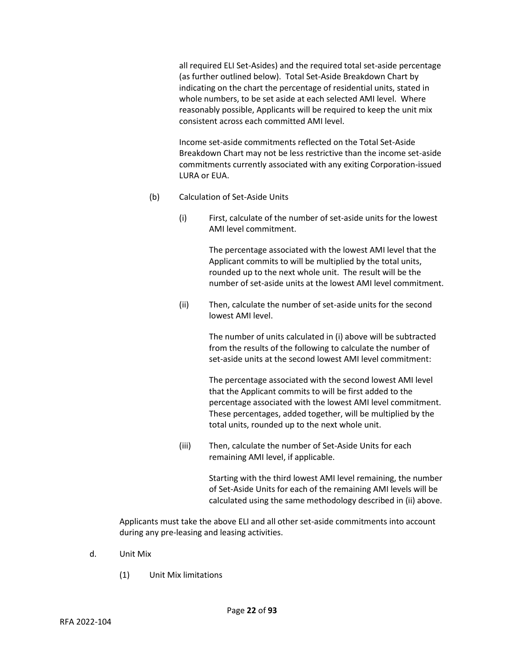all required ELI Set-Asides) and the required total set-aside percentage (as further outlined below). Total Set-Aside Breakdown Chart by indicating on the chart the percentage of residential units, stated in whole numbers, to be set aside at each selected AMI level. Where reasonably possible, Applicants will be required to keep the unit mix consistent across each committed AMI level.

Income set-aside commitments reflected on the Total Set-Aside Breakdown Chart may not be less restrictive than the income set-aside commitments currently associated with any exiting Corporation-issued LURA or EUA.

- (b) Calculation of Set-Aside Units
	- (i) First, calculate of the number of set-aside units for the lowest AMI level commitment.

The percentage associated with the lowest AMI level that the Applicant commits to will be multiplied by the total units, rounded up to the next whole unit. The result will be the number of set-aside units at the lowest AMI level commitment.

(ii) Then, calculate the number of set-aside units for the second lowest AMI level.

> The number of units calculated in (i) above will be subtracted from the results of the following to calculate the number of set-aside units at the second lowest AMI level commitment:

The percentage associated with the second lowest AMI level that the Applicant commits to will be first added to the percentage associated with the lowest AMI level commitment. These percentages, added together, will be multiplied by the total units, rounded up to the next whole unit.

(iii) Then, calculate the number of Set-Aside Units for each remaining AMI level, if applicable.

> Starting with the third lowest AMI level remaining, the number of Set-Aside Units for each of the remaining AMI levels will be calculated using the same methodology described in (ii) above.

Applicants must take the above ELI and all other set-aside commitments into account during any pre-leasing and leasing activities.

- d. Unit Mix
	- (1) Unit Mix limitations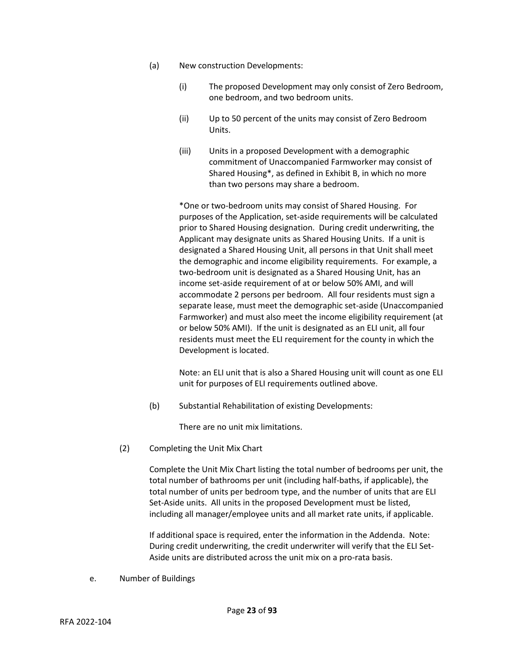- (a) New construction Developments:
	- (i) The proposed Development may only consist of Zero Bedroom, one bedroom, and two bedroom units.
	- (ii) Up to 50 percent of the units may consist of Zero Bedroom Units.
	- (iii) Units in a proposed Development with a demographic commitment of Unaccompanied Farmworker may consist of Shared Housing\*, as defined in Exhibit B, in which no more than two persons may share a bedroom.

\*One or two-bedroom units may consist of Shared Housing. For purposes of the Application, set-aside requirements will be calculated prior to Shared Housing designation. During credit underwriting, the Applicant may designate units as Shared Housing Units. If a unit is designated a Shared Housing Unit, all persons in that Unit shall meet the demographic and income eligibility requirements. For example, a two-bedroom unit is designated as a Shared Housing Unit, has an income set-aside requirement of at or below 50% AMI, and will accommodate 2 persons per bedroom. All four residents must sign a separate lease, must meet the demographic set-aside (Unaccompanied Farmworker) and must also meet the income eligibility requirement (at or below 50% AMI). If the unit is designated as an ELI unit, all four residents must meet the ELI requirement for the county in which the Development is located.

Note: an ELI unit that is also a Shared Housing unit will count as one ELI unit for purposes of ELI requirements outlined above.

(b) Substantial Rehabilitation of existing Developments:

There are no unit mix limitations.

(2) Completing the Unit Mix Chart

Complete the Unit Mix Chart listing the total number of bedrooms per unit, the total number of bathrooms per unit (including half-baths, if applicable), the total number of units per bedroom type, and the number of units that are ELI Set-Aside units. All units in the proposed Development must be listed, including all manager/employee units and all market rate units, if applicable.

If additional space is required, enter the information in the Addenda. Note: During credit underwriting, the credit underwriter will verify that the ELI Set-Aside units are distributed across the unit mix on a pro-rata basis.

e. Number of Buildings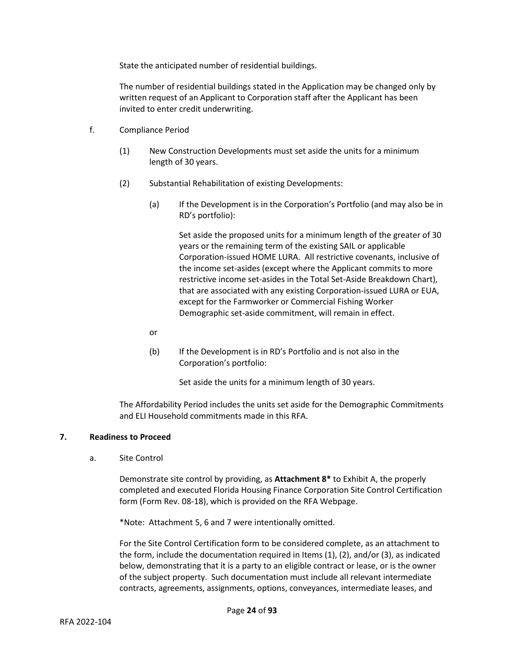State the anticipated number of residential buildings.

The number of residential buildings stated in the Application may be changed only by written request of an Applicant to Corporation staff after the Applicant has been invited to enter credit underwriting.

- f. Compliance Period
	- (1) New Construction Developments must set aside the units for a minimum length of 30 years.
	- (2) Substantial Rehabilitation of existing Developments:
		- (a) If the Development is in the Corporation's Portfolio (and may also be in RD's portfolio):

Set aside the proposed units for a minimum length of the greater of 30 years or the remaining term of the existing SAIL or applicable Corporation-issued HOME LURA. All restrictive covenants, inclusive of the income set-asides (except where the Applicant commits to more restrictive income set-asides in the Total Set-Aside Breakdown Chart), that are associated with any existing Corporation-issued LURA or EUA, except for the Farmworker or Commercial Fishing Worker Demographic set-aside commitment, will remain in effect.

- or
- (b) If the Development is in RD's Portfolio and is not also in the Corporation's portfolio:

Set aside the units for a minimum length of 30 years.

The Affordability Period includes the units set aside for the Demographic Commitments and ELI Household commitments made in this RFA.

## **7. Readiness to Proceed**

a. Site Control

Demonstrate site control by providing, as **Attachment 8\*** to Exhibit A, the properly completed and executed Florida Housing Finance Corporation Site Control Certification form (Form Rev. 08-18), which is provided on the RFA Webpage.

\*Note: Attachment 5, 6 and 7 were intentionally omitted.

For the Site Control Certification form to be considered complete, as an attachment to the form, include the documentation required in Items (1), (2), and/or (3), as indicated below, demonstrating that it is a party to an eligible contract or lease, or is the owner of the subject property. Such documentation must include all relevant intermediate contracts, agreements, assignments, options, conveyances, intermediate leases, and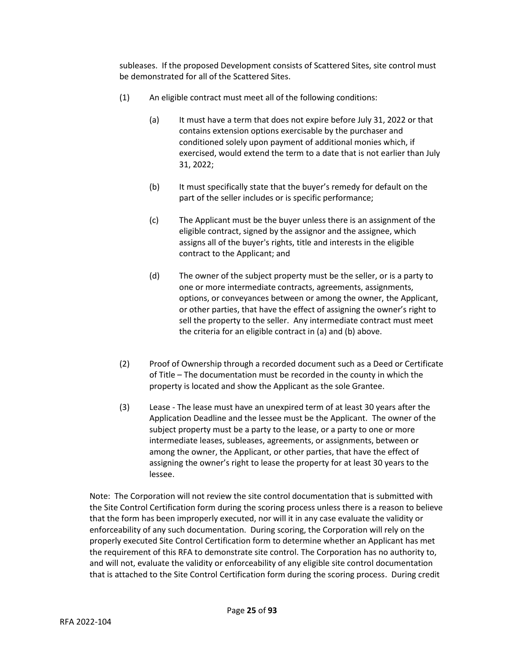subleases. If the proposed Development consists of Scattered Sites, site control must be demonstrated for all of the Scattered Sites.

- (1) An eligible contract must meet all of the following conditions:
	- (a) It must have a term that does not expire before July 31, 2022 or that contains extension options exercisable by the purchaser and conditioned solely upon payment of additional monies which, if exercised, would extend the term to a date that is not earlier than July 31, 2022;
	- (b) It must specifically state that the buyer's remedy for default on the part of the seller includes or is specific performance;
	- (c) The Applicant must be the buyer unless there is an assignment of the eligible contract, signed by the assignor and the assignee, which assigns all of the buyer's rights, title and interests in the eligible contract to the Applicant; and
	- (d) The owner of the subject property must be the seller, or is a party to one or more intermediate contracts, agreements, assignments, options, or conveyances between or among the owner, the Applicant, or other parties, that have the effect of assigning the owner's right to sell the property to the seller. Any intermediate contract must meet the criteria for an eligible contract in (a) and (b) above.
- (2) Proof of Ownership through a recorded document such as a Deed or Certificate of Title – The documentation must be recorded in the county in which the property is located and show the Applicant as the sole Grantee.
- (3) Lease The lease must have an unexpired term of at least 30 years after the Application Deadline and the lessee must be the Applicant. The owner of the subject property must be a party to the lease, or a party to one or more intermediate leases, subleases, agreements, or assignments, between or among the owner, the Applicant, or other parties, that have the effect of assigning the owner's right to lease the property for at least 30 years to the lessee.

Note: The Corporation will not review the site control documentation that is submitted with the Site Control Certification form during the scoring process unless there is a reason to believe that the form has been improperly executed, nor will it in any case evaluate the validity or enforceability of any such documentation. During scoring, the Corporation will rely on the properly executed Site Control Certification form to determine whether an Applicant has met the requirement of this RFA to demonstrate site control. The Corporation has no authority to, and will not, evaluate the validity or enforceability of any eligible site control documentation that is attached to the Site Control Certification form during the scoring process. During credit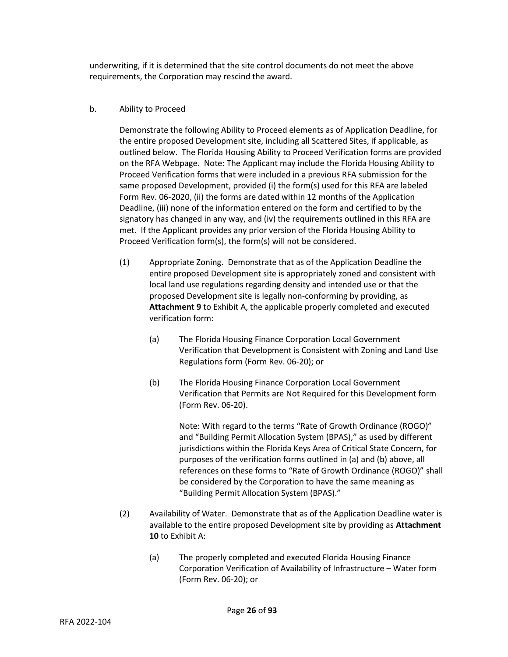underwriting, if it is determined that the site control documents do not meet the above requirements, the Corporation may rescind the award.

# b. Ability to Proceed

Demonstrate the following Ability to Proceed elements as of Application Deadline, for the entire proposed Development site, including all Scattered Sites, if applicable, as outlined below. The Florida Housing Ability to Proceed Verification forms are provided on the RFA Webpage. Note: The Applicant may include the Florida Housing Ability to Proceed Verification forms that were included in a previous RFA submission for the same proposed Development, provided (i) the form(s) used for this RFA are labeled Form Rev. 06-2020, (ii) the forms are dated within 12 months of the Application Deadline, (iii) none of the information entered on the form and certified to by the signatory has changed in any way, and (iv) the requirements outlined in this RFA are met. If the Applicant provides any prior version of the Florida Housing Ability to Proceed Verification form(s), the form(s) will not be considered.

- (1) Appropriate Zoning. Demonstrate that as of the Application Deadline the entire proposed Development site is appropriately zoned and consistent with local land use regulations regarding density and intended use or that the proposed Development site is legally non-conforming by providing, as **Attachment 9** to Exhibit A, the applicable properly completed and executed verification form:
	- (a) The Florida Housing Finance Corporation Local Government Verification that Development is Consistent with Zoning and Land Use Regulations form (Form Rev. 06-20); or
	- (b) The Florida Housing Finance Corporation Local Government Verification that Permits are Not Required for this Development form (Form Rev. 06-20).

Note: With regard to the terms "Rate of Growth Ordinance (ROGO)" and "Building Permit Allocation System (BPAS)," as used by different jurisdictions within the Florida Keys Area of Critical State Concern, for purposes of the verification forms outlined in (a) and (b) above, all references on these forms to "Rate of Growth Ordinance (ROGO)" shall be considered by the Corporation to have the same meaning as "Building Permit Allocation System (BPAS)."

- (2) Availability of Water. Demonstrate that as of the Application Deadline water is available to the entire proposed Development site by providing as **Attachment 10** to Exhibit A:
	- (a) The properly completed and executed Florida Housing Finance Corporation Verification of Availability of Infrastructure – Water form (Form Rev. 06-20); or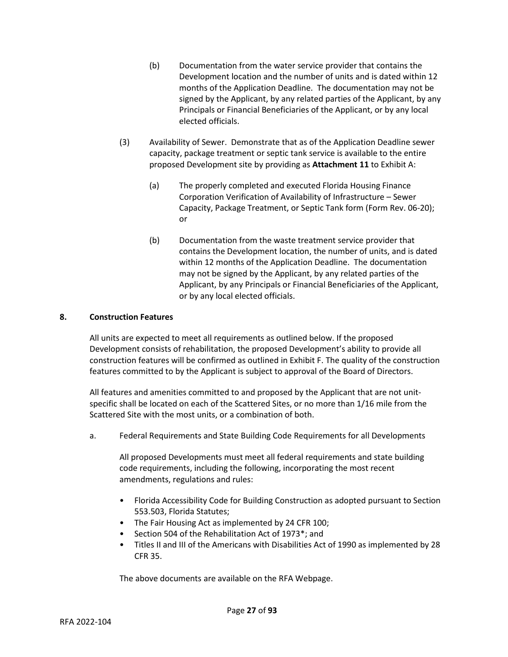- (b) Documentation from the water service provider that contains the Development location and the number of units and is dated within 12 months of the Application Deadline. The documentation may not be signed by the Applicant, by any related parties of the Applicant, by any Principals or Financial Beneficiaries of the Applicant, or by any local elected officials.
- (3) Availability of Sewer. Demonstrate that as of the Application Deadline sewer capacity, package treatment or septic tank service is available to the entire proposed Development site by providing as **Attachment 11** to Exhibit A:
	- (a) The properly completed and executed Florida Housing Finance Corporation Verification of Availability of Infrastructure – Sewer Capacity, Package Treatment, or Septic Tank form (Form Rev. 06-20); or
	- (b) Documentation from the waste treatment service provider that contains the Development location, the number of units, and is dated within 12 months of the Application Deadline. The documentation may not be signed by the Applicant, by any related parties of the Applicant, by any Principals or Financial Beneficiaries of the Applicant, or by any local elected officials.

# **8. Construction Features**

All units are expected to meet all requirements as outlined below. If the proposed Development consists of rehabilitation, the proposed Development's ability to provide all construction features will be confirmed as outlined in Exhibit F. The quality of the construction features committed to by the Applicant is subject to approval of the Board of Directors.

All features and amenities committed to and proposed by the Applicant that are not unitspecific shall be located on each of the Scattered Sites, or no more than 1/16 mile from the Scattered Site with the most units, or a combination of both.

a. Federal Requirements and State Building Code Requirements for all Developments

All proposed Developments must meet all federal requirements and state building code requirements, including the following, incorporating the most recent amendments, regulations and rules:

- Florida Accessibility Code for Building Construction as adopted pursuant to Section 553.503, Florida Statutes;
- The Fair Housing Act as implemented by 24 CFR 100;
- Section 504 of the Rehabilitation Act of 1973\*; and
- Titles II and III of the Americans with Disabilities Act of 1990 as implemented by 28 CFR 35.

The above documents are available on the RFA Webpage.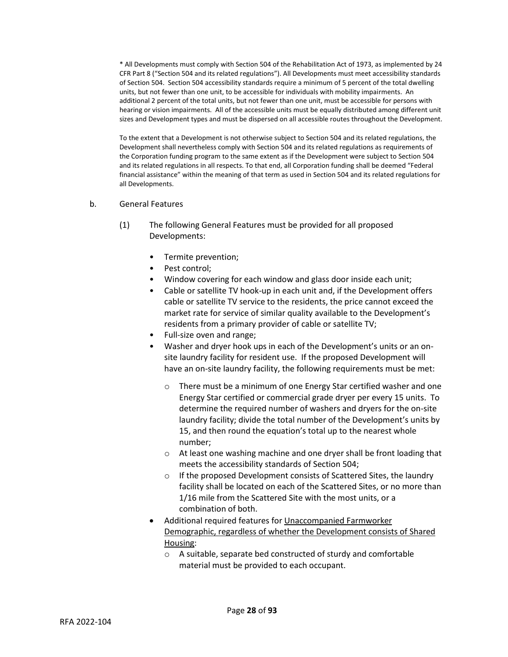\* All Developments must comply with Section 504 of the Rehabilitation Act of 1973, as implemented by 24 CFR Part 8 ("Section 504 and its related regulations"). All Developments must meet accessibility standards of Section 504. Section 504 accessibility standards require a minimum of 5 percent of the total dwelling units, but not fewer than one unit, to be accessible for individuals with mobility impairments. An additional 2 percent of the total units, but not fewer than one unit, must be accessible for persons with hearing or vision impairments. All of the accessible units must be equally distributed among different unit sizes and Development types and must be dispersed on all accessible routes throughout the Development.

To the extent that a Development is not otherwise subject to Section 504 and its related regulations, the Development shall nevertheless comply with Section 504 and its related regulations as requirements of the Corporation funding program to the same extent as if the Development were subject to Section 504 and its related regulations in all respects. To that end, all Corporation funding shall be deemed "Federal financial assistance" within the meaning of that term as used in Section 504 and its related regulations for all Developments.

#### b. General Features

- (1) The following General Features must be provided for all proposed Developments:
	- Termite prevention;
	- Pest control;
	- Window covering for each window and glass door inside each unit;
	- Cable or satellite TV hook-up in each unit and, if the Development offers cable or satellite TV service to the residents, the price cannot exceed the market rate for service of similar quality available to the Development's residents from a primary provider of cable or satellite TV;
	- Full-size oven and range;
	- Washer and dryer hook ups in each of the Development's units or an onsite laundry facility for resident use. If the proposed Development will have an on-site laundry facility, the following requirements must be met:
		- o There must be a minimum of one Energy Star certified washer and one Energy Star certified or commercial grade dryer per every 15 units. To determine the required number of washers and dryers for the on-site laundry facility; divide the total number of the Development's units by 15, and then round the equation's total up to the nearest whole number;
		- $\circ$  At least one washing machine and one dryer shall be front loading that meets the accessibility standards of Section 504;
		- o If the proposed Development consists of Scattered Sites, the laundry facility shall be located on each of the Scattered Sites, or no more than 1/16 mile from the Scattered Site with the most units, or a combination of both.
	- Additional required features for Unaccompanied Farmworker Demographic, regardless of whether the Development consists of Shared Housing:
		- o A suitable, separate bed constructed of sturdy and comfortable material must be provided to each occupant.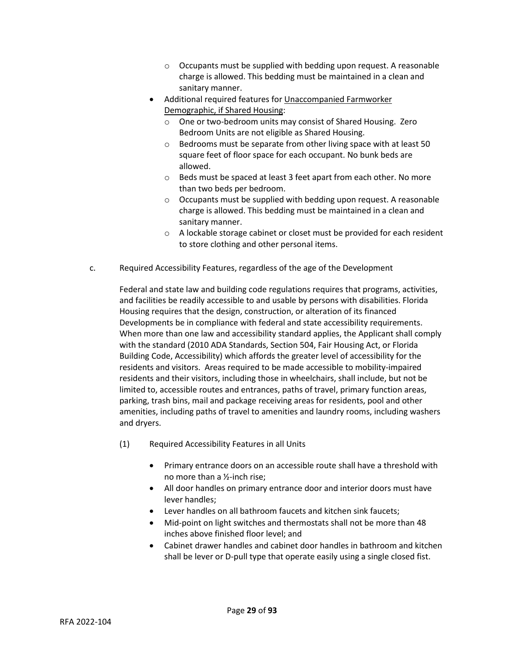- $\circ$  Occupants must be supplied with bedding upon request. A reasonable charge is allowed. This bedding must be maintained in a clean and sanitary manner.
- Additional required features for Unaccompanied Farmworker Demographic, if Shared Housing:
	- o One or two-bedroom units may consist of Shared Housing. Zero Bedroom Units are not eligible as Shared Housing.
	- $\circ$  Bedrooms must be separate from other living space with at least 50 square feet of floor space for each occupant. No bunk beds are allowed.
	- o Beds must be spaced at least 3 feet apart from each other. No more than two beds per bedroom.
	- o Occupants must be supplied with bedding upon request. A reasonable charge is allowed. This bedding must be maintained in a clean and sanitary manner.
	- o A lockable storage cabinet or closet must be provided for each resident to store clothing and other personal items.
- c. Required Accessibility Features, regardless of the age of the Development

Federal and state law and building code regulations requires that programs, activities, and facilities be readily accessible to and usable by persons with disabilities. Florida Housing requires that the design, construction, or alteration of its financed Developments be in compliance with federal and state accessibility requirements. When more than one law and accessibility standard applies, the Applicant shall comply with the standard (2010 ADA Standards, Section 504, Fair Housing Act, or Florida Building Code, Accessibility) which affords the greater level of accessibility for the residents and visitors. Areas required to be made accessible to mobility-impaired residents and their visitors, including those in wheelchairs, shall include, but not be limited to, accessible routes and entrances, paths of travel, primary function areas, parking, trash bins, mail and package receiving areas for residents, pool and other amenities, including paths of travel to amenities and laundry rooms, including washers and dryers.

- (1) Required Accessibility Features in all Units
	- Primary entrance doors on an accessible route shall have a threshold with no more than a ½-inch rise;
	- All door handles on primary entrance door and interior doors must have lever handles;
	- Lever handles on all bathroom faucets and kitchen sink faucets;
	- Mid-point on light switches and thermostats shall not be more than 48 inches above finished floor level; and
	- Cabinet drawer handles and cabinet door handles in bathroom and kitchen shall be lever or D-pull type that operate easily using a single closed fist.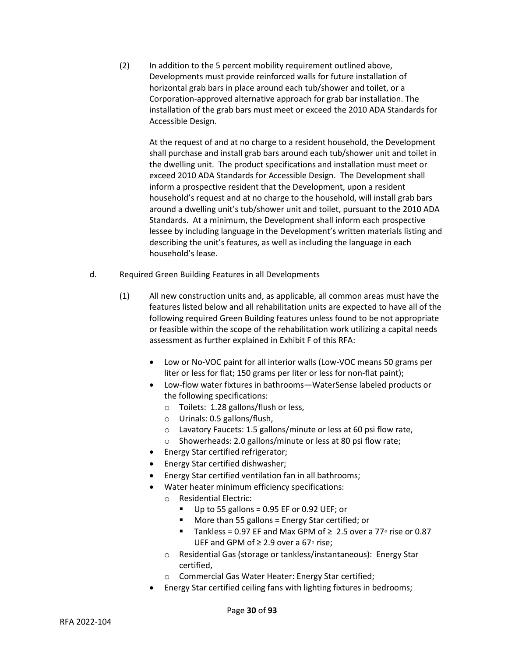(2) In addition to the 5 percent mobility requirement outlined above, Developments must provide reinforced walls for future installation of horizontal grab bars in place around each tub/shower and toilet, or a Corporation-approved alternative approach for grab bar installation. The installation of the grab bars must meet or exceed the 2010 ADA Standards for Accessible Design.

At the request of and at no charge to a resident household, the Development shall purchase and install grab bars around each tub/shower unit and toilet in the dwelling unit. The product specifications and installation must meet or exceed 2010 ADA Standards for Accessible Design. The Development shall inform a prospective resident that the Development, upon a resident household's request and at no charge to the household, will install grab bars around a dwelling unit's tub/shower unit and toilet, pursuant to the 2010 ADA Standards. At a minimum, the Development shall inform each prospective lessee by including language in the Development's written materials listing and describing the unit's features, as well as including the language in each household's lease.

- d. Required Green Building Features in all Developments
	- (1) All new construction units and, as applicable, all common areas must have the features listed below and all rehabilitation units are expected to have all of the following required Green Building features unless found to be not appropriate or feasible within the scope of the rehabilitation work utilizing a capital needs assessment as further explained in Exhibit F of this RFA:
		- Low or No-VOC paint for all interior walls (Low-VOC means 50 grams per liter or less for flat; 150 grams per liter or less for non-flat paint);
		- Low-flow water fixtures in bathrooms—WaterSense labeled products or the following specifications:
			- o Toilets: 1.28 gallons/flush or less,
			- o Urinals: 0.5 gallons/flush,
			- o Lavatory Faucets: 1.5 gallons/minute or less at 60 psi flow rate,
			- o Showerheads: 2.0 gallons/minute or less at 80 psi flow rate;
		- Energy Star certified refrigerator;
		- Energy Star certified dishwasher;
		- Energy Star certified ventilation fan in all bathrooms;
		- Water heater minimum efficiency specifications:
			- o Residential Electric:
				- Up to 55 gallons = 0.95 EF or 0.92 UEF; or
				- More than 55 gallons = Energy Star certified; or
				- Tankless = 0.97 EF and Max GPM of  $\geq 2.5$  over a 77° rise or 0.87 UEF and GPM of ≥ 2.9 over a 67◦ rise;
			- o Residential Gas (storage or tankless/instantaneous): Energy Star certified,
			- o Commercial Gas Water Heater: Energy Star certified;
		- Energy Star certified ceiling fans with lighting fixtures in bedrooms;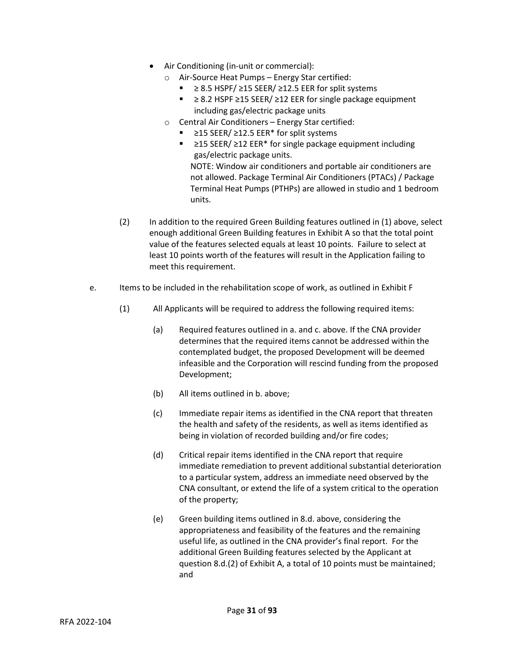- Air Conditioning (in-unit or commercial):
	- o Air-Source Heat Pumps Energy Star certified:
		- $≥ 8.5$  HSPF/  $≥ 15$  SEER/  $≥ 12.5$  EER for split systems
		- ≥ 8.2 HSPF ≥15 SEER/ ≥12 EER for single package equipment including gas/electric package units
	- o Central Air Conditioners Energy Star certified:
		- ≥15 SEER/ ≥12.5 EER<sup>\*</sup> for split systems
		- ≥15 SEER/ ≥12 EER\* for single package equipment including gas/electric package units. NOTE: Window air conditioners and portable air conditioners are not allowed. Package Terminal Air Conditioners (PTACs) / Package Terminal Heat Pumps (PTHPs) are allowed in studio and 1 bedroom units.
- (2) In addition to the required Green Building features outlined in (1) above, select enough additional Green Building features in Exhibit A so that the total point value of the features selected equals at least 10 points. Failure to select at least 10 points worth of the features will result in the Application failing to meet this requirement.
- e. Items to be included in the rehabilitation scope of work, as outlined in Exhibit F
	- (1) All Applicants will be required to address the following required items:
		- (a) Required features outlined in a. and c. above. If the CNA provider determines that the required items cannot be addressed within the contemplated budget, the proposed Development will be deemed infeasible and the Corporation will rescind funding from the proposed Development;
		- (b) All items outlined in b. above;
		- (c) Immediate repair items as identified in the CNA report that threaten the health and safety of the residents, as well as items identified as being in violation of recorded building and/or fire codes;
		- (d) Critical repair items identified in the CNA report that require immediate remediation to prevent additional substantial deterioration to a particular system, address an immediate need observed by the CNA consultant, or extend the life of a system critical to the operation of the property;
		- (e) Green building items outlined in 8.d. above, considering the appropriateness and feasibility of the features and the remaining useful life, as outlined in the CNA provider's final report. For the additional Green Building features selected by the Applicant at question 8.d.(2) of Exhibit A, a total of 10 points must be maintained; and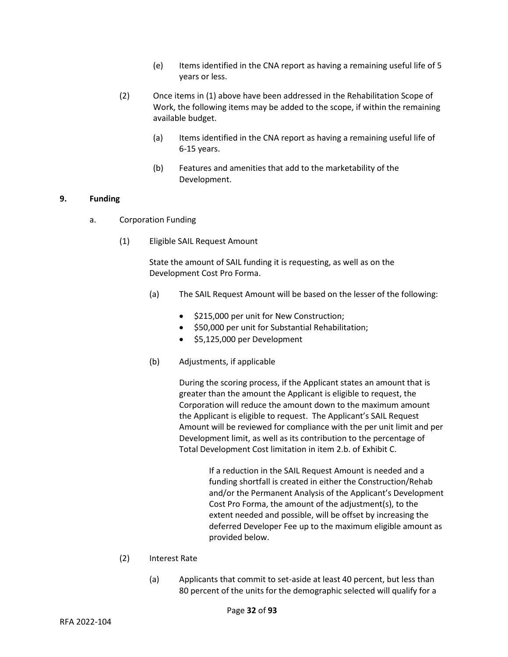- (e) Items identified in the CNA report as having a remaining useful life of 5 years or less.
- (2) Once items in (1) above have been addressed in the Rehabilitation Scope of Work, the following items may be added to the scope, if within the remaining available budget.
	- (a) Items identified in the CNA report as having a remaining useful life of 6-15 years.
	- (b) Features and amenities that add to the marketability of the Development.

## **9. Funding**

- a. Corporation Funding
	- (1) Eligible SAIL Request Amount

State the amount of SAIL funding it is requesting, as well as on the Development Cost Pro Forma.

- (a) The SAIL Request Amount will be based on the lesser of the following:
	- \$215,000 per unit for New Construction;
	- \$50,000 per unit for Substantial Rehabilitation;
	- \$5,125,000 per Development
- (b) Adjustments, if applicable

During the scoring process, if the Applicant states an amount that is greater than the amount the Applicant is eligible to request, the Corporation will reduce the amount down to the maximum amount the Applicant is eligible to request. The Applicant's SAIL Request Amount will be reviewed for compliance with the per unit limit and per Development limit, as well as its contribution to the percentage of Total Development Cost limitation in item 2.b. of Exhibit C.

> If a reduction in the SAIL Request Amount is needed and a funding shortfall is created in either the Construction/Rehab and/or the Permanent Analysis of the Applicant's Development Cost Pro Forma, the amount of the adjustment(s), to the extent needed and possible, will be offset by increasing the deferred Developer Fee up to the maximum eligible amount as provided below.

- (2) Interest Rate
	- (a) Applicants that commit to set-aside at least 40 percent, but less than 80 percent of the units for the demographic selected will qualify for a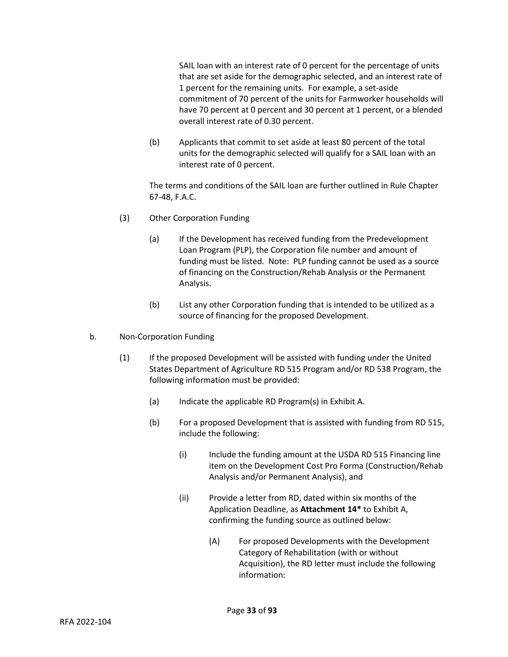SAIL loan with an interest rate of 0 percent for the percentage of units that are set aside for the demographic selected, and an interest rate of 1 percent for the remaining units. For example, a set-aside commitment of 70 percent of the units for Farmworker households will have 70 percent at 0 percent and 30 percent at 1 percent, or a blended overall interest rate of 0.30 percent.

(b) Applicants that commit to set aside at least 80 percent of the total units for the demographic selected will qualify for a SAIL loan with an interest rate of 0 percent.

The terms and conditions of the SAIL loan are further outlined in Rule Chapter 67-48, F.A.C.

- (3) Other Corporation Funding
	- (a) If the Development has received funding from the Predevelopment Loan Program (PLP), the Corporation file number and amount of funding must be listed. Note: PLP funding cannot be used as a source of financing on the Construction/Rehab Analysis or the Permanent Analysis.
	- (b) List any other Corporation funding that is intended to be utilized as a source of financing for the proposed Development.
- b. Non-Corporation Funding
	- (1) If the proposed Development will be assisted with funding under the United States Department of Agriculture RD 515 Program and/or RD 538 Program, the following information must be provided:
		- (a) Indicate the applicable RD Program(s) in Exhibit A.
		- (b) For a proposed Development that is assisted with funding from RD 515, include the following:
			- (i) Include the funding amount at the USDA RD 515 Financing line item on the Development Cost Pro Forma (Construction/Rehab Analysis and/or Permanent Analysis), and
			- (ii) Provide a letter from RD, dated within six months of the Application Deadline, as **Attachment 14\*** to Exhibit A, confirming the funding source as outlined below:
				- (A) For proposed Developments with the Development Category of Rehabilitation (with or without Acquisition), the RD letter must include the following information: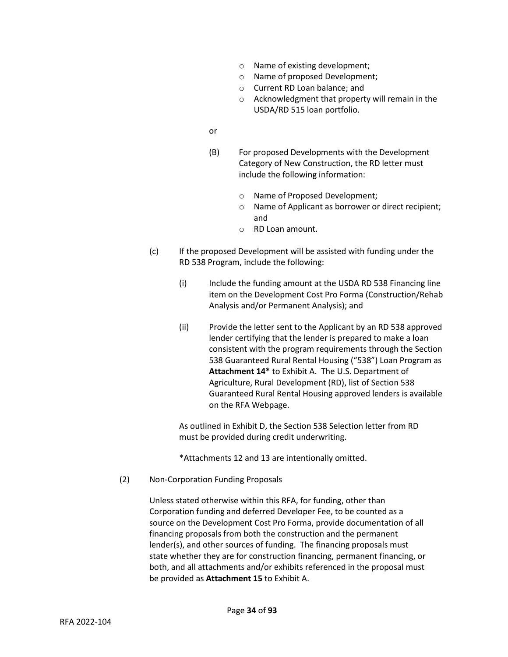- o Name of existing development;
- o Name of proposed Development;
- o Current RD Loan balance; and
- o Acknowledgment that property will remain in the USDA/RD 515 loan portfolio.
- or
- (B) For proposed Developments with the Development Category of New Construction, the RD letter must include the following information:
	- o Name of Proposed Development;
	- o Name of Applicant as borrower or direct recipient; and
	- o RD Loan amount.
- (c) If the proposed Development will be assisted with funding under the RD 538 Program, include the following:
	- (i) Include the funding amount at the USDA RD 538 Financing line item on the Development Cost Pro Forma (Construction/Rehab Analysis and/or Permanent Analysis); and
	- (ii) Provide the letter sent to the Applicant by an RD 538 approved lender certifying that the lender is prepared to make a loan consistent with the program requirements through the Section 538 Guaranteed Rural Rental Housing ("538") Loan Program as **Attachment 14\*** to Exhibit A. The U.S. Department of Agriculture, Rural Development (RD), list of Section 538 Guaranteed Rural Rental Housing approved lenders is available on the RFA Webpage.

As outlined in Exhibit D, the Section 538 Selection letter from RD must be provided during credit underwriting.

\*Attachments 12 and 13 are intentionally omitted.

(2) Non-Corporation Funding Proposals

Unless stated otherwise within this RFA, for funding, other than Corporation funding and deferred Developer Fee, to be counted as a source on the Development Cost Pro Forma, provide documentation of all financing proposals from both the construction and the permanent lender(s), and other sources of funding. The financing proposals must state whether they are for construction financing, permanent financing, or both, and all attachments and/or exhibits referenced in the proposal must be provided as **Attachment 15** to Exhibit A.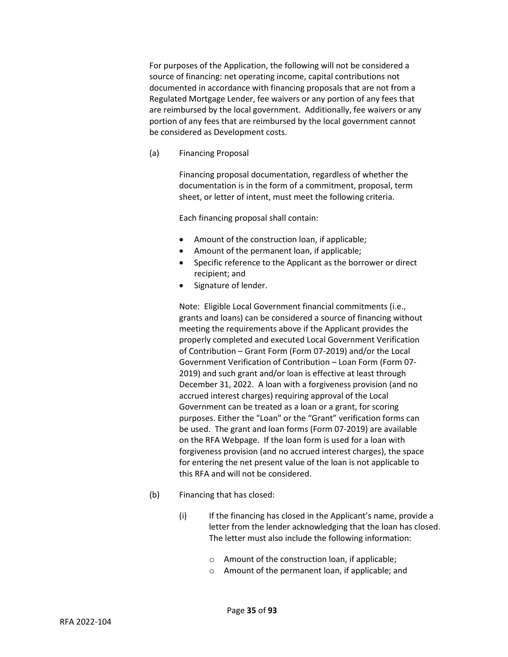For purposes of the Application, the following will not be considered a source of financing: net operating income, capital contributions not documented in accordance with financing proposals that are not from a Regulated Mortgage Lender, fee waivers or any portion of any fees that are reimbursed by the local government. Additionally, fee waivers or any portion of any fees that are reimbursed by the local government cannot be considered as Development costs.

(a) Financing Proposal

Financing proposal documentation, regardless of whether the documentation is in the form of a commitment, proposal, term sheet, or letter of intent, must meet the following criteria.

Each financing proposal shall contain:

- Amount of the construction loan, if applicable;
- Amount of the permanent loan, if applicable;
- Specific reference to the Applicant as the borrower or direct recipient; and
- Signature of lender.

Note: Eligible Local Government financial commitments (i.e., grants and loans) can be considered a source of financing without meeting the requirements above if the Applicant provides the properly completed and executed Local Government Verification of Contribution – Grant Form (Form 07-2019) and/or the Local Government Verification of Contribution – Loan Form (Form 07- 2019) and such grant and/or loan is effective at least through December 31, 2022. A loan with a forgiveness provision (and no accrued interest charges) requiring approval of the Local Government can be treated as a loan or a grant, for scoring purposes. Either the "Loan" or the "Grant" verification forms can be used. The grant and loan forms (Form 07-2019) are available on the RFA Webpage. If the loan form is used for a loan with forgiveness provision (and no accrued interest charges), the space for entering the net present value of the loan is not applicable to this RFA and will not be considered.

- (b) Financing that has closed:
	- (i) If the financing has closed in the Applicant's name, provide a letter from the lender acknowledging that the loan has closed. The letter must also include the following information:
		- o Amount of the construction loan, if applicable;
		- o Amount of the permanent loan, if applicable; and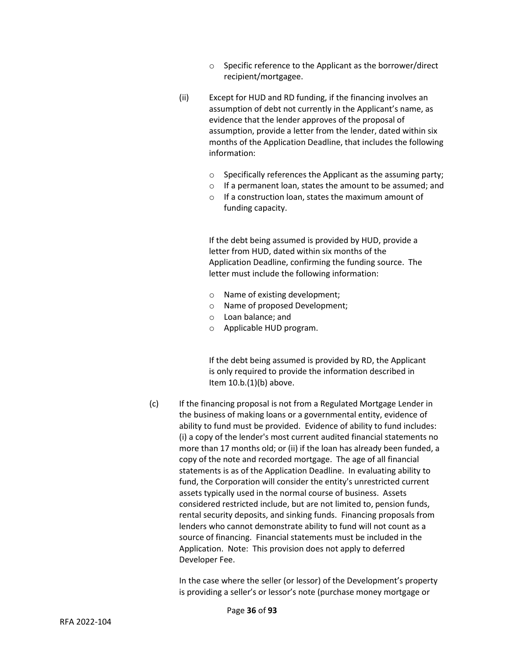- o Specific reference to the Applicant as the borrower/direct recipient/mortgagee.
- (ii) Except for HUD and RD funding, if the financing involves an assumption of debt not currently in the Applicant's name, as evidence that the lender approves of the proposal of assumption, provide a letter from the lender, dated within six months of the Application Deadline, that includes the following information:
	- o Specifically references the Applicant as the assuming party;
	- o If a permanent loan, states the amount to be assumed; and
	- o If a construction loan, states the maximum amount of funding capacity.

If the debt being assumed is provided by HUD, provide a letter from HUD, dated within six months of the Application Deadline, confirming the funding source. The letter must include the following information:

- o Name of existing development;
- o Name of proposed Development;
- o Loan balance; and
- o Applicable HUD program.

If the debt being assumed is provided by RD, the Applicant is only required to provide the information described in Item 10.b.(1)(b) above.

(c) If the financing proposal is not from a Regulated Mortgage Lender in the business of making loans or a governmental entity, evidence of ability to fund must be provided. Evidence of ability to fund includes: (i) a copy of the lender's most current audited financial statements no more than 17 months old; or (ii) if the loan has already been funded, a copy of the note and recorded mortgage. The age of all financial statements is as of the Application Deadline. In evaluating ability to fund, the Corporation will consider the entity's unrestricted current assets typically used in the normal course of business. Assets considered restricted include, but are not limited to, pension funds, rental security deposits, and sinking funds. Financing proposals from lenders who cannot demonstrate ability to fund will not count as a source of financing. Financial statements must be included in the Application. Note: This provision does not apply to deferred Developer Fee.

> In the case where the seller (or lessor) of the Development's property is providing a seller's or lessor's note (purchase money mortgage or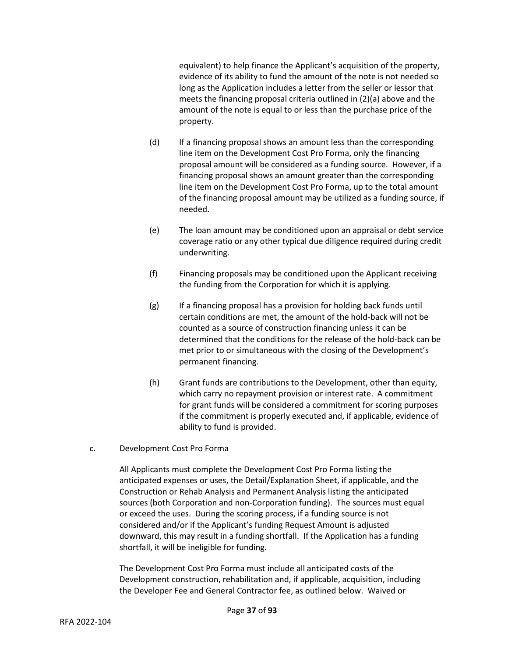equivalent) to help finance the Applicant's acquisition of the property, evidence of its ability to fund the amount of the note is not needed so long as the Application includes a letter from the seller or lessor that meets the financing proposal criteria outlined in (2)(a) above and the amount of the note is equal to or less than the purchase price of the property.

- (d) If a financing proposal shows an amount less than the corresponding line item on the Development Cost Pro Forma, only the financing proposal amount will be considered as a funding source. However, if a financing proposal shows an amount greater than the corresponding line item on the Development Cost Pro Forma, up to the total amount of the financing proposal amount may be utilized as a funding source, if needed.
- (e) The loan amount may be conditioned upon an appraisal or debt service coverage ratio or any other typical due diligence required during credit underwriting.
- (f) Financing proposals may be conditioned upon the Applicant receiving the funding from the Corporation for which it is applying.
- (g) If a financing proposal has a provision for holding back funds until certain conditions are met, the amount of the hold-back will not be counted as a source of construction financing unless it can be determined that the conditions for the release of the hold-back can be met prior to or simultaneous with the closing of the Development's permanent financing.
- (h) Grant funds are contributions to the Development, other than equity, which carry no repayment provision or interest rate. A commitment for grant funds will be considered a commitment for scoring purposes if the commitment is properly executed and, if applicable, evidence of ability to fund is provided.

# c. Development Cost Pro Forma

All Applicants must complete the Development Cost Pro Forma listing the anticipated expenses or uses, the Detail/Explanation Sheet, if applicable, and the Construction or Rehab Analysis and Permanent Analysis listing the anticipated sources (both Corporation and non-Corporation funding). The sources must equal or exceed the uses. During the scoring process, if a funding source is not considered and/or if the Applicant's funding Request Amount is adjusted downward, this may result in a funding shortfall. If the Application has a funding shortfall, it will be ineligible for funding.

The Development Cost Pro Forma must include all anticipated costs of the Development construction, rehabilitation and, if applicable, acquisition, including the Developer Fee and General Contractor fee, as outlined below. Waived or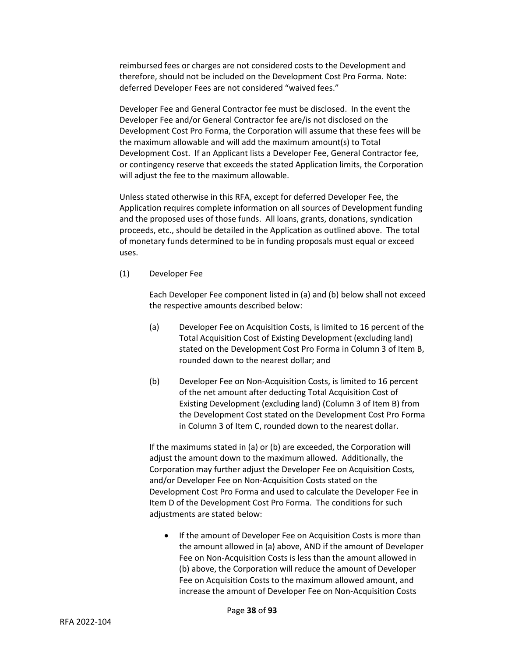reimbursed fees or charges are not considered costs to the Development and therefore, should not be included on the Development Cost Pro Forma. Note: deferred Developer Fees are not considered "waived fees."

Developer Fee and General Contractor fee must be disclosed. In the event the Developer Fee and/or General Contractor fee are/is not disclosed on the Development Cost Pro Forma, the Corporation will assume that these fees will be the maximum allowable and will add the maximum amount(s) to Total Development Cost. If an Applicant lists a Developer Fee, General Contractor fee, or contingency reserve that exceeds the stated Application limits, the Corporation will adjust the fee to the maximum allowable.

Unless stated otherwise in this RFA, except for deferred Developer Fee, the Application requires complete information on all sources of Development funding and the proposed uses of those funds. All loans, grants, donations, syndication proceeds, etc., should be detailed in the Application as outlined above. The total of monetary funds determined to be in funding proposals must equal or exceed uses.

(1) Developer Fee

Each Developer Fee component listed in (a) and (b) below shall not exceed the respective amounts described below:

- (a) Developer Fee on Acquisition Costs, is limited to 16 percent of the Total Acquisition Cost of Existing Development (excluding land) stated on the Development Cost Pro Forma in Column 3 of Item B, rounded down to the nearest dollar; and
- (b) Developer Fee on Non-Acquisition Costs, is limited to 16 percent of the net amount after deducting Total Acquisition Cost of Existing Development (excluding land) (Column 3 of Item B) from the Development Cost stated on the Development Cost Pro Forma in Column 3 of Item C, rounded down to the nearest dollar.

If the maximums stated in (a) or (b) are exceeded, the Corporation will adjust the amount down to the maximum allowed. Additionally, the Corporation may further adjust the Developer Fee on Acquisition Costs, and/or Developer Fee on Non-Acquisition Costs stated on the Development Cost Pro Forma and used to calculate the Developer Fee in Item D of the Development Cost Pro Forma. The conditions for such adjustments are stated below:

• If the amount of Developer Fee on Acquisition Costs is more than the amount allowed in (a) above, AND if the amount of Developer Fee on Non-Acquisition Costs is less than the amount allowed in (b) above, the Corporation will reduce the amount of Developer Fee on Acquisition Costs to the maximum allowed amount, and increase the amount of Developer Fee on Non-Acquisition Costs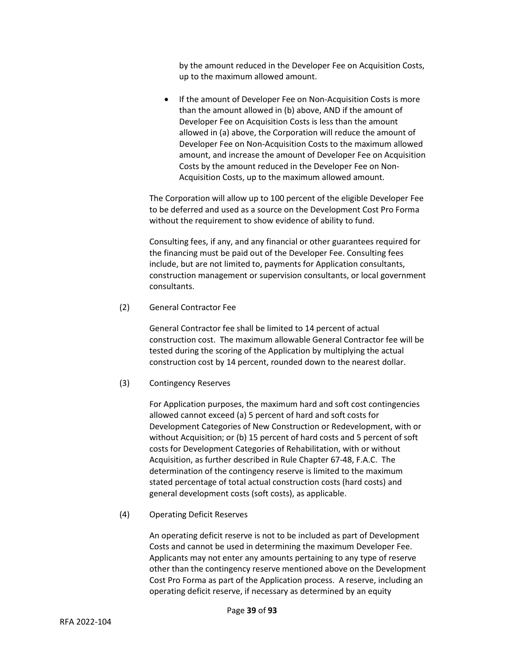by the amount reduced in the Developer Fee on Acquisition Costs, up to the maximum allowed amount.

• If the amount of Developer Fee on Non-Acquisition Costs is more than the amount allowed in (b) above, AND if the amount of Developer Fee on Acquisition Costs is less than the amount allowed in (a) above, the Corporation will reduce the amount of Developer Fee on Non-Acquisition Costs to the maximum allowed amount, and increase the amount of Developer Fee on Acquisition Costs by the amount reduced in the Developer Fee on Non-Acquisition Costs, up to the maximum allowed amount.

The Corporation will allow up to 100 percent of the eligible Developer Fee to be deferred and used as a source on the Development Cost Pro Forma without the requirement to show evidence of ability to fund.

Consulting fees, if any, and any financial or other guarantees required for the financing must be paid out of the Developer Fee. Consulting fees include, but are not limited to, payments for Application consultants, construction management or supervision consultants, or local government consultants.

(2) General Contractor Fee

General Contractor fee shall be limited to 14 percent of actual construction cost. The maximum allowable General Contractor fee will be tested during the scoring of the Application by multiplying the actual construction cost by 14 percent, rounded down to the nearest dollar.

# (3) Contingency Reserves

For Application purposes, the maximum hard and soft cost contingencies allowed cannot exceed (a) 5 percent of hard and soft costs for Development Categories of New Construction or Redevelopment, with or without Acquisition; or (b) 15 percent of hard costs and 5 percent of soft costs for Development Categories of Rehabilitation, with or without Acquisition, as further described in Rule Chapter 67-48, F.A.C. The determination of the contingency reserve is limited to the maximum stated percentage of total actual construction costs (hard costs) and general development costs (soft costs), as applicable.

(4) Operating Deficit Reserves

An operating deficit reserve is not to be included as part of Development Costs and cannot be used in determining the maximum Developer Fee. Applicants may not enter any amounts pertaining to any type of reserve other than the contingency reserve mentioned above on the Development Cost Pro Forma as part of the Application process. A reserve, including an operating deficit reserve, if necessary as determined by an equity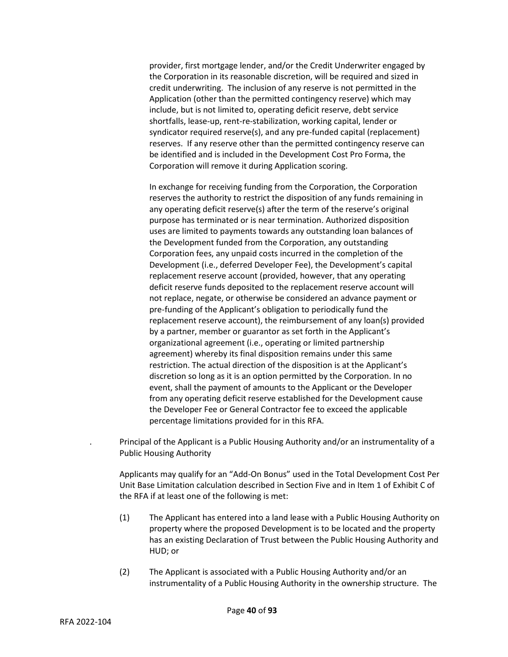provider, first mortgage lender, and/or the Credit Underwriter engaged by the Corporation in its reasonable discretion, will be required and sized in credit underwriting. The inclusion of any reserve is not permitted in the Application (other than the permitted contingency reserve) which may include, but is not limited to, operating deficit reserve, debt service shortfalls, lease-up, rent-re-stabilization, working capital, lender or syndicator required reserve(s), and any pre-funded capital (replacement) reserves. If any reserve other than the permitted contingency reserve can be identified and is included in the Development Cost Pro Forma, the Corporation will remove it during Application scoring.

In exchange for receiving funding from the Corporation, the Corporation reserves the authority to restrict the disposition of any funds remaining in any operating deficit reserve(s) after the term of the reserve's original purpose has terminated or is near termination. Authorized disposition uses are limited to payments towards any outstanding loan balances of the Development funded from the Corporation, any outstanding Corporation fees, any unpaid costs incurred in the completion of the Development (i.e., deferred Developer Fee), the Development's capital replacement reserve account (provided, however, that any operating deficit reserve funds deposited to the replacement reserve account will not replace, negate, or otherwise be considered an advance payment or pre-funding of the Applicant's obligation to periodically fund the replacement reserve account), the reimbursement of any loan(s) provided by a partner, member or guarantor as set forth in the Applicant's organizational agreement (i.e., operating or limited partnership agreement) whereby its final disposition remains under this same restriction. The actual direction of the disposition is at the Applicant's discretion so long as it is an option permitted by the Corporation. In no event, shall the payment of amounts to the Applicant or the Developer from any operating deficit reserve established for the Development cause the Developer Fee or General Contractor fee to exceed the applicable percentage limitations provided for in this RFA.

. Principal of the Applicant is a Public Housing Authority and/or an instrumentality of a Public Housing Authority

Applicants may qualify for an "Add-On Bonus" used in the Total Development Cost Per Unit Base Limitation calculation described in Section Five and in Item 1 of Exhibit C of the RFA if at least one of the following is met:

- (1) The Applicant has entered into a land lease with a Public Housing Authority on property where the proposed Development is to be located and the property has an existing Declaration of Trust between the Public Housing Authority and HUD; or
- (2) The Applicant is associated with a Public Housing Authority and/or an instrumentality of a Public Housing Authority in the ownership structure. The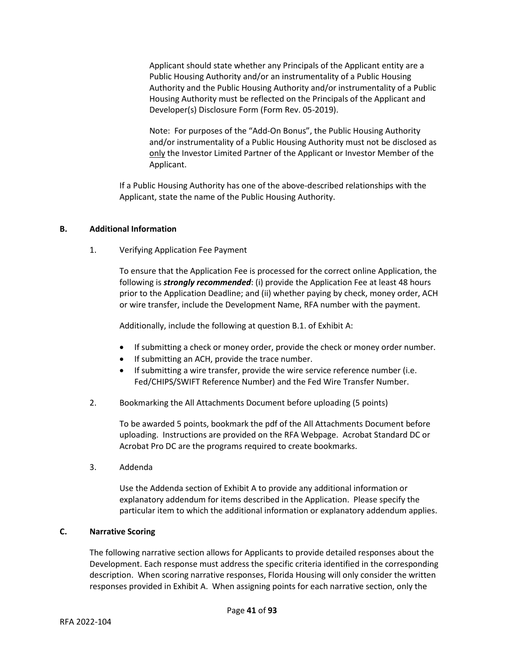Applicant should state whether any Principals of the Applicant entity are a Public Housing Authority and/or an instrumentality of a Public Housing Authority and the Public Housing Authority and/or instrumentality of a Public Housing Authority must be reflected on the Principals of the Applicant and Developer(s) Disclosure Form (Form Rev. 05-2019).

Note: For purposes of the "Add-On Bonus", the Public Housing Authority and/or instrumentality of a Public Housing Authority must not be disclosed as only the Investor Limited Partner of the Applicant or Investor Member of the Applicant.

If a Public Housing Authority has one of the above-described relationships with the Applicant, state the name of the Public Housing Authority.

# **B. Additional Information**

1. Verifying Application Fee Payment

To ensure that the Application Fee is processed for the correct online Application, the following is *strongly recommended*: (i) provide the Application Fee at least 48 hours prior to the Application Deadline; and (ii) whether paying by check, money order, ACH or wire transfer, include the Development Name, RFA number with the payment.

Additionally, include the following at question B.1. of Exhibit A:

- If submitting a check or money order, provide the check or money order number.
- If submitting an ACH, provide the trace number.
- If submitting a wire transfer, provide the wire service reference number (i.e. Fed/CHIPS/SWIFT Reference Number) and the Fed Wire Transfer Number.
- 2. Bookmarking the All Attachments Document before uploading (5 points)

To be awarded 5 points, bookmark the pdf of the All Attachments Document before uploading. Instructions are provided on the RFA Webpage. Acrobat Standard DC or Acrobat Pro DC are the programs required to create bookmarks.

3. Addenda

Use the Addenda section of Exhibit A to provide any additional information or explanatory addendum for items described in the Application. Please specify the particular item to which the additional information or explanatory addendum applies.

### **C. Narrative Scoring**

The following narrative section allows for Applicants to provide detailed responses about the Development. Each response must address the specific criteria identified in the corresponding description. When scoring narrative responses, Florida Housing will only consider the written responses provided in Exhibit A. When assigning points for each narrative section, only the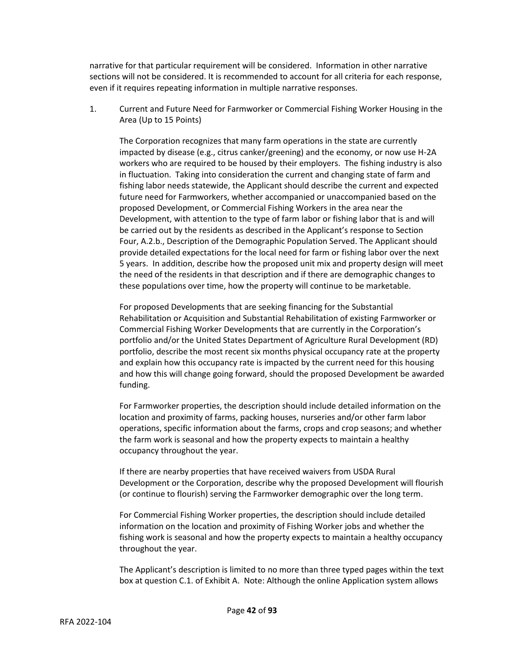narrative for that particular requirement will be considered. Information in other narrative sections will not be considered. It is recommended to account for all criteria for each response, even if it requires repeating information in multiple narrative responses.

1. Current and Future Need for Farmworker or Commercial Fishing Worker Housing in the Area (Up to 15 Points)

The Corporation recognizes that many farm operations in the state are currently impacted by disease (e.g., citrus canker/greening) and the economy, or now use H-2A workers who are required to be housed by their employers. The fishing industry is also in fluctuation. Taking into consideration the current and changing state of farm and fishing labor needs statewide, the Applicant should describe the current and expected future need for Farmworkers, whether accompanied or unaccompanied based on the proposed Development, or Commercial Fishing Workers in the area near the Development, with attention to the type of farm labor or fishing labor that is and will be carried out by the residents as described in the Applicant's response to Section Four, A.2.b., Description of the Demographic Population Served. The Applicant should provide detailed expectations for the local need for farm or fishing labor over the next 5 years. In addition, describe how the proposed unit mix and property design will meet the need of the residents in that description and if there are demographic changes to these populations over time, how the property will continue to be marketable.

For proposed Developments that are seeking financing for the Substantial Rehabilitation or Acquisition and Substantial Rehabilitation of existing Farmworker or Commercial Fishing Worker Developments that are currently in the Corporation's portfolio and/or the United States Department of Agriculture Rural Development (RD) portfolio, describe the most recent six months physical occupancy rate at the property and explain how this occupancy rate is impacted by the current need for this housing and how this will change going forward, should the proposed Development be awarded funding.

For Farmworker properties, the description should include detailed information on the location and proximity of farms, packing houses, nurseries and/or other farm labor operations, specific information about the farms, crops and crop seasons; and whether the farm work is seasonal and how the property expects to maintain a healthy occupancy throughout the year.

If there are nearby properties that have received waivers from USDA Rural Development or the Corporation, describe why the proposed Development will flourish (or continue to flourish) serving the Farmworker demographic over the long term.

For Commercial Fishing Worker properties, the description should include detailed information on the location and proximity of Fishing Worker jobs and whether the fishing work is seasonal and how the property expects to maintain a healthy occupancy throughout the year.

The Applicant's description is limited to no more than three typed pages within the text box at question C.1. of Exhibit A. Note: Although the online Application system allows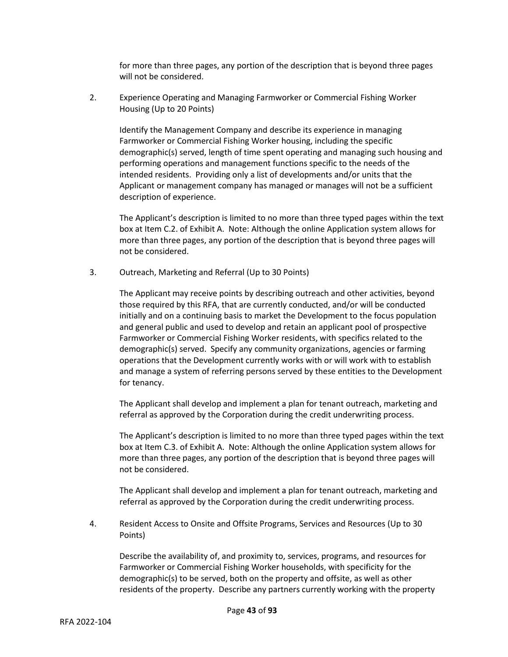for more than three pages, any portion of the description that is beyond three pages will not be considered.

2. Experience Operating and Managing Farmworker or Commercial Fishing Worker Housing (Up to 20 Points)

Identify the Management Company and describe its experience in managing Farmworker or Commercial Fishing Worker housing, including the specific demographic(s) served, length of time spent operating and managing such housing and performing operations and management functions specific to the needs of the intended residents. Providing only a list of developments and/or units that the Applicant or management company has managed or manages will not be a sufficient description of experience.

The Applicant's description is limited to no more than three typed pages within the text box at Item C.2. of Exhibit A. Note: Although the online Application system allows for more than three pages, any portion of the description that is beyond three pages will not be considered.

3. Outreach, Marketing and Referral (Up to 30 Points)

The Applicant may receive points by describing outreach and other activities, beyond those required by this RFA, that are currently conducted, and/or will be conducted initially and on a continuing basis to market the Development to the focus population and general public and used to develop and retain an applicant pool of prospective Farmworker or Commercial Fishing Worker residents, with specifics related to the demographic(s) served. Specify any community organizations, agencies or farming operations that the Development currently works with or will work with to establish and manage a system of referring persons served by these entities to the Development for tenancy.

The Applicant shall develop and implement a plan for tenant outreach, marketing and referral as approved by the Corporation during the credit underwriting process.

The Applicant's description is limited to no more than three typed pages within the text box at Item C.3. of Exhibit A. Note: Although the online Application system allows for more than three pages, any portion of the description that is beyond three pages will not be considered.

The Applicant shall develop and implement a plan for tenant outreach, marketing and referral as approved by the Corporation during the credit underwriting process.

4. Resident Access to Onsite and Offsite Programs, Services and Resources (Up to 30 Points)

Describe the availability of, and proximity to, services, programs, and resources for Farmworker or Commercial Fishing Worker households, with specificity for the demographic(s) to be served, both on the property and offsite, as well as other residents of the property. Describe any partners currently working with the property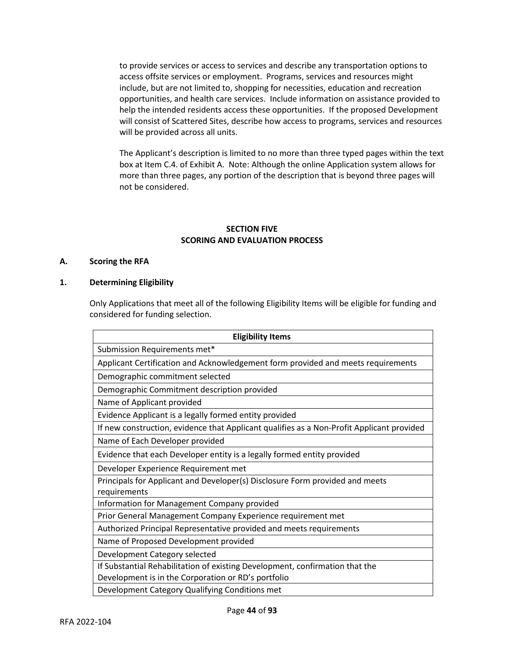to provide services or access to services and describe any transportation options to access offsite services or employment. Programs, services and resources might include, but are not limited to, shopping for necessities, education and recreation opportunities, and health care services. Include information on assistance provided to help the intended residents access these opportunities. If the proposed Development will consist of Scattered Sites, describe how access to programs, services and resources will be provided across all units.

The Applicant's description is limited to no more than three typed pages within the text box at Item C.4. of Exhibit A. Note: Although the online Application system allows for more than three pages, any portion of the description that is beyond three pages will not be considered.

# **SECTION FIVE SCORING AND EVALUATION PROCESS**

# **A. Scoring the RFA**

## **1. Determining Eligibility**

Only Applications that meet all of the following Eligibility Items will be eligible for funding and considered for funding selection.

| <b>Eligibility Items</b>                                                                  |  |  |
|-------------------------------------------------------------------------------------------|--|--|
| Submission Requirements met*                                                              |  |  |
| Applicant Certification and Acknowledgement form provided and meets requirements          |  |  |
| Demographic commitment selected                                                           |  |  |
| Demographic Commitment description provided                                               |  |  |
| Name of Applicant provided                                                                |  |  |
| Evidence Applicant is a legally formed entity provided                                    |  |  |
| If new construction, evidence that Applicant qualifies as a Non-Profit Applicant provided |  |  |
| Name of Each Developer provided                                                           |  |  |
| Evidence that each Developer entity is a legally formed entity provided                   |  |  |
| Developer Experience Requirement met                                                      |  |  |
| Principals for Applicant and Developer(s) Disclosure Form provided and meets              |  |  |
| requirements                                                                              |  |  |
| Information for Management Company provided                                               |  |  |
| Prior General Management Company Experience requirement met                               |  |  |
| Authorized Principal Representative provided and meets requirements                       |  |  |
| Name of Proposed Development provided                                                     |  |  |
| Development Category selected                                                             |  |  |
| If Substantial Rehabilitation of existing Development, confirmation that the              |  |  |
| Development is in the Corporation or RD's portfolio                                       |  |  |
| Development Category Qualifying Conditions met                                            |  |  |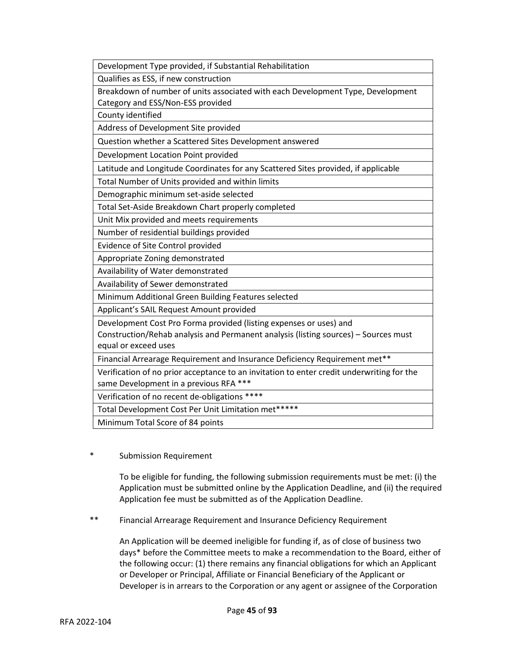| Development Type provided, if Substantial Rehabilitation                                  |
|-------------------------------------------------------------------------------------------|
| Qualifies as ESS, if new construction                                                     |
| Breakdown of number of units associated with each Development Type, Development           |
| Category and ESS/Non-ESS provided                                                         |
| County identified                                                                         |
| Address of Development Site provided                                                      |
| Question whether a Scattered Sites Development answered                                   |
| Development Location Point provided                                                       |
| Latitude and Longitude Coordinates for any Scattered Sites provided, if applicable        |
| Total Number of Units provided and within limits                                          |
| Demographic minimum set-aside selected                                                    |
| Total Set-Aside Breakdown Chart properly completed                                        |
| Unit Mix provided and meets requirements                                                  |
| Number of residential buildings provided                                                  |
| Evidence of Site Control provided                                                         |
| Appropriate Zoning demonstrated                                                           |
| Availability of Water demonstrated                                                        |
| Availability of Sewer demonstrated                                                        |
| Minimum Additional Green Building Features selected                                       |
| Applicant's SAIL Request Amount provided                                                  |
| Development Cost Pro Forma provided (listing expenses or uses) and                        |
| Construction/Rehab analysis and Permanent analysis (listing sources) - Sources must       |
| equal or exceed uses                                                                      |
| Financial Arrearage Requirement and Insurance Deficiency Requirement met**                |
| Verification of no prior acceptance to an invitation to enter credit underwriting for the |
| same Development in a previous RFA ***                                                    |
| Verification of no recent de-obligations ****                                             |
| Total Development Cost Per Unit Limitation met*****                                       |
| Minimum Total Score of 84 points                                                          |

\* Submission Requirement

To be eligible for funding, the following submission requirements must be met: (i) the Application must be submitted online by the Application Deadline, and (ii) the required Application fee must be submitted as of the Application Deadline.

\*\* Financial Arrearage Requirement and Insurance Deficiency Requirement

An Application will be deemed ineligible for funding if, as of close of business two days\* before the Committee meets to make a recommendation to the Board, either of the following occur: (1) there remains any financial obligations for which an Applicant or Developer or Principal, Affiliate or Financial Beneficiary of the Applicant or Developer is in arrears to the Corporation or any agent or assignee of the Corporation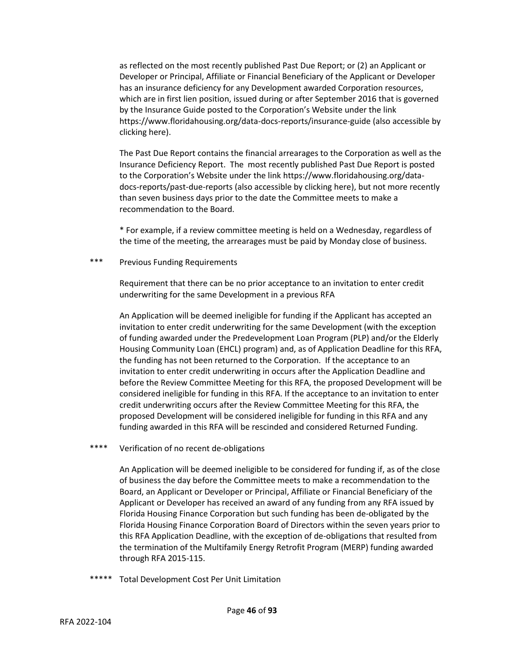as reflected on the most recently published Past Due Report; or (2) an Applicant or Developer or Principal, Affiliate or Financial Beneficiary of the Applicant or Developer has an insurance deficiency for any Development awarded Corporation resources, which are in first lien position, issued during or after September 2016 that is governed by the Insurance Guide posted to the Corporation's Website under the link https://www.floridahousing.org/data-docs-reports/insurance-guide (also accessible by clicking [here\)](https://www.floridahousing.org/data-docs-reports/insurance-guide).

The Past Due Report contains the financial arrearages to the Corporation as well as the Insurance Deficiency Report. The most recently published Past Due Report is posted to the Corporation's Website under the link https://www.floridahousing.org/datadocs-reports/past-due-reports (also accessible by clickin[g here\)](https://www.floridahousing.org/data-docs-reports/past-due-reports), but not more recently than seven business days prior to the date the Committee meets to make a recommendation to the Board.

\* For example, if a review committee meeting is held on a Wednesday, regardless of the time of the meeting, the arrearages must be paid by Monday close of business.

\*\*\* Previous Funding Requirements

Requirement that there can be no prior acceptance to an invitation to enter credit underwriting for the same Development in a previous RFA

An Application will be deemed ineligible for funding if the Applicant has accepted an invitation to enter credit underwriting for the same Development (with the exception of funding awarded under the Predevelopment Loan Program (PLP) and/or the Elderly Housing Community Loan (EHCL) program) and, as of Application Deadline for this RFA, the funding has not been returned to the Corporation. If the acceptance to an invitation to enter credit underwriting in occurs after the Application Deadline and before the Review Committee Meeting for this RFA, the proposed Development will be considered ineligible for funding in this RFA. If the acceptance to an invitation to enter credit underwriting occurs after the Review Committee Meeting for this RFA, the proposed Development will be considered ineligible for funding in this RFA and any funding awarded in this RFA will be rescinded and considered Returned Funding.

\*\*\*\* Verification of no recent de-obligations

An Application will be deemed ineligible to be considered for funding if, as of the close of business the day before the Committee meets to make a recommendation to the Board, an Applicant or Developer or Principal, Affiliate or Financial Beneficiary of the Applicant or Developer has received an award of any funding from any RFA issued by Florida Housing Finance Corporation but such funding has been de-obligated by the Florida Housing Finance Corporation Board of Directors within the seven years prior to this RFA Application Deadline, with the exception of de-obligations that resulted from the termination of the Multifamily Energy Retrofit Program (MERP) funding awarded through RFA 2015-115.

\*\*\*\*\* Total Development Cost Per Unit Limitation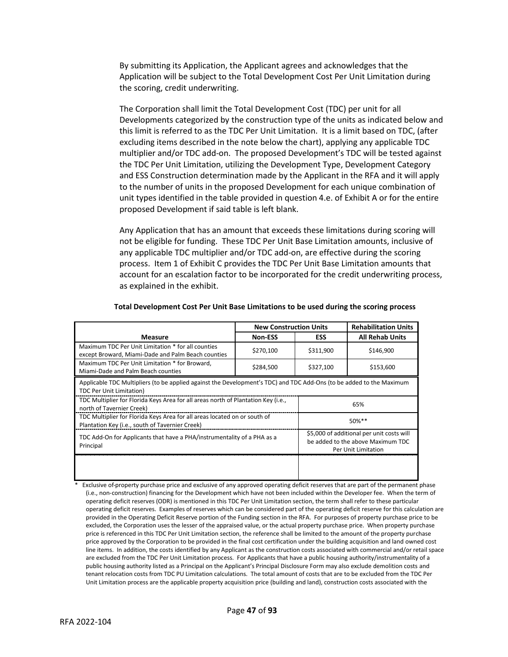By submitting its Application, the Applicant agrees and acknowledges that the Application will be subject to the Total Development Cost Per Unit Limitation during the scoring, credit underwriting.

The Corporation shall limit the Total Development Cost (TDC) per unit for all Developments categorized by the construction type of the units as indicated below and this limit is referred to as the TDC Per Unit Limitation. It is a limit based on TDC, (after excluding items described in the note below the chart), applying any applicable TDC multiplier and/or TDC add-on. The proposed Development's TDC will be tested against the TDC Per Unit Limitation, utilizing the Development Type, Development Category and ESS Construction determination made by the Applicant in the RFA and it will apply to the number of units in the proposed Development for each unique combination of unit types identified in the table provided in question 4.e. of Exhibit A or for the entire proposed Development if said table is left blank.

Any Application that has an amount that exceeds these limitations during scoring will not be eligible for funding. These TDC Per Unit Base Limitation amounts, inclusive of any applicable TDC multiplier and/or TDC add-on, are effective during the scoring process. Item 1 of Exhibit C provides the TDC Per Unit Base Limitation amounts that account for an escalation factor to be incorporated for the credit underwriting process, as explained in the exhibit.

| <b>New Construction Units</b>                                                                                                                           |                |            | <b>Rehabilitation Units</b>                                                                           |
|---------------------------------------------------------------------------------------------------------------------------------------------------------|----------------|------------|-------------------------------------------------------------------------------------------------------|
| <b>Measure</b>                                                                                                                                          | <b>Non-ESS</b> | <b>ESS</b> | <b>All Rehab Units</b>                                                                                |
| Maximum TDC Per Unit Limitation * for all counties<br>except Broward, Miami-Dade and Palm Beach counties                                                | \$270,100      | \$311,900  | \$146,900                                                                                             |
| Maximum TDC Per Unit Limitation * for Broward,<br>Miami-Dade and Palm Beach counties                                                                    | \$284,500      | \$327,100  | \$153,600                                                                                             |
| Applicable TDC Multipliers (to be applied against the Development's TDC) and TDC Add-Ons (to be added to the Maximum<br><b>TDC Per Unit Limitation)</b> |                |            |                                                                                                       |
| TDC Multiplier for Florida Keys Area for all areas north of Plantation Key (i.e.,<br>north of Tavernier Creek)                                          |                |            | 65%                                                                                                   |
| TDC Multiplier for Florida Keys Area for all areas located on or south of<br>Plantation Key (i.e., south of Tavernier Creek)                            |                |            | $50\%$ **                                                                                             |
| TDC Add-On for Applicants that have a PHA/instrumentality of a PHA as a<br>Principal                                                                    |                |            | \$5,000 of additional per unit costs will<br>be added to the above Maximum TDC<br>Per Unit Limitation |
|                                                                                                                                                         |                |            |                                                                                                       |

#### **Total Development Cost Per Unit Base Limitations to be used during the scoring process**

Exclusive of property purchase price and exclusive of any approved operating deficit reserves that are part of the permanent phase (i.e., non-construction) financing for the Development which have not been included within the Developer fee. When the term of operating deficit reserves (ODR) is mentioned in this TDC Per Unit Limitation section, the term shall refer to these particular operating deficit reserves. Examples of reserves which can be considered part of the operating deficit reserve for this calculation are provided in the Operating Deficit Reserve portion of the Funding section in the RFA. For purposes of property purchase price to be excluded, the Corporation uses the lesser of the appraised value, or the actual property purchase price. When property purchase price is referenced in this TDC Per Unit Limitation section, the reference shall be limited to the amount of the property purchase price approved by the Corporation to be provided in the final cost certification under the building acquisition and land owned cost line items. In addition, the costs identified by any Applicant as the construction costs associated with commercial and/or retail space are excluded from the TDC Per Unit Limitation process. For Applicants that have a public housing authority/instrumentality of a public housing authority listed as a Principal on the Applicant's Principal Disclosure Form may also exclude demolition costs and tenant relocation costs from TDC PU Limitation calculations. The total amount of costs that are to be excluded from the TDC Per Unit Limitation process are the applicable property acquisition price (building and land), construction costs associated with the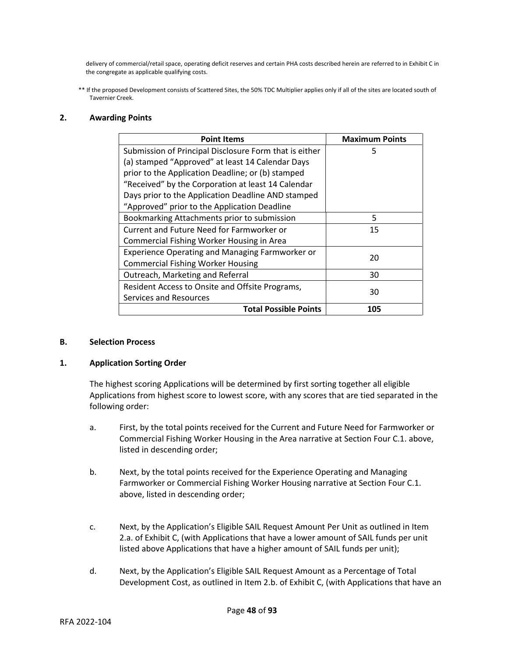delivery of commercial/retail space, operating deficit reserves and certain PHA costs described herein are referred to in Exhibit C in the congregate as applicable qualifying costs.

\*\* If the proposed Development consists of Scattered Sites, the 50% TDC Multiplier applies only if all of the sites are located south of Tavernier Creek.

## **2. Awarding Points**

| <b>Point Items</b>                                     | <b>Maximum Points</b> |
|--------------------------------------------------------|-----------------------|
| Submission of Principal Disclosure Form that is either | 5                     |
| (a) stamped "Approved" at least 14 Calendar Days       |                       |
| prior to the Application Deadline; or (b) stamped      |                       |
| "Received" by the Corporation at least 14 Calendar     |                       |
| Days prior to the Application Deadline AND stamped     |                       |
| "Approved" prior to the Application Deadline           |                       |
| Bookmarking Attachments prior to submission            | 5                     |
| Current and Future Need for Farmworker or              | 15                    |
| Commercial Fishing Worker Housing in Area              |                       |
| Experience Operating and Managing Farmworker or        | 20                    |
| <b>Commercial Fishing Worker Housing</b>               |                       |
| Outreach, Marketing and Referral                       | 30                    |
| Resident Access to Onsite and Offsite Programs,        |                       |
| Services and Resources                                 | 30                    |
| <b>Total Possible Points</b>                           | 105                   |

#### **B. Selection Process**

#### **1. Application Sorting Order**

The highest scoring Applications will be determined by first sorting together all eligible Applications from highest score to lowest score, with any scores that are tied separated in the following order:

- a. First, by the total points received for the Current and Future Need for Farmworker or Commercial Fishing Worker Housing in the Area narrative at Section Four C.1. above, listed in descending order;
- b. Next, by the total points received for the Experience Operating and Managing Farmworker or Commercial Fishing Worker Housing narrative at Section Four C.1. above, listed in descending order;
- c. Next, by the Application's Eligible SAIL Request Amount Per Unit as outlined in Item 2.a. of Exhibit C, (with Applications that have a lower amount of SAIL funds per unit listed above Applications that have a higher amount of SAIL funds per unit);
- d. Next, by the Application's Eligible SAIL Request Amount as a Percentage of Total Development Cost, as outlined in Item 2.b. of Exhibit C, (with Applications that have an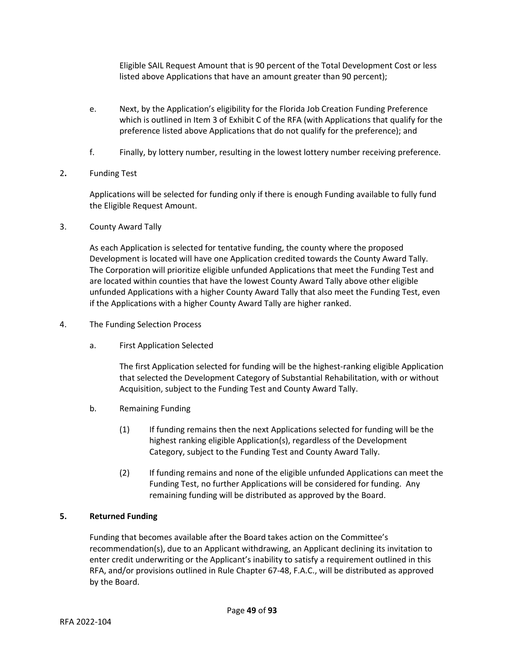Eligible SAIL Request Amount that is 90 percent of the Total Development Cost or less listed above Applications that have an amount greater than 90 percent);

- e. Next, by the Application's eligibility for the Florida Job Creation Funding Preference which is outlined in Item 3 of Exhibit C of the RFA (with Applications that qualify for the preference listed above Applications that do not qualify for the preference); and
- f. Finally, by lottery number, resulting in the lowest lottery number receiving preference.
- 2**.** Funding Test

Applications will be selected for funding only if there is enough Funding available to fully fund the Eligible Request Amount.

3. County Award Tally

As each Application is selected for tentative funding, the county where the proposed Development is located will have one Application credited towards the County Award Tally. The Corporation will prioritize eligible unfunded Applications that meet the Funding Test and are located within counties that have the lowest County Award Tally above other eligible unfunded Applications with a higher County Award Tally that also meet the Funding Test, even if the Applications with a higher County Award Tally are higher ranked.

- 4. The Funding Selection Process
	- a. First Application Selected

The first Application selected for funding will be the highest-ranking eligible Application that selected the Development Category of Substantial Rehabilitation, with or without Acquisition, subject to the Funding Test and County Award Tally.

- b. Remaining Funding
	- (1) If funding remains then the next Applications selected for funding will be the highest ranking eligible Application(s), regardless of the Development Category, subject to the Funding Test and County Award Tally.
	- (2) If funding remains and none of the eligible unfunded Applications can meet the Funding Test, no further Applications will be considered for funding. Any remaining funding will be distributed as approved by the Board.

# **5. Returned Funding**

Funding that becomes available after the Board takes action on the Committee's recommendation(s), due to an Applicant withdrawing, an Applicant declining its invitation to enter credit underwriting or the Applicant's inability to satisfy a requirement outlined in this RFA, and/or provisions outlined in Rule Chapter 67-48, F.A.C., will be distributed as approved by the Board.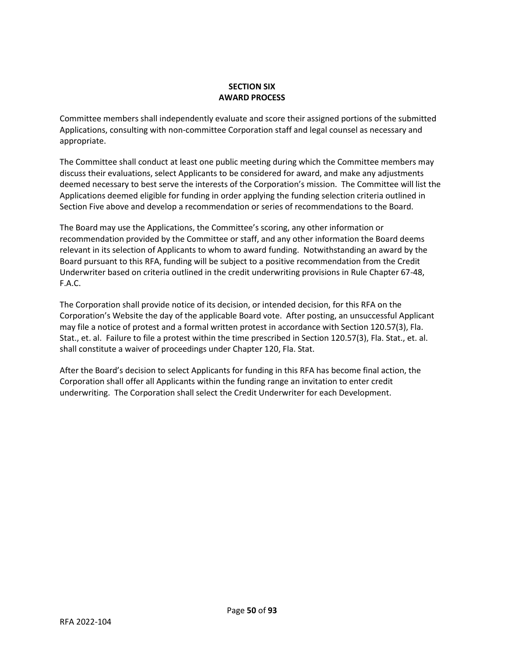# **SECTION SIX AWARD PROCESS**

Committee members shall independently evaluate and score their assigned portions of the submitted Applications, consulting with non-committee Corporation staff and legal counsel as necessary and appropriate.

The Committee shall conduct at least one public meeting during which the Committee members may discuss their evaluations, select Applicants to be considered for award, and make any adjustments deemed necessary to best serve the interests of the Corporation's mission. The Committee will list the Applications deemed eligible for funding in order applying the funding selection criteria outlined in Section Five above and develop a recommendation or series of recommendations to the Board.

The Board may use the Applications, the Committee's scoring, any other information or recommendation provided by the Committee or staff, and any other information the Board deems relevant in its selection of Applicants to whom to award funding. Notwithstanding an award by the Board pursuant to this RFA, funding will be subject to a positive recommendation from the Credit Underwriter based on criteria outlined in the credit underwriting provisions in Rule Chapter 67-48, F.A.C.

The Corporation shall provide notice of its decision, or intended decision, for this RFA on the Corporation's Website the day of the applicable Board vote. After posting, an unsuccessful Applicant may file a notice of protest and a formal written protest in accordance with Section 120.57(3), Fla. Stat., et. al. Failure to file a protest within the time prescribed in Section 120.57(3), Fla. Stat., et. al. shall constitute a waiver of proceedings under Chapter 120, Fla. Stat.

After the Board's decision to select Applicants for funding in this RFA has become final action, the Corporation shall offer all Applicants within the funding range an invitation to enter credit underwriting. The Corporation shall select the Credit Underwriter for each Development.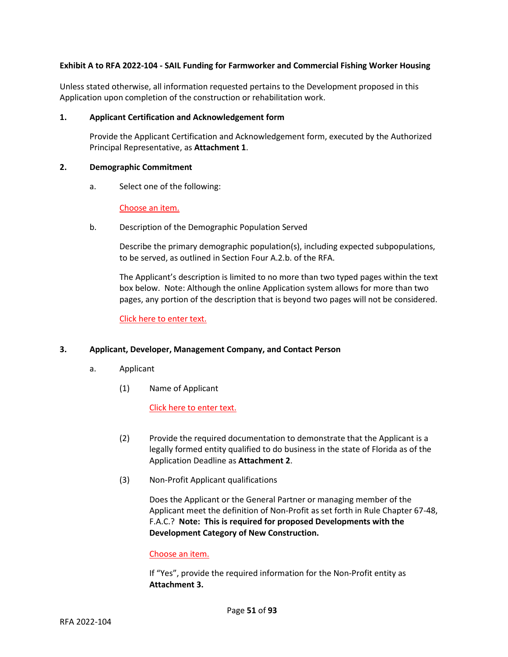# **Exhibit A to RFA 2022-104 - SAIL Funding for Farmworker and Commercial Fishing Worker Housing**

Unless stated otherwise, all information requested pertains to the Development proposed in this Application upon completion of the construction or rehabilitation work.

### **1. Applicant Certification and Acknowledgement form**

Provide the Applicant Certification and Acknowledgement form, executed by the Authorized Principal Representative, as **Attachment 1**.

#### **2. Demographic Commitment**

a. Select one of the following:

## Choose an item.

b. Description of the Demographic Population Served

Describe the primary demographic population(s), including expected subpopulations, to be served, as outlined in Section Four A.2.b. of the RFA.

The Applicant's description is limited to no more than two typed pages within the text box below. Note: Although the online Application system allows for more than two pages, any portion of the description that is beyond two pages will not be considered.

Click here to enter text.

#### **3. Applicant, Developer, Management Company, and Contact Person**

- a. Applicant
	- (1) Name of Applicant

# Click here to enter text.

- (2) Provide the required documentation to demonstrate that the Applicant is a legally formed entity qualified to do business in the state of Florida as of the Application Deadline as **Attachment 2**.
- (3) Non-Profit Applicant qualifications

Does the Applicant or the General Partner or managing member of the Applicant meet the definition of Non-Profit as set forth in Rule Chapter 67-48, F.A.C.? **Note: This is required for proposed Developments with the Development Category of New Construction.**

#### Choose an item.

If "Yes", provide the required information for the Non-Profit entity as **Attachment 3.**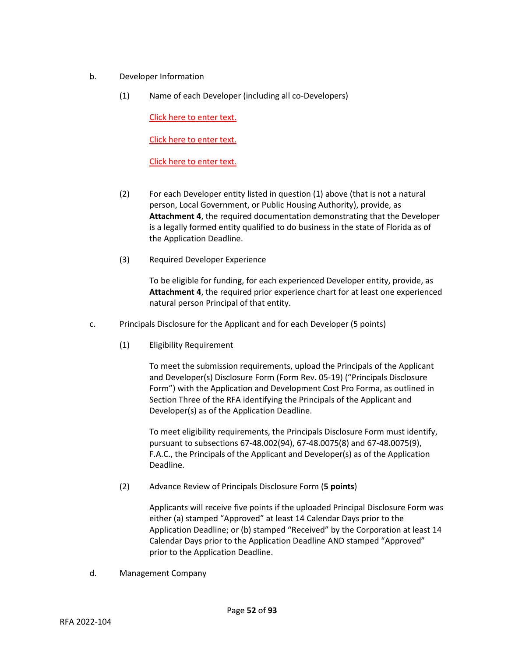- b. Developer Information
	- (1) Name of each Developer (including all co-Developers)

Click here to enter text.

Click here to enter text.

Click here to enter text.

- (2) For each Developer entity listed in question (1) above (that is not a natural person, Local Government, or Public Housing Authority), provide, as **Attachment 4**, the required documentation demonstrating that the Developer is a legally formed entity qualified to do business in the state of Florida as of the Application Deadline.
- (3) Required Developer Experience

To be eligible for funding, for each experienced Developer entity, provide, as **Attachment 4**, the required prior experience chart for at least one experienced natural person Principal of that entity.

- c. Principals Disclosure for the Applicant and for each Developer (5 points)
	- (1) Eligibility Requirement

To meet the submission requirements, upload the Principals of the Applicant and Developer(s) Disclosure Form (Form Rev. 05-19) ("Principals Disclosure Form") with the Application and Development Cost Pro Forma, as outlined in Section Three of the RFA identifying the Principals of the Applicant and Developer(s) as of the Application Deadline.

To meet eligibility requirements, the Principals Disclosure Form must identify, pursuant to subsections 67-48.002(94), 67-48.0075(8) and 67-48.0075(9), F.A.C., the Principals of the Applicant and Developer(s) as of the Application Deadline.

(2) Advance Review of Principals Disclosure Form (**5 points**)

Applicants will receive five points if the uploaded Principal Disclosure Form was either (a) stamped "Approved" at least 14 Calendar Days prior to the Application Deadline; or (b) stamped "Received" by the Corporation at least 14 Calendar Days prior to the Application Deadline AND stamped "Approved" prior to the Application Deadline.

d. Management Company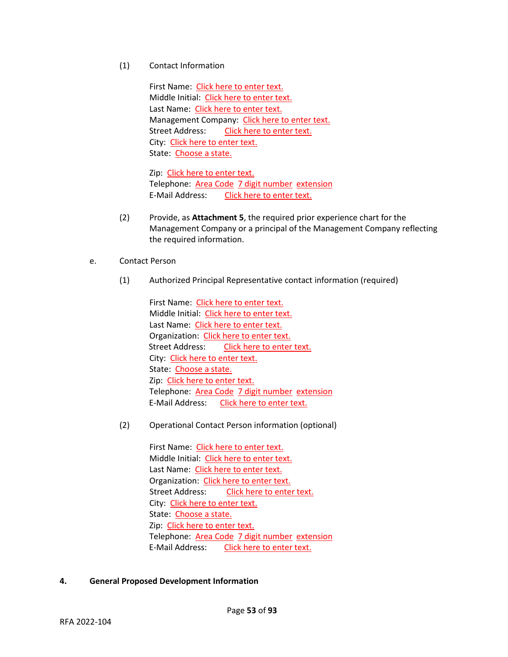(1) Contact Information

First Name: Click here to enter text. Middle Initial: Click here to enter text. Last Name: Click here to enter text. Management Company: Click here to enter text. Street Address: Click here to enter text. City: Click here to enter text. State: Choose a state.

Zip: Click here to enter text. Telephone: Area Code 7 digit number extension E-Mail Address: Click here to enter text.

- (2) Provide, as **Attachment 5**, the required prior experience chart for the Management Company or a principal of the Management Company reflecting the required information.
- e. Contact Person
	- (1) Authorized Principal Representative contact information (required)

First Name: Click here to enter text. Middle Initial: Click here to enter text. Last Name: Click here to enter text. Organization: Click here to enter text. Street Address: Click here to enter text. City: Click here to enter text. State: Choose a state. Zip: Click here to enter text. Telephone: Area Code 7 digit number extension E-Mail Address: Click here to enter text.

(2) Operational Contact Person information (optional)

First Name: Click here to enter text. Middle Initial: Click here to enter text. Last Name: Click here to enter text. Organization: Click here to enter text. Street Address: Click here to enter text. City: Click here to enter text. State: Choose a state. Zip: Click here to enter text. Telephone: Area Code 7 digit number extension E-Mail Address: Click here to enter text.

# **4. General Proposed Development Information**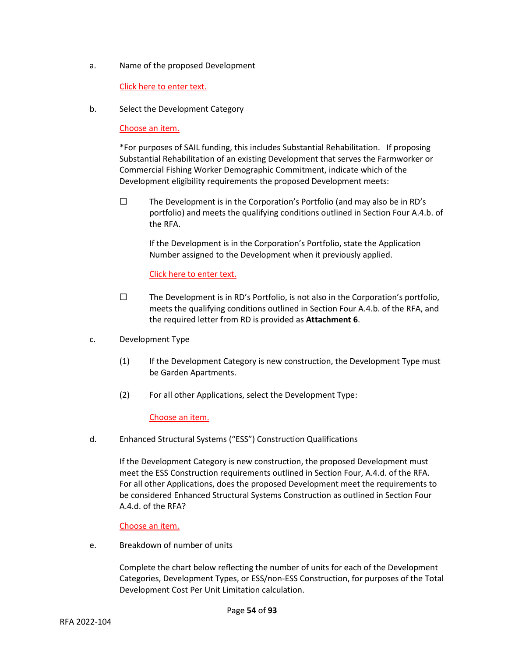a. Name of the proposed Development

# Click here to enter text.

b. Select the Development Category

# Choose an item.

\*For purposes of SAIL funding, this includes Substantial Rehabilitation. If proposing Substantial Rehabilitation of an existing Development that serves the Farmworker or Commercial Fishing Worker Demographic Commitment, indicate which of the Development eligibility requirements the proposed Development meets:

 $\square$  The Development is in the Corporation's Portfolio (and may also be in RD's portfolio) and meets the qualifying conditions outlined in Section Four A.4.b. of the RFA.

If the Development is in the Corporation's Portfolio, state the Application Number assigned to the Development when it previously applied.

# Click here to enter text.

- $\square$  The Development is in RD's Portfolio, is not also in the Corporation's portfolio, meets the qualifying conditions outlined in Section Four A.4.b. of the RFA, and the required letter from RD is provided as **Attachment 6**.
- c. Development Type
	- (1) If the Development Category is new construction, the Development Type must be Garden Apartments.
	- (2) For all other Applications, select the Development Type:

# Choose an item.

d. Enhanced Structural Systems ("ESS") Construction Qualifications

If the Development Category is new construction, the proposed Development must meet the ESS Construction requirements outlined in Section Four, A.4.d. of the RFA. For all other Applications, does the proposed Development meet the requirements to be considered Enhanced Structural Systems Construction as outlined in Section Four A.4.d. of the RFA?

# Choose an item.

e. Breakdown of number of units

Complete the chart below reflecting the number of units for each of the Development Categories, Development Types, or ESS/non-ESS Construction, for purposes of the Total Development Cost Per Unit Limitation calculation.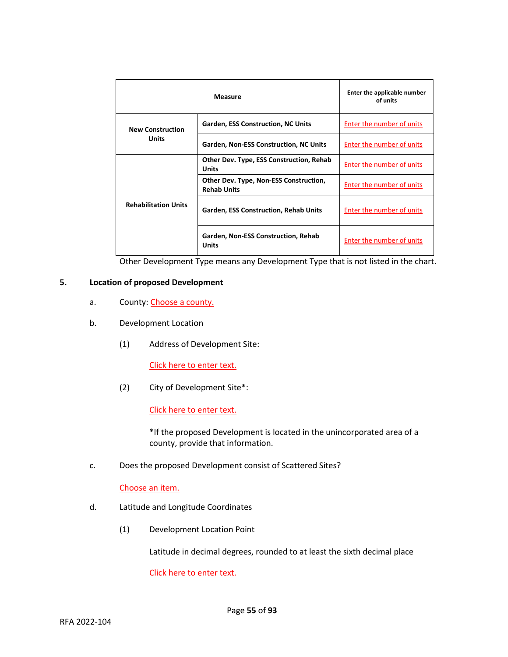|                             | <b>Measure</b>                                               | Enter the applicable number<br>of units |
|-----------------------------|--------------------------------------------------------------|-----------------------------------------|
| <b>New Construction</b>     | <b>Garden, ESS Construction, NC Units</b>                    | Enter the number of units               |
| Units                       | Garden, Non-ESS Construction, NC Units                       | Enter the number of units               |
|                             | Other Dev. Type, ESS Construction, Rehab<br><b>Units</b>     | Enter the number of units               |
|                             | Other Dev. Type, Non-ESS Construction,<br><b>Rehab Units</b> | Enter the number of units               |
| <b>Rehabilitation Units</b> | <b>Garden, ESS Construction, Rehab Units</b>                 | Enter the number of units               |
|                             | Garden, Non-ESS Construction, Rehab<br>Units                 | Enter the number of units               |

Other Development Type means any Development Type that is not listed in the chart.

## **5. Location of proposed Development**

- a. County: Choose a county.
- b. Development Location
	- (1) Address of Development Site:

Click here to enter text.

(2) City of Development Site\*:

Click here to enter text.

\*If the proposed Development is located in the unincorporated area of a county, provide that information.

c. Does the proposed Development consist of Scattered Sites?

## Choose an item.

- d. Latitude and Longitude Coordinates
	- (1) Development Location Point

Latitude in decimal degrees, rounded to at least the sixth decimal place

Click here to enter text.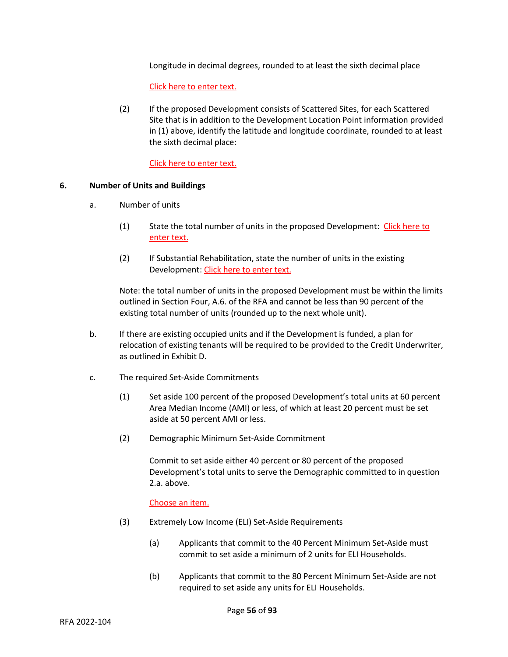Longitude in decimal degrees, rounded to at least the sixth decimal place

Click here to enter text.

(2) If the proposed Development consists of Scattered Sites, for each Scattered Site that is in addition to the Development Location Point information provided in (1) above, identify the latitude and longitude coordinate, rounded to at least the sixth decimal place:

Click here to enter text.

#### **6. Number of Units and Buildings**

- a. Number of units
	- (1) State the total number of units in the proposed Development: Click here to enter text.
	- (2) If Substantial Rehabilitation, state the number of units in the existing Development: Click here to enter text.

Note: the total number of units in the proposed Development must be within the limits outlined in Section Four, A.6. of the RFA and cannot be less than 90 percent of the existing total number of units (rounded up to the next whole unit).

- b. If there are existing occupied units and if the Development is funded, a plan for relocation of existing tenants will be required to be provided to the Credit Underwriter, as outlined in Exhibit D.
- c. The required Set-Aside Commitments
	- (1) Set aside 100 percent of the proposed Development's total units at 60 percent Area Median Income (AMI) or less, of which at least 20 percent must be set aside at 50 percent AMI or less.
	- (2) Demographic Minimum Set-Aside Commitment

Commit to set aside either 40 percent or 80 percent of the proposed Development's total units to serve the Demographic committed to in question 2.a. above.

Choose an item.

- (3) Extremely Low Income (ELI) Set-Aside Requirements
	- (a) Applicants that commit to the 40 Percent Minimum Set-Aside must commit to set aside a minimum of 2 units for ELI Households.
	- (b) Applicants that commit to the 80 Percent Minimum Set-Aside are not required to set aside any units for ELI Households.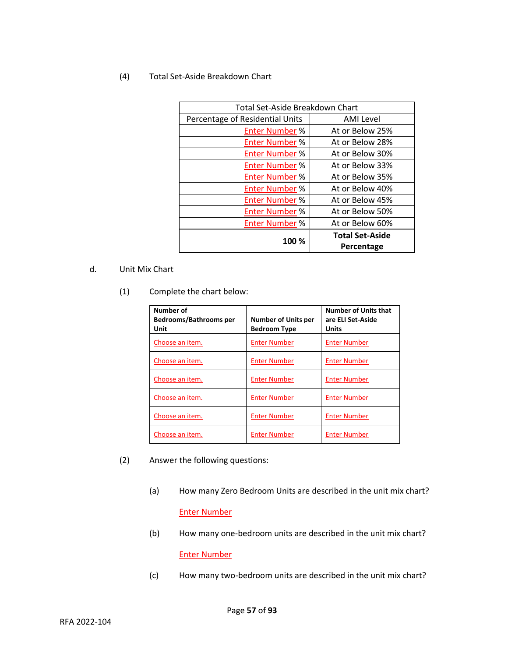# (4) Total Set-Aside Breakdown Chart

| Total Set-Aside Breakdown Chart |                        |
|---------------------------------|------------------------|
| Percentage of Residential Units | <b>AMI Level</b>       |
| <b>Enter Number %</b>           | At or Below 25%        |
| <b>Enter Number %</b>           | At or Below 28%        |
| <b>Enter Number %</b>           | At or Below 30%        |
| <b>Enter Number %</b>           | At or Below 33%        |
| <b>Enter Number %</b>           | At or Below 35%        |
| <b>Enter Number %</b>           | At or Below 40%        |
| <b>Enter Number %</b>           | At or Below 45%        |
| <b>Enter Number %</b>           | At or Below 50%        |
| <b>Enter Number %</b>           | At or Below 60%        |
| 100 %                           | <b>Total Set-Aside</b> |
|                                 | Percentage             |

# d. Unit Mix Chart

(1) Complete the chart below:

| Number of<br><b>Bedrooms/Bathrooms per</b><br>Unit | <b>Number of Units per</b><br><b>Bedroom Type</b> | <b>Number of Units that</b><br>are ELI Set-Aside<br>Units |
|----------------------------------------------------|---------------------------------------------------|-----------------------------------------------------------|
| Choose an item.                                    | <b>Enter Number</b>                               | <b>Enter Number</b>                                       |
| Choose an item.                                    | <b>Enter Number</b>                               | <b>Enter Number</b>                                       |
| Choose an item.                                    | <b>Enter Number</b>                               | <b>Enter Number</b>                                       |
| Choose an item.                                    | <b>Enter Number</b>                               | <b>Enter Number</b>                                       |
| Choose an item.                                    | <b>Enter Number</b>                               | <b>Enter Number</b>                                       |
| Choose an item.                                    | <b>Enter Number</b>                               | <b>Enter Number</b>                                       |

- (2) Answer the following questions:
	- (a) How many Zero Bedroom Units are described in the unit mix chart? Enter Number
	- (b) How many one-bedroom units are described in the unit mix chart? Enter Number
	- (c) How many two-bedroom units are described in the unit mix chart?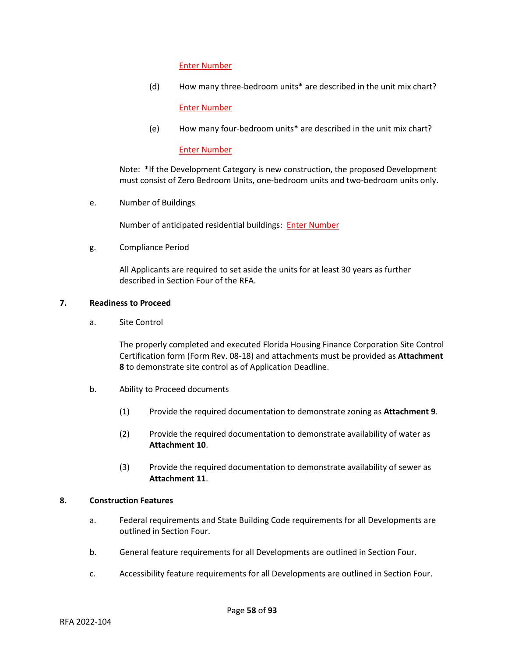### Enter Number

(d) How many three-bedroom units\* are described in the unit mix chart?

Enter Number

(e) How many four-bedroom units\* are described in the unit mix chart?

#### Enter Number

Note: \*If the Development Category is new construction, the proposed Development must consist of Zero Bedroom Units, one-bedroom units and two-bedroom units only.

e. Number of Buildings

Number of anticipated residential buildings: Enter Number

g. Compliance Period

All Applicants are required to set aside the units for at least 30 years as further described in Section Four of the RFA.

## **7. Readiness to Proceed**

a. Site Control

The properly completed and executed Florida Housing Finance Corporation Site Control Certification form (Form Rev. 08-18) and attachments must be provided as **Attachment 8** to demonstrate site control as of Application Deadline.

- b. Ability to Proceed documents
	- (1) Provide the required documentation to demonstrate zoning as **Attachment 9**.
	- (2) Provide the required documentation to demonstrate availability of water as **Attachment 10**.
	- (3) Provide the required documentation to demonstrate availability of sewer as **Attachment 11**.

#### **8. Construction Features**

- a. Federal requirements and State Building Code requirements for all Developments are outlined in Section Four.
- b. General feature requirements for all Developments are outlined in Section Four.
- c. Accessibility feature requirements for all Developments are outlined in Section Four.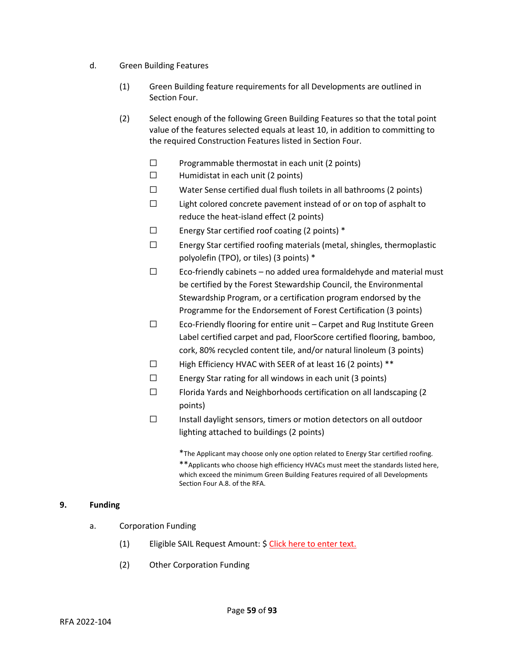- d. Green Building Features
	- (1) Green Building feature requirements for all Developments are outlined in Section Four.
	- (2) Select enough of the following Green Building Features so that the total point value of the features selected equals at least 10, in addition to committing to the required Construction Features listed in Section Four.
		- $\square$  Programmable thermostat in each unit (2 points)
		- $\Box$  Humidistat in each unit (2 points)
		- ☐ Water Sense certified dual flush toilets in all bathrooms (2 points)
		- $\square$  Light colored concrete pavement instead of or on top of asphalt to reduce the heat-island effect (2 points)
		- ☐ Energy Star certified roof coating (2 points) \*
		- ☐ Energy Star certified roofing materials (metal, shingles, thermoplastic polyolefin (TPO), or tiles) (3 points) \*
		- $\Box$  Eco-friendly cabinets no added urea formaldehyde and material must be certified by the Forest Stewardship Council, the Environmental Stewardship Program, or a certification program endorsed by the Programme for the Endorsement of Forest Certification (3 points)
		- ☐ Eco-Friendly flooring for entire unit Carpet and Rug Institute Green Label certified carpet and pad, FloorScore certified flooring, bamboo, cork, 80% recycled content tile, and/or natural linoleum (3 points)
		- ☐ High Efficiency HVAC with SEER of at least 16 (2 points) \*\*
		- ☐ Energy Star rating for all windows in each unit (3 points)
		- ☐ Florida Yards and Neighborhoods certification on all landscaping (2 points)
		- ☐ Install daylight sensors, timers or motion detectors on all outdoor lighting attached to buildings (2 points)

\*The Applicant may choose only one option related to Energy Star certified roofing. \*\*Applicants who choose high efficiency HVACs must meet the standards listed here, which exceed the minimum Green Building Features required of all Developments Section Four A.8. of the RFA.

# **9. Funding**

- a. Corporation Funding
	- (1) Eligible SAIL Request Amount: \$ Click here to enter text.
	- (2) Other Corporation Funding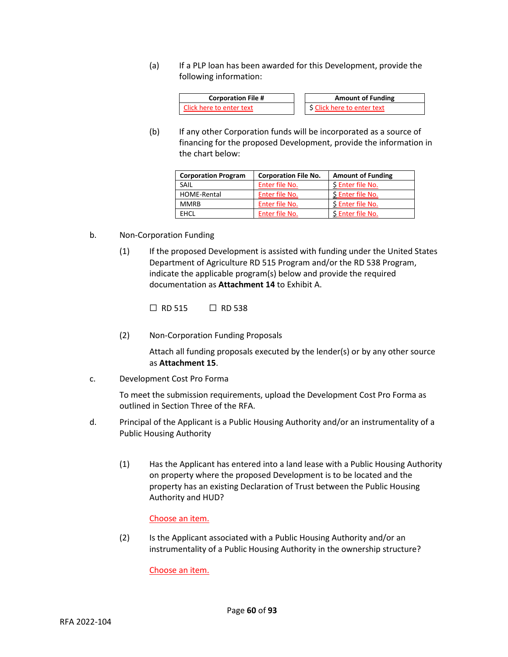(a) If a PLP loan has been awarded for this Development, provide the following information:



(b) If any other Corporation funds will be incorporated as a source of financing for the proposed Development, provide the information in the chart below:

| <b>Corporation Program</b> | <b>Corporation File No.</b> | <b>Amount of Funding</b> |
|----------------------------|-----------------------------|--------------------------|
| SAIL                       | Enter file No.              | \$ Enter file No.        |
| HOME-Rental                | Enter file No.              | \$ Enter file No.        |
| <b>MMRB</b>                | Enter file No.              | \$ Enter file No.        |
| <b>FHCL</b>                | Enter file No.              | \$ Enter file No.        |

- b. Non-Corporation Funding
	- (1) If the proposed Development is assisted with funding under the United States Department of Agriculture RD 515 Program and/or the RD 538 Program, indicate the applicable program(s) below and provide the required documentation as **Attachment 14** to Exhibit A.

☐ RD 515 ☐ RD 538

(2) Non-Corporation Funding Proposals

Attach all funding proposals executed by the lender(s) or by any other source as **Attachment 15**.

c. Development Cost Pro Forma

To meet the submission requirements, upload the Development Cost Pro Forma as outlined in Section Three of the RFA.

- d. Principal of the Applicant is a Public Housing Authority and/or an instrumentality of a Public Housing Authority
	- (1) Has the Applicant has entered into a land lease with a Public Housing Authority on property where the proposed Development is to be located and the property has an existing Declaration of Trust between the Public Housing Authority and HUD?

Choose an item.

(2) Is the Applicant associated with a Public Housing Authority and/or an instrumentality of a Public Housing Authority in the ownership structure?

Choose an item.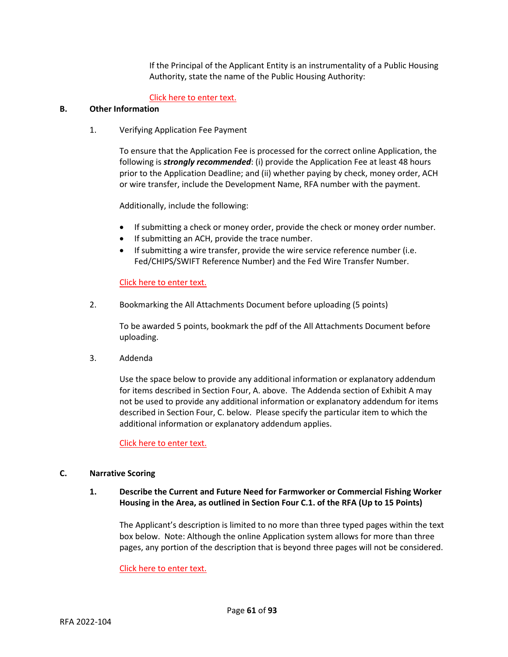If the Principal of the Applicant Entity is an instrumentality of a Public Housing Authority, state the name of the Public Housing Authority:

# Click here to enter text.

# **B. Other Information**

1. Verifying Application Fee Payment

To ensure that the Application Fee is processed for the correct online Application, the following is *strongly recommended*: (i) provide the Application Fee at least 48 hours prior to the Application Deadline; and (ii) whether paying by check, money order, ACH or wire transfer, include the Development Name, RFA number with the payment.

Additionally, include the following:

- If submitting a check or money order, provide the check or money order number.
- If submitting an ACH, provide the trace number.
- If submitting a wire transfer, provide the wire service reference number (i.e. Fed/CHIPS/SWIFT Reference Number) and the Fed Wire Transfer Number.

## Click here to enter text.

2. Bookmarking the All Attachments Document before uploading (5 points)

To be awarded 5 points, bookmark the pdf of the All Attachments Document before uploading.

3. Addenda

Use the space below to provide any additional information or explanatory addendum for items described in Section Four, A. above. The Addenda section of Exhibit A may not be used to provide any additional information or explanatory addendum for items described in Section Four, C. below. Please specify the particular item to which the additional information or explanatory addendum applies.

Click here to enter text.

#### **C. Narrative Scoring**

# **1. Describe the Current and Future Need for Farmworker or Commercial Fishing Worker Housing in the Area, as outlined in Section Four C.1. of the RFA (Up to 15 Points)**

The Applicant's description is limited to no more than three typed pages within the text box below. Note: Although the online Application system allows for more than three pages, any portion of the description that is beyond three pages will not be considered.

Click here to enter text.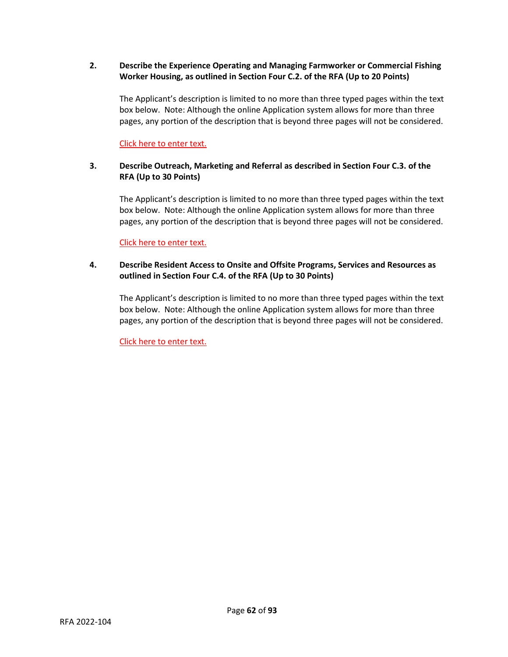# **2. Describe the Experience Operating and Managing Farmworker or Commercial Fishing Worker Housing, as outlined in Section Four C.2. of the RFA (Up to 20 Points)**

The Applicant's description is limited to no more than three typed pages within the text box below. Note: Although the online Application system allows for more than three pages, any portion of the description that is beyond three pages will not be considered.

Click here to enter text.

# **3. Describe Outreach, Marketing and Referral as described in Section Four C.3. of the RFA (Up to 30 Points)**

The Applicant's description is limited to no more than three typed pages within the text box below. Note: Although the online Application system allows for more than three pages, any portion of the description that is beyond three pages will not be considered.

Click here to enter text.

# **4. Describe Resident Access to Onsite and Offsite Programs, Services and Resources as outlined in Section Four C.4. of the RFA (Up to 30 Points)**

The Applicant's description is limited to no more than three typed pages within the text box below. Note: Although the online Application system allows for more than three pages, any portion of the description that is beyond three pages will not be considered.

Click here to enter text.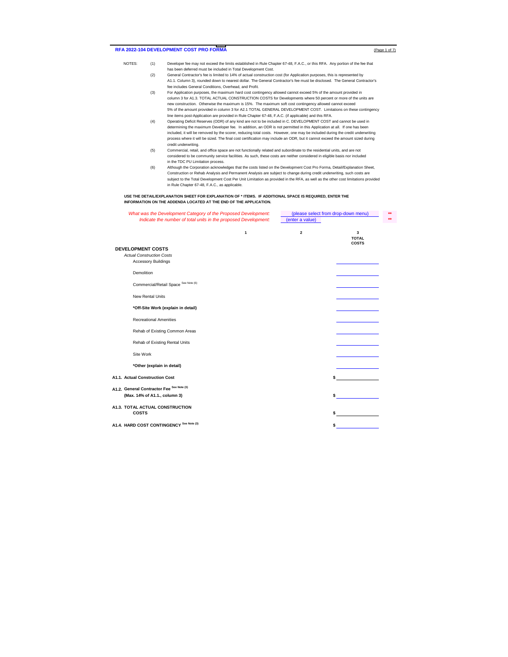#### RFA 2022-104 DEVELOPMENT COST PRO FORMA **(Page 1 of 7)**  $\left( \frac{Page 10f}{2} \right)$

- NOTES: (1) Developer fee may not exceed the limits established in Rule Chapter 67-48, F.A.C., or this RFA. Any portion of the fee that has been deferred must be included in Total Development Cost. (2) General Contractor's fee is limited to 14% of actual construction cost (for Application purposes, this is represented by
	- A1.1. Column 3), rounded down to nearest dollar. The General Contractor's fee must be disclosed. The General Contractor's fee includes General Conditions, Overhead, and Profit.
	- (3) For Application purposes, the maximum hard cost contingency allowed cannot exceed 5% of the amount provided in column 3 for A1.3. TOTAL ACTUAL CONSTRUCTION COSTS for Developments where 50 percent or more of the units are new construction. Otherwise the maximum is 15%. The maximum soft cost contingency allowed cannot exceed 5% of the amount provided in column 3 for A2.1 TOTAL GENERAL DEVELOPMENT COST. Limitations on these contingency
	- line items post-Application are provided in Rule Chapter 67-48, F.A.C. (if applicable) and this RFA. (4) Operating Deficit Reserves (ODR) of any kind are not to be included in C. DEVELOPMENT COST and cannot be used in determining the maximum Developer fee. In addition, an ODR is not permitted in this Application at all. If one has been included, it will be removed by the scorer, reducing total costs. However, one may be included during the credit underwriting<br>process where it will be sized. The final cost certification may include an ODR, but it cannot e credit underwriting.
	- (5) Commercial, retail, and office space are not functionally related and subordinate to the residential units, and are not<br>considered to be community service facilities. As such, these costs are neither considered in elig in the TDC PU Limitation process.
	- Although the Corporation acknowledges that the costs listed on the Development Cost Pro Forma, Detail/Explanation Sheet,<br>Construction or Rehab Analysis and Permanent Analysis are subject to change during credit underwritin subject to the Total Development Cost Per Unit Limitation as provided in the RFA, as well as the other cost limitations provided in Rule Chapter 67-48, F.A.C., as applicable.

#### **USE THE DETAIL/EXPLANATION SHEET FOR EXPLANATION OF \* ITEMS. IF ADDITIONAL SPACE IS REQUIRED, ENTER THE INFORMATION ON THE ADDENDA LOCATED AT THE END OF THE APPLICATION.**

| What was the Development Category of the Proposed Development:  |                         | (please select from drop-down menu) | $\star\star$ |
|-----------------------------------------------------------------|-------------------------|-------------------------------------|--------------|
| Indicate the number of total units in the proposed Development: | (enter a value)         |                                     | $**$         |
| $\mathbf{1}$                                                    | $\overline{\mathbf{2}}$ | 3<br><b>TOTAL</b><br><b>COSTS</b>   |              |
| <b>DEVELOPMENT COSTS</b><br><b>Actual Construction Costs</b>    |                         |                                     |              |
| <b>Accessory Buildings</b>                                      |                         |                                     |              |
| Demolition                                                      |                         |                                     |              |
| Commercial/Retail Space See Note (6)                            |                         |                                     |              |
| <b>New Rental Units</b>                                         |                         |                                     |              |
| *Off-Site Work (explain in detail)                              |                         |                                     |              |
| <b>Recreational Amenities</b>                                   |                         |                                     |              |
| Rehab of Existing Common Areas                                  |                         |                                     |              |
| Rehab of Existing Rental Units                                  |                         |                                     |              |
| Site Work                                                       |                         |                                     |              |
| *Other (explain in detail)                                      |                         |                                     |              |
| A1.1. Actual Construction Cost                                  |                         |                                     |              |
| A1.2. General Contractor Fee See Note (3)                       |                         |                                     |              |
| (Max. 14% of A1.1., column 3)                                   |                         |                                     |              |
| A1.3. TOTAL ACTUAL CONSTRUCTION<br><b>COSTS</b>                 |                         |                                     |              |
| A1.4. HARD COST CONTINGENCY See Note (3)                        |                         |                                     |              |
|                                                                 |                         |                                     |              |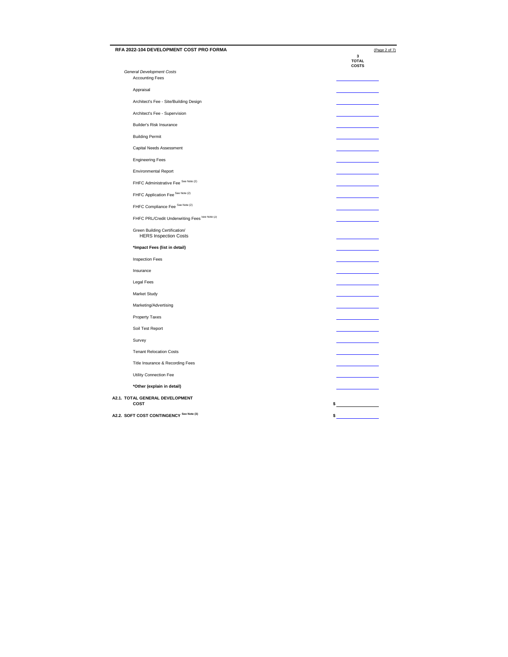| RFA 2022-104 DEVELOPMENT COST PRO FORMA                       | (Page 2 of 7)     |
|---------------------------------------------------------------|-------------------|
|                                                               | 3<br><b>TOTAL</b> |
| <b>General Development Costs</b>                              | <b>COSTS</b>      |
| <b>Accounting Fees</b>                                        |                   |
| Appraisal                                                     |                   |
| Architect's Fee - Site/Building Design                        |                   |
| Architect's Fee - Supervision                                 |                   |
| Builder's Risk Insurance                                      |                   |
| <b>Building Permit</b>                                        |                   |
| Capital Needs Assessment                                      |                   |
| <b>Engineering Fees</b>                                       |                   |
| <b>Environmental Report</b>                                   |                   |
| FHFC Administrative Fee See Note (2)                          |                   |
| FHFC Application Fee <sup>See Note (2)</sup>                  |                   |
| FHFC Compliance Fee See Note (2)                              |                   |
| FHFC PRL/Credit Underwriting Fees See Note (2)                |                   |
| Green Building Certification/<br><b>HERS Inspection Costs</b> |                   |
| *Impact Fees (list in detail)                                 |                   |
| <b>Inspection Fees</b>                                        |                   |
| Insurance                                                     |                   |
| Legal Fees                                                    |                   |
| Market Study                                                  |                   |
| Marketing/Advertising                                         |                   |
| <b>Property Taxes</b>                                         |                   |
| Soil Test Report                                              |                   |
| Survey                                                        |                   |
| <b>Tenant Relocation Costs</b>                                |                   |
| Title Insurance & Recording Fees                              |                   |
| Utility Connection Fee                                        |                   |
| *Other (explain in detail)                                    |                   |
| A2.1. TOTAL GENERAL DEVELOPMENT<br>COST                       | $\sim$ $\sim$     |
|                                                               |                   |
| A2.2. SOFT COST CONTINGENCY See Note (3)                      | \$                |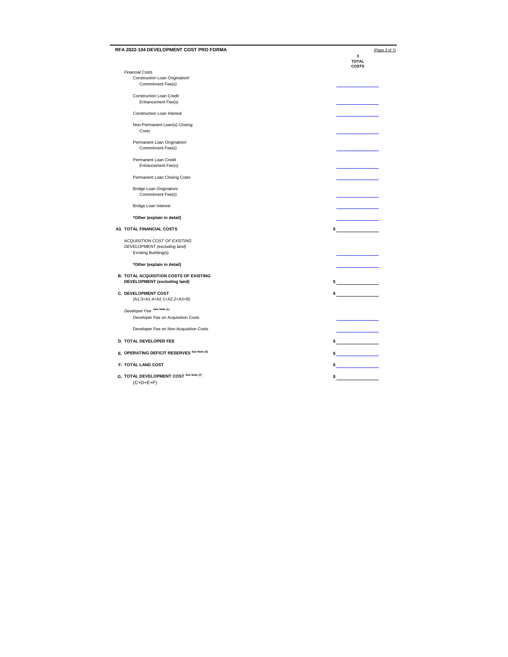| RFA 2022-104 DEVELOPMENT COST PRO FORMA               | (Page 3 of 7)                                                                                                                                                                                                                                                                                                                                                                                                                   |
|-------------------------------------------------------|---------------------------------------------------------------------------------------------------------------------------------------------------------------------------------------------------------------------------------------------------------------------------------------------------------------------------------------------------------------------------------------------------------------------------------|
|                                                       | 3<br><b>TOTAL</b><br><b>COSTS</b>                                                                                                                                                                                                                                                                                                                                                                                               |
| <b>Financial Costs</b>                                |                                                                                                                                                                                                                                                                                                                                                                                                                                 |
| Construction Loan Origination/<br>Commitment Fee(s)   |                                                                                                                                                                                                                                                                                                                                                                                                                                 |
| <b>Construction Loan Credit</b>                       |                                                                                                                                                                                                                                                                                                                                                                                                                                 |
| Enhancement Fee(s)                                    |                                                                                                                                                                                                                                                                                                                                                                                                                                 |
| Construction Loan Interest                            |                                                                                                                                                                                                                                                                                                                                                                                                                                 |
| Non-Permanent Loan(s) Closing<br>Costs                |                                                                                                                                                                                                                                                                                                                                                                                                                                 |
| Permanent Loan Origination/<br>Commitment Fee(s)      |                                                                                                                                                                                                                                                                                                                                                                                                                                 |
| Permanent Loan Credit<br>Enhancement Fee(s)           |                                                                                                                                                                                                                                                                                                                                                                                                                                 |
| Permanent Loan Closing Costs                          |                                                                                                                                                                                                                                                                                                                                                                                                                                 |
| Bridge Loan Origination/<br>Commitment Fee(s)         |                                                                                                                                                                                                                                                                                                                                                                                                                                 |
| Bridge Loan Interest                                  |                                                                                                                                                                                                                                                                                                                                                                                                                                 |
| *Other (explain in detail)                            |                                                                                                                                                                                                                                                                                                                                                                                                                                 |
| A3. TOTAL FINANCIAL COSTS                             | \$                                                                                                                                                                                                                                                                                                                                                                                                                              |
| ACQUISITION COST OF EXISTING                          |                                                                                                                                                                                                                                                                                                                                                                                                                                 |
| DEVELOPMENT (excluding land)<br>Existing Building(s)  |                                                                                                                                                                                                                                                                                                                                                                                                                                 |
| *Other (explain in detail)                            |                                                                                                                                                                                                                                                                                                                                                                                                                                 |
| <b>B. TOTAL ACQUISITION COSTS OF EXISTING</b>         |                                                                                                                                                                                                                                                                                                                                                                                                                                 |
| DEVELOPMENT (excluding land)                          | $\sim$                                                                                                                                                                                                                                                                                                                                                                                                                          |
| <b>C. DEVELOPMENT COST</b>                            | $\sim$                                                                                                                                                                                                                                                                                                                                                                                                                          |
| (A1.3+A1.4+A2.1+A2.2+A3+B)                            |                                                                                                                                                                                                                                                                                                                                                                                                                                 |
| Developer Fee See Note (1)                            |                                                                                                                                                                                                                                                                                                                                                                                                                                 |
| Developer Fee on Acquisition Costs                    |                                                                                                                                                                                                                                                                                                                                                                                                                                 |
| Developer Fee on Non-Acquisition Costs                |                                                                                                                                                                                                                                                                                                                                                                                                                                 |
| D. TOTAL DEVELOPER FEE                                | $\sim$                                                                                                                                                                                                                                                                                                                                                                                                                          |
| E. OPERATING DEFICIT RESERVES See Note (5)            | $\frac{1}{\sqrt{1-\frac{1}{2}}}\frac{1}{\sqrt{1-\frac{1}{2}}}\frac{1}{\sqrt{1-\frac{1}{2}}}\frac{1}{\sqrt{1-\frac{1}{2}}}\frac{1}{\sqrt{1-\frac{1}{2}}}\frac{1}{\sqrt{1-\frac{1}{2}}}\frac{1}{\sqrt{1-\frac{1}{2}}}\frac{1}{\sqrt{1-\frac{1}{2}}}\frac{1}{\sqrt{1-\frac{1}{2}}}\frac{1}{\sqrt{1-\frac{1}{2}}}\frac{1}{\sqrt{1-\frac{1}{2}}}\frac{1}{\sqrt{1-\frac{1}{2}}}\frac{1}{\sqrt{1-\frac{1}{2}}}\frac{1}{\sqrt{1-\frac{$ |
| F. TOTAL LAND COST                                    | $\frac{1}{2}$                                                                                                                                                                                                                                                                                                                                                                                                                   |
| G. TOTAL DEVELOPMENT COST See Note (7)<br>$(C+D+E+F)$ |                                                                                                                                                                                                                                                                                                                                                                                                                                 |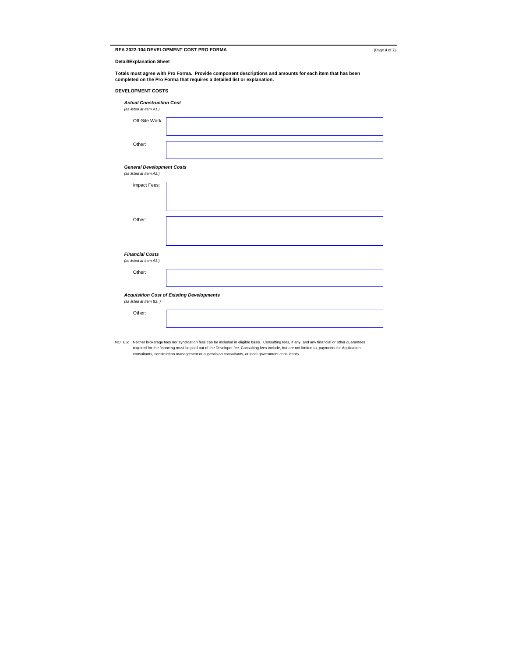|  | RFA 2022-104 DEVELOPMENT COST PRO FORMA | (Page 4 of 7) |
|--|-----------------------------------------|---------------|
|--|-----------------------------------------|---------------|

|--|

**Detail/Explanation Sheet**

**Totals must agree with Pro Forma. Provide component descriptions and amounts for each item that has been completed on the Pro Forma that requires a detailed list or explanation.**

#### **DEVELOPMENT COSTS**

| <b>Actual Construction Cost</b><br>(as listed at Item A1.)                  |  |  |  |
|-----------------------------------------------------------------------------|--|--|--|
| Off-Site Work:                                                              |  |  |  |
| Other:                                                                      |  |  |  |
| <b>General Development Costs</b><br>(as listed at Item A2.)                 |  |  |  |
| Impact Fees:                                                                |  |  |  |
|                                                                             |  |  |  |
| Other:                                                                      |  |  |  |
|                                                                             |  |  |  |
| <b>Financial Costs</b><br>(as listed at Item A3.)                           |  |  |  |
| Other:                                                                      |  |  |  |
| <b>Acquisition Cost of Existing Developments</b><br>(as listed at Item B2.) |  |  |  |
| Other:                                                                      |  |  |  |

NOTES: Neither brokerage fees nor syndication fees can be included in eligible basis. Consulting fees, if any, and any financial or other guarantees<br>required for the financing must be paid out of the Developer fee. Consult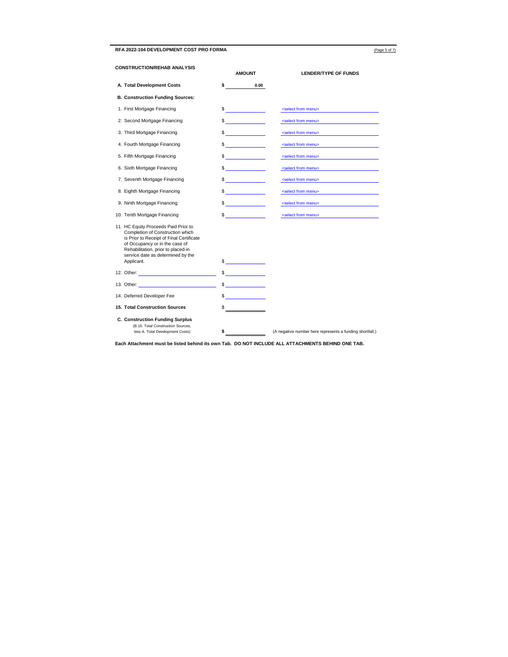RFA 2022-104 DEVELOPMENT COST PRO FORMA (Page 5 of 7)

| <b>CONSTRUCTION/REHAB ANALYSIS</b> |                                                                                                                                                                                                                                                 | <b>AMOUNT</b>            | <b>LENDER/TYPE OF FUNDS</b>                              |  |
|------------------------------------|-------------------------------------------------------------------------------------------------------------------------------------------------------------------------------------------------------------------------------------------------|--------------------------|----------------------------------------------------------|--|
|                                    | A. Total Development Costs                                                                                                                                                                                                                      | \$<br>0.00               |                                                          |  |
|                                    | <b>B. Construction Funding Sources:</b>                                                                                                                                                                                                         |                          |                                                          |  |
|                                    | 1. First Mortgage Financing                                                                                                                                                                                                                     | $\frac{1}{2}$            | <select from="" menu=""></select>                        |  |
|                                    | 2. Second Mortgage Financing                                                                                                                                                                                                                    | $\frac{1}{2}$            | <select from="" menu=""></select>                        |  |
|                                    | 3. Third Mortgage Financing                                                                                                                                                                                                                     | $\sim$                   | <select from="" menu=""></select>                        |  |
|                                    | 4. Fourth Mortgage Financing                                                                                                                                                                                                                    | <u> Tanzania (</u><br>\$ | <select from="" menu=""></select>                        |  |
|                                    | 5. Fifth Mortgage Financing                                                                                                                                                                                                                     | $\frac{1}{2}$            | <select from="" menu=""></select>                        |  |
|                                    | 6. Sixth Mortgage Financing                                                                                                                                                                                                                     | $\frac{1}{2}$            | <select from="" menu=""></select>                        |  |
|                                    | 7. Seventh Mortgage Financing                                                                                                                                                                                                                   | $\frac{1}{2}$            | <select from="" menu=""></select>                        |  |
|                                    | 8. Eighth Mortgage Financing                                                                                                                                                                                                                    | $\sim$                   | <select from="" menu=""></select>                        |  |
|                                    | 9. Ninth Mortgage Financing                                                                                                                                                                                                                     | $\sim$                   | <select from="" menu=""></select>                        |  |
|                                    | 10. Tenth Mortgage Financing                                                                                                                                                                                                                    | $\sim$                   | <select from="" menu=""></select>                        |  |
|                                    | 11. HC Equity Proceeds Paid Prior to<br>Completion of Construction which<br>is Prior to Receipt of Final Certificate<br>of Occupancy or in the case of<br>Rehabilitation, prior to placed-in<br>service date as determined by the<br>Applicant. | $\sim$                   |                                                          |  |
|                                    | 12. Other: The contract of the contract of the contract of the contract of the contract of the contract of the contract of the contract of the contract of the contract of the contract of the contract of the contract of the                  | $\frac{1}{2}$            |                                                          |  |
|                                    |                                                                                                                                                                                                                                                 | $\frac{1}{2}$            |                                                          |  |
|                                    | 14. Deferred Developer Fee                                                                                                                                                                                                                      | $\frac{1}{2}$            |                                                          |  |
|                                    | <b>15. Total Construction Sources</b>                                                                                                                                                                                                           | \$                       |                                                          |  |
|                                    | <b>C. Construction Funding Surplus</b><br>(B.15. Total Construction Sources,<br>less A. Total Development Costs):                                                                                                                               | \$                       | (A negative number here represents a funding shortfall.) |  |

**Each Attachment must be listed behind its own Tab. DO NOT INCLUDE ALL ATTACHMENTS BEHIND ONE TAB.**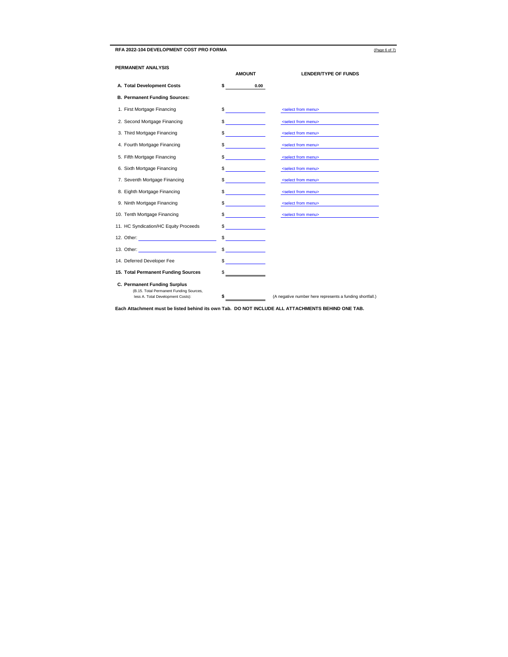#### **RFA 2022-104 DEVELOPMENT COST PRO FORMA** (Page 6 of 7)

| PERMANENT ANALYSIS                                                                                                                                                                                                             | <b>AMOUNT</b>                                   | <b>LENDER/TYPE OF FUNDS</b>                              |  |
|--------------------------------------------------------------------------------------------------------------------------------------------------------------------------------------------------------------------------------|-------------------------------------------------|----------------------------------------------------------|--|
| A. Total Development Costs                                                                                                                                                                                                     | \$<br>0.00                                      |                                                          |  |
| <b>B. Permanent Funding Sources:</b>                                                                                                                                                                                           |                                                 |                                                          |  |
| 1. First Mortgage Financing                                                                                                                                                                                                    | \$                                              | <select from="" menu=""></select>                        |  |
| 2. Second Mortgage Financing                                                                                                                                                                                                   | $\sim$                                          | <select from="" menu=""></select>                        |  |
| 3. Third Mortgage Financing                                                                                                                                                                                                    | \$                                              | <select from="" menu=""></select>                        |  |
| 4. Fourth Mortgage Financing                                                                                                                                                                                                   | \$                                              | <select from="" menu=""></select>                        |  |
| 5. Fifth Mortgage Financing                                                                                                                                                                                                    | $\frac{1}{2}$                                   | <select from="" menu=""></select>                        |  |
| 6. Sixth Mortgage Financing                                                                                                                                                                                                    | \$<br><u> 1989 - Jan Jawa Barat, p</u>          | <select from="" menu=""></select>                        |  |
| 7. Seventh Mortgage Financing                                                                                                                                                                                                  | <u> 1999 - Jan Ja</u><br>\$                     | <select from="" menu=""></select>                        |  |
| 8. Eighth Mortgage Financing                                                                                                                                                                                                   | \$                                              | <select from="" menu=""></select>                        |  |
| 9. Ninth Mortgage Financing                                                                                                                                                                                                    | <b>Communication</b><br>\$                      | <select from="" menu=""></select>                        |  |
| 10. Tenth Mortgage Financing                                                                                                                                                                                                   | <u>and the community of the community</u><br>\$ | <select from="" menu=""></select>                        |  |
| 11. HC Syndication/HC Equity Proceeds                                                                                                                                                                                          | <u> 1989 - Alban III, politik politik (</u>     |                                                          |  |
|                                                                                                                                                                                                                                | \$<br><u> 1989 - Andrea Starten e</u>           |                                                          |  |
| 13. Other: The contract of the contract of the contract of the contract of the contract of the contract of the contract of the contract of the contract of the contract of the contract of the contract of the contract of the | <b>Contract Contract</b>                        |                                                          |  |
| 14. Deferred Developer Fee                                                                                                                                                                                                     | \$                                              |                                                          |  |
| 15. Total Permanent Funding Sources                                                                                                                                                                                            | \$                                              |                                                          |  |
| C. Permanent Funding Surplus<br>(B.15. Total Permanent Funding Sources,<br>less A. Total Development Costs):                                                                                                                   | \$                                              | (A negative number here represents a funding shortfall.) |  |

**Each Attachment must be listed behind its own Tab. DO NOT INCLUDE ALL ATTACHMENTS BEHIND ONE TAB.**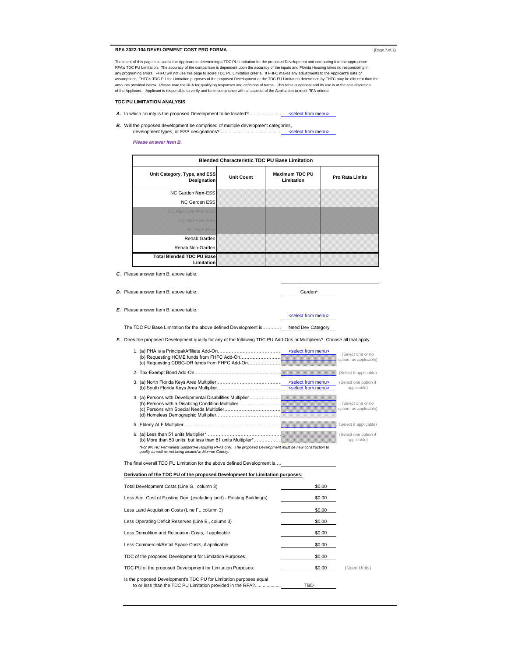#### **RFA 2022-104 DEVELOPMENT COST PRO FORMA** (Page 7 of 7)

The intent of this page is to assist the Applicant in determining a TDC PU Limitation for the proposed Development and comparing it to the appropriate RFA's TDC PU Limitation. The accuracy of the comparison is dependent upon the accuracy of the inputs and Florida Housing takes no responsibility in<br>any programing errors. FHFC will not use this page to score TDC PU Limitat amounts provided below. Please read the RFA for qualifying responses and definition of terms. This table is optional and its use is at the sole discretion of the Applicant. Applicant is responsible to verify and be in compliance with all aspects of the Application to meet RFA criteria.

#### **TDC PU LIMITATION ANALYSIS**

- *A.* In which county is the proposed Development to be located?..... ..... <select from menu>
- *B.* Will the proposed development be comprised of multiple development categories, development types, or ESS designations?...................................................................................................... <select from menu>

#### *Please answer Item B.*

| <b>Blended Characteristic TDC PU Base Limitation</b> |                   |                                     |                        |
|------------------------------------------------------|-------------------|-------------------------------------|------------------------|
| Unit Category, Type, and ESS<br>Designation          | <b>Unit Count</b> | <b>Maximum TDC PU</b><br>Limitation | <b>Pro Rata Limits</b> |
| NC Garden Non-ESS                                    |                   |                                     |                        |
| <b>NC Garden ESS</b>                                 |                   |                                     |                        |
| NC Mid-Rise Non-ESS                                  |                   |                                     |                        |
| NO Mid-Rise ESS                                      |                   |                                     |                        |
| <b>NC</b> High-Rise                                  |                   |                                     |                        |
| Rehab Garden                                         |                   |                                     |                        |
| Rehab Non-Garden                                     |                   |                                     |                        |
| <b>Total Blended TDC PU Base</b><br>Limitation       |                   |                                     |                        |

*C.* Please answer Item B. above table.

*D.* Please answer Item B. above table. Garden\*

*E.* Please answer Item B. above table.

The TDC PU Base Limitation for the above defined Development is……………………………………….... Need Dev Category

*F.* Does the proposed Development qualify for any of the following TDC PU Add-Ons or Multipliers? Choose all that apply.

<select from menu>

| (c) Requesting CDBG-DR funds from FHFC Add-On                                                                                                                     | <select from="" menu=""></select>                                       | (Select one or no<br>option, as applicable) |
|-------------------------------------------------------------------------------------------------------------------------------------------------------------------|-------------------------------------------------------------------------|---------------------------------------------|
|                                                                                                                                                                   |                                                                         | (Select if applicable)                      |
|                                                                                                                                                                   | <select from="" menu=""><br/><select from="" menu=""></select></select> | (Select one option if<br>applicable)        |
|                                                                                                                                                                   |                                                                         | (Select one or no<br>option, as applicable) |
|                                                                                                                                                                   |                                                                         | (Select if applicable)                      |
|                                                                                                                                                                   |                                                                         | (Select one option if<br>applicable)        |
| *For 9% HC Permanent Supportive Housing RFAs only. The proposed Development must be new construction to<br>qualify as well as not being located in Monroe County. |                                                                         |                                             |

The final overall TDC PU Limitation for the above defined Development is....

#### **Derivation of the TDC PU of the proposed Development for Limitation purposes:**

| Total Development Costs (Line G., column 3)                                                                                      | \$0.00 |              |
|----------------------------------------------------------------------------------------------------------------------------------|--------|--------------|
| Less Acq. Cost of Existing Dev. (excluding land) - Existing Building(s)                                                          | \$0.00 |              |
| Less Land Acquisition Costs (Line F., column 3)                                                                                  | \$0.00 |              |
| Less Operating Deficit Reserves (Line E., column 3)                                                                              | \$0.00 |              |
| Less Demolition and Relocation Costs, if applicable                                                                              | \$0.00 |              |
| Less Commercial/Retail Space Costs, if applicable                                                                                | \$0.00 |              |
| TDC of the proposed Development for Limitation Purposes:                                                                         | \$0.00 |              |
| TDC PU of the proposed Development for Limitation Purposes:                                                                      | \$0.00 | (Need Units) |
| Is the proposed Development's TDC PU for Limitation purposes equal<br>to or less than the TDC PU Limitation provided in the RFA? | TBD    |              |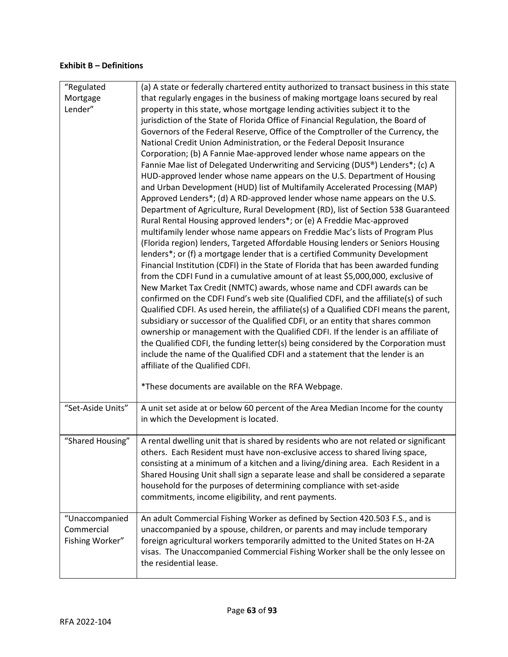# **Exhibit B – Definitions**

| "Regulated        |                                                                                                                                                                            |
|-------------------|----------------------------------------------------------------------------------------------------------------------------------------------------------------------------|
| Mortgage          | (a) A state or federally chartered entity authorized to transact business in this state<br>that regularly engages in the business of making mortgage loans secured by real |
| Lender"           | property in this state, whose mortgage lending activities subject it to the                                                                                                |
|                   | jurisdiction of the State of Florida Office of Financial Regulation, the Board of                                                                                          |
|                   | Governors of the Federal Reserve, Office of the Comptroller of the Currency, the                                                                                           |
|                   | National Credit Union Administration, or the Federal Deposit Insurance                                                                                                     |
|                   | Corporation; (b) A Fannie Mae-approved lender whose name appears on the                                                                                                    |
|                   | Fannie Mae list of Delegated Underwriting and Servicing (DUS®) Lenders*; (c) A                                                                                             |
|                   | HUD-approved lender whose name appears on the U.S. Department of Housing                                                                                                   |
|                   | and Urban Development (HUD) list of Multifamily Accelerated Processing (MAP)                                                                                               |
|                   | Approved Lenders*; (d) A RD-approved lender whose name appears on the U.S.                                                                                                 |
|                   | Department of Agriculture, Rural Development (RD), list of Section 538 Guaranteed                                                                                          |
|                   | Rural Rental Housing approved lenders*; or (e) A Freddie Mac-approved                                                                                                      |
|                   | multifamily lender whose name appears on Freddie Mac's lists of Program Plus                                                                                               |
|                   | (Florida region) lenders, Targeted Affordable Housing lenders or Seniors Housing                                                                                           |
|                   | lenders*; or (f) a mortgage lender that is a certified Community Development                                                                                               |
|                   | Financial Institution (CDFI) in the State of Florida that has been awarded funding                                                                                         |
|                   | from the CDFI Fund in a cumulative amount of at least \$5,000,000, exclusive of                                                                                            |
|                   | New Market Tax Credit (NMTC) awards, whose name and CDFI awards can be                                                                                                     |
|                   | confirmed on the CDFI Fund's web site (Qualified CDFI, and the affiliate(s) of such                                                                                        |
|                   | Qualified CDFI. As used herein, the affiliate(s) of a Qualified CDFI means the parent,                                                                                     |
|                   | subsidiary or successor of the Qualified CDFI, or an entity that shares common                                                                                             |
|                   | ownership or management with the Qualified CDFI. If the lender is an affiliate of                                                                                          |
|                   | the Qualified CDFI, the funding letter(s) being considered by the Corporation must                                                                                         |
|                   | include the name of the Qualified CDFI and a statement that the lender is an                                                                                               |
|                   | affiliate of the Qualified CDFI.                                                                                                                                           |
|                   | *These documents are available on the RFA Webpage.                                                                                                                         |
|                   |                                                                                                                                                                            |
| "Set-Aside Units" | A unit set aside at or below 60 percent of the Area Median Income for the county                                                                                           |
|                   | in which the Development is located.                                                                                                                                       |
|                   |                                                                                                                                                                            |
| "Shared Housing"  | A rental dwelling unit that is shared by residents who are not related or significant<br>others. Each Resident must have non-exclusive access to shared living space,      |
|                   | consisting at a minimum of a kitchen and a living/dining area. Each Resident in a                                                                                          |
|                   | Shared Housing Unit shall sign a separate lease and shall be considered a separate                                                                                         |
|                   | household for the purposes of determining compliance with set-aside                                                                                                        |
|                   | commitments, income eligibility, and rent payments.                                                                                                                        |
|                   |                                                                                                                                                                            |
| "Unaccompanied    | An adult Commercial Fishing Worker as defined by Section 420.503 F.S., and is                                                                                              |
| Commercial        | unaccompanied by a spouse, children, or parents and may include temporary                                                                                                  |
| Fishing Worker"   | foreign agricultural workers temporarily admitted to the United States on H-2A                                                                                             |
|                   | visas. The Unaccompanied Commercial Fishing Worker shall be the only lessee on                                                                                             |
|                   | the residential lease.                                                                                                                                                     |
|                   |                                                                                                                                                                            |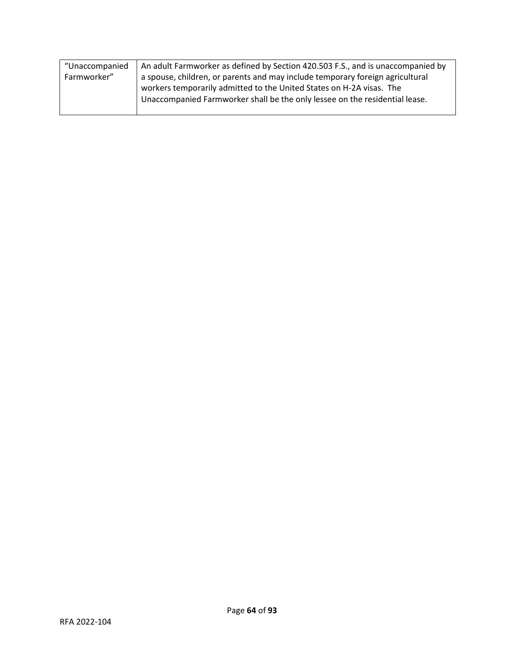| "Unaccompanied | An adult Farmworker as defined by Section 420.503 F.S., and is unaccompanied by                                                                     |
|----------------|-----------------------------------------------------------------------------------------------------------------------------------------------------|
| Farmworker"    | a spouse, children, or parents and may include temporary foreign agricultural                                                                       |
|                | workers temporarily admitted to the United States on H-2A visas. The<br>Unaccompanied Farmworker shall be the only lessee on the residential lease. |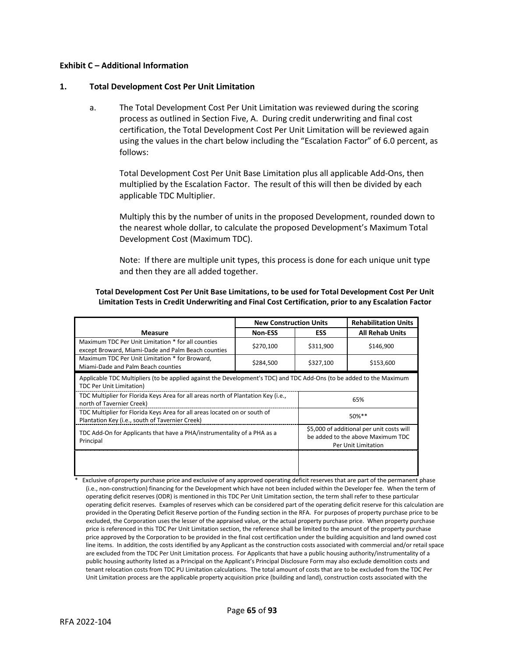### **Exhibit C – Additional Information**

### **1. Total Development Cost Per Unit Limitation**

a. The Total Development Cost Per Unit Limitation was reviewed during the scoring process as outlined in Section Five, A. During credit underwriting and final cost certification, the Total Development Cost Per Unit Limitation will be reviewed again using the values in the chart below including the "Escalation Factor" of 6.0 percent, as follows:

Total Development Cost Per Unit Base Limitation plus all applicable Add-Ons, then multiplied by the Escalation Factor. The result of this will then be divided by each applicable TDC Multiplier.

Multiply this by the number of units in the proposed Development, rounded down to the nearest whole dollar, to calculate the proposed Development's Maximum Total Development Cost (Maximum TDC).

Note: If there are multiple unit types, this process is done for each unique unit type and then they are all added together.

### **Total Development Cost Per Unit Base Limitations, to be used for Total Development Cost Per Unit Limitation Tests in Credit Underwriting and Final Cost Certification, prior to any Escalation Factor**

|                                                                                                                                                         | <b>New Construction Units</b> |                                                                                                       | <b>Rehabilitation Units</b> |
|---------------------------------------------------------------------------------------------------------------------------------------------------------|-------------------------------|-------------------------------------------------------------------------------------------------------|-----------------------------|
| <b>Measure</b>                                                                                                                                          | <b>Non-ESS</b>                | <b>ESS</b>                                                                                            | <b>All Rehab Units</b>      |
| Maximum TDC Per Unit Limitation * for all counties<br>except Broward, Miami-Dade and Palm Beach counties                                                | \$270,100                     | \$311,900                                                                                             | \$146,900                   |
| Maximum TDC Per Unit Limitation * for Broward,<br>Miami-Dade and Palm Beach counties                                                                    | \$284,500                     | \$327,100                                                                                             | \$153,600                   |
| Applicable TDC Multipliers (to be applied against the Development's TDC) and TDC Add-Ons (to be added to the Maximum<br><b>TDC Per Unit Limitation)</b> |                               |                                                                                                       |                             |
| TDC Multiplier for Florida Keys Area for all areas north of Plantation Key (i.e.,<br>north of Tavernier Creek)                                          |                               | 65%                                                                                                   |                             |
| TDC Multiplier for Florida Keys Area for all areas located on or south of<br>Plantation Key (i.e., south of Tavernier Creek)                            |                               |                                                                                                       | $50\%**$                    |
| TDC Add-On for Applicants that have a PHA/instrumentality of a PHA as a<br>Principal                                                                    |                               | \$5,000 of additional per unit costs will<br>be added to the above Maximum TDC<br>Per Unit Limitation |                             |
|                                                                                                                                                         |                               |                                                                                                       |                             |

Exclusive of property purchase price and exclusive of any approved operating deficit reserves that are part of the permanent phase (i.e., non-construction) financing for the Development which have not been included within the Developer fee. When the term of operating deficit reserves (ODR) is mentioned in this TDC Per Unit Limitation section, the term shall refer to these particular operating deficit reserves. Examples of reserves which can be considered part of the operating deficit reserve for this calculation are provided in the Operating Deficit Reserve portion of the Funding section in the RFA. For purposes of property purchase price to be excluded, the Corporation uses the lesser of the appraised value, or the actual property purchase price. When property purchase price is referenced in this TDC Per Unit Limitation section, the reference shall be limited to the amount of the property purchase price approved by the Corporation to be provided in the final cost certification under the building acquisition and land owned cost line items. In addition, the costs identified by any Applicant as the construction costs associated with commercial and/or retail space are excluded from the TDC Per Unit Limitation process. For Applicants that have a public housing authority/instrumentality of a public housing authority listed as a Principal on the Applicant's Principal Disclosure Form may also exclude demolition costs and tenant relocation costs from TDC PU Limitation calculations. The total amount of costs that are to be excluded from the TDC Per Unit Limitation process are the applicable property acquisition price (building and land), construction costs associated with the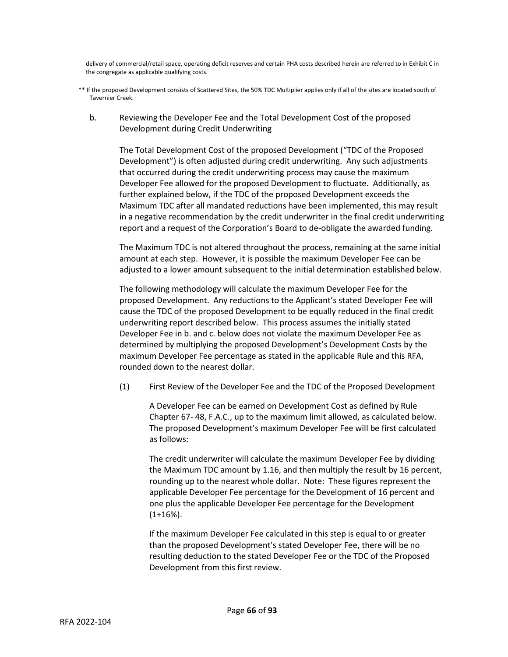delivery of commercial/retail space, operating deficit reserves and certain PHA costs described herein are referred to in Exhibit C in the congregate as applicable qualifying costs.

- \*\* If the proposed Development consists of Scattered Sites, the 50% TDC Multiplier applies only if all of the sites are located south of Tavernier Creek.
	- b. Reviewing the Developer Fee and the Total Development Cost of the proposed Development during Credit Underwriting

The Total Development Cost of the proposed Development ("TDC of the Proposed Development") is often adjusted during credit underwriting. Any such adjustments that occurred during the credit underwriting process may cause the maximum Developer Fee allowed for the proposed Development to fluctuate. Additionally, as further explained below, if the TDC of the proposed Development exceeds the Maximum TDC after all mandated reductions have been implemented, this may result in a negative recommendation by the credit underwriter in the final credit underwriting report and a request of the Corporation's Board to de-obligate the awarded funding.

The Maximum TDC is not altered throughout the process, remaining at the same initial amount at each step. However, it is possible the maximum Developer Fee can be adjusted to a lower amount subsequent to the initial determination established below.

The following methodology will calculate the maximum Developer Fee for the proposed Development. Any reductions to the Applicant's stated Developer Fee will cause the TDC of the proposed Development to be equally reduced in the final credit underwriting report described below. This process assumes the initially stated Developer Fee in b. and c. below does not violate the maximum Developer Fee as determined by multiplying the proposed Development's Development Costs by the maximum Developer Fee percentage as stated in the applicable Rule and this RFA, rounded down to the nearest dollar.

(1) First Review of the Developer Fee and the TDC of the Proposed Development

A Developer Fee can be earned on Development Cost as defined by Rule Chapter 67- 48, F.A.C., up to the maximum limit allowed, as calculated below. The proposed Development's maximum Developer Fee will be first calculated as follows:

The credit underwriter will calculate the maximum Developer Fee by dividing the Maximum TDC amount by 1.16, and then multiply the result by 16 percent, rounding up to the nearest whole dollar. Note: These figures represent the applicable Developer Fee percentage for the Development of 16 percent and one plus the applicable Developer Fee percentage for the Development (1+16%).

If the maximum Developer Fee calculated in this step is equal to or greater than the proposed Development's stated Developer Fee, there will be no resulting deduction to the stated Developer Fee or the TDC of the Proposed Development from this first review.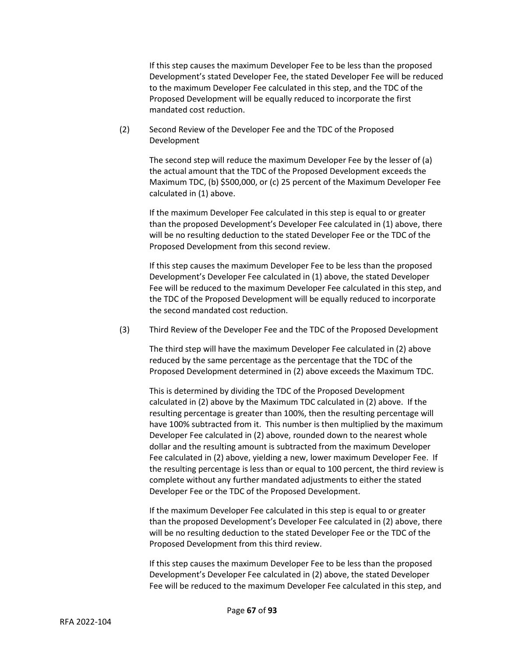If this step causes the maximum Developer Fee to be less than the proposed Development's stated Developer Fee, the stated Developer Fee will be reduced to the maximum Developer Fee calculated in this step, and the TDC of the Proposed Development will be equally reduced to incorporate the first mandated cost reduction.

(2) Second Review of the Developer Fee and the TDC of the Proposed Development

> The second step will reduce the maximum Developer Fee by the lesser of (a) the actual amount that the TDC of the Proposed Development exceeds the Maximum TDC, (b) \$500,000, or (c) 25 percent of the Maximum Developer Fee calculated in (1) above.

> If the maximum Developer Fee calculated in this step is equal to or greater than the proposed Development's Developer Fee calculated in (1) above, there will be no resulting deduction to the stated Developer Fee or the TDC of the Proposed Development from this second review.

> If this step causes the maximum Developer Fee to be less than the proposed Development's Developer Fee calculated in (1) above, the stated Developer Fee will be reduced to the maximum Developer Fee calculated in this step, and the TDC of the Proposed Development will be equally reduced to incorporate the second mandated cost reduction.

(3) Third Review of the Developer Fee and the TDC of the Proposed Development

The third step will have the maximum Developer Fee calculated in (2) above reduced by the same percentage as the percentage that the TDC of the Proposed Development determined in (2) above exceeds the Maximum TDC.

This is determined by dividing the TDC of the Proposed Development calculated in (2) above by the Maximum TDC calculated in (2) above. If the resulting percentage is greater than 100%, then the resulting percentage will have 100% subtracted from it. This number is then multiplied by the maximum Developer Fee calculated in (2) above, rounded down to the nearest whole dollar and the resulting amount is subtracted from the maximum Developer Fee calculated in (2) above, yielding a new, lower maximum Developer Fee. If the resulting percentage is less than or equal to 100 percent, the third review is complete without any further mandated adjustments to either the stated Developer Fee or the TDC of the Proposed Development.

If the maximum Developer Fee calculated in this step is equal to or greater than the proposed Development's Developer Fee calculated in (2) above, there will be no resulting deduction to the stated Developer Fee or the TDC of the Proposed Development from this third review.

If this step causes the maximum Developer Fee to be less than the proposed Development's Developer Fee calculated in (2) above, the stated Developer Fee will be reduced to the maximum Developer Fee calculated in this step, and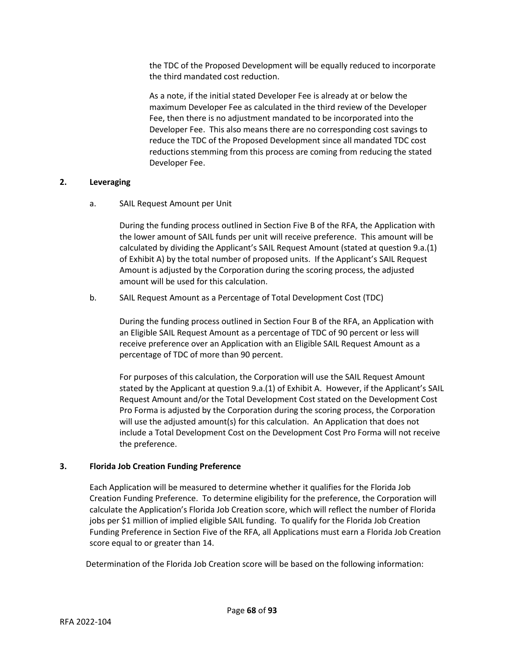the TDC of the Proposed Development will be equally reduced to incorporate the third mandated cost reduction.

As a note, if the initial stated Developer Fee is already at or below the maximum Developer Fee as calculated in the third review of the Developer Fee, then there is no adjustment mandated to be incorporated into the Developer Fee. This also means there are no corresponding cost savings to reduce the TDC of the Proposed Development since all mandated TDC cost reductions stemming from this process are coming from reducing the stated Developer Fee.

## **2. Leveraging**

# a. SAIL Request Amount per Unit

During the funding process outlined in Section Five B of the RFA, the Application with the lower amount of SAIL funds per unit will receive preference. This amount will be calculated by dividing the Applicant's SAIL Request Amount (stated at question 9.a.(1) of Exhibit A) by the total number of proposed units. If the Applicant's SAIL Request Amount is adjusted by the Corporation during the scoring process, the adjusted amount will be used for this calculation.

b. SAIL Request Amount as a Percentage of Total Development Cost (TDC)

During the funding process outlined in Section Four B of the RFA, an Application with an Eligible SAIL Request Amount as a percentage of TDC of 90 percent or less will receive preference over an Application with an Eligible SAIL Request Amount as a percentage of TDC of more than 90 percent.

For purposes of this calculation, the Corporation will use the SAIL Request Amount stated by the Applicant at question 9.a.(1) of Exhibit A. However, if the Applicant's SAIL Request Amount and/or the Total Development Cost stated on the Development Cost Pro Forma is adjusted by the Corporation during the scoring process, the Corporation will use the adjusted amount(s) for this calculation. An Application that does not include a Total Development Cost on the Development Cost Pro Forma will not receive the preference.

## **3. Florida Job Creation Funding Preference**

Each Application will be measured to determine whether it qualifies for the Florida Job Creation Funding Preference. To determine eligibility for the preference, the Corporation will calculate the Application's Florida Job Creation score, which will reflect the number of Florida jobs per \$1 million of implied eligible SAIL funding. To qualify for the Florida Job Creation Funding Preference in Section Five of the RFA, all Applications must earn a Florida Job Creation score equal to or greater than 14.

Determination of the Florida Job Creation score will be based on the following information: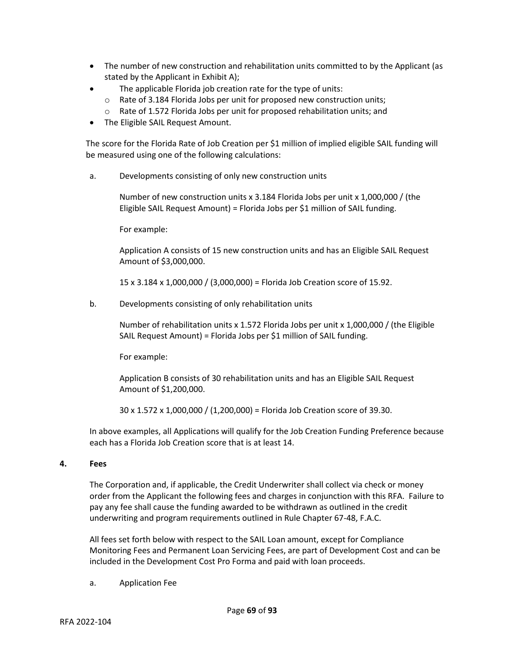- The number of new construction and rehabilitation units committed to by the Applicant (as stated by the Applicant in Exhibit A);
- The applicable Florida job creation rate for the type of units:
	- o Rate of 3.184 Florida Jobs per unit for proposed new construction units;
	- o Rate of 1.572 Florida Jobs per unit for proposed rehabilitation units; and
- The Eligible SAIL Request Amount.

The score for the Florida Rate of Job Creation per \$1 million of implied eligible SAIL funding will be measured using one of the following calculations:

a. Developments consisting of only new construction units

Number of new construction units x 3.184 Florida Jobs per unit x 1,000,000 / (the Eligible SAIL Request Amount) = Florida Jobs per \$1 million of SAIL funding.

For example:

Application A consists of 15 new construction units and has an Eligible SAIL Request Amount of \$3,000,000.

15 x 3.184 x 1,000,000 / (3,000,000) = Florida Job Creation score of 15.92.

b. Developments consisting of only rehabilitation units

Number of rehabilitation units x 1.572 Florida Jobs per unit x 1,000,000 / (the Eligible SAIL Request Amount) = Florida Jobs per \$1 million of SAIL funding.

For example:

Application B consists of 30 rehabilitation units and has an Eligible SAIL Request Amount of \$1,200,000.

30 x 1.572 x 1,000,000 / (1,200,000) = Florida Job Creation score of 39.30.

In above examples, all Applications will qualify for the Job Creation Funding Preference because each has a Florida Job Creation score that is at least 14.

#### **4. Fees**

The Corporation and, if applicable, the Credit Underwriter shall collect via check or money order from the Applicant the following fees and charges in conjunction with this RFA. Failure to pay any fee shall cause the funding awarded to be withdrawn as outlined in the credit underwriting and program requirements outlined in Rule Chapter 67-48, F.A.C.

All fees set forth below with respect to the SAIL Loan amount, except for Compliance Monitoring Fees and Permanent Loan Servicing Fees, are part of Development Cost and can be included in the Development Cost Pro Forma and paid with loan proceeds.

a. Application Fee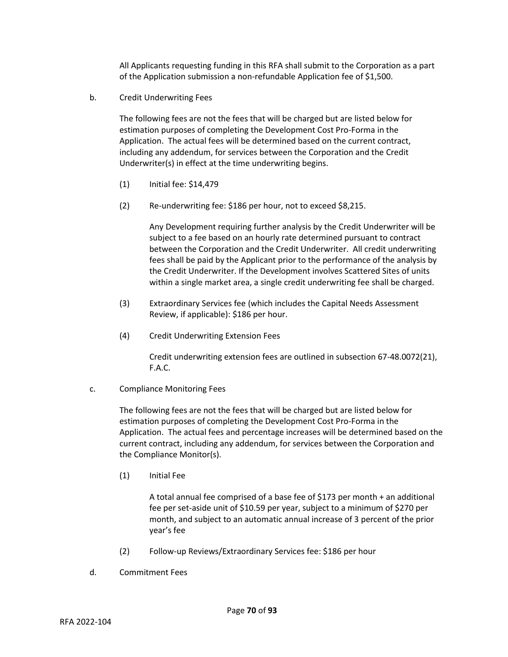All Applicants requesting funding in this RFA shall submit to the Corporation as a part of the Application submission a non-refundable Application fee of \$1,500.

b. Credit Underwriting Fees

The following fees are not the fees that will be charged but are listed below for estimation purposes of completing the Development Cost Pro-Forma in the Application. The actual fees will be determined based on the current contract, including any addendum, for services between the Corporation and the Credit Underwriter(s) in effect at the time underwriting begins.

- (1) Initial fee: \$14,479
- (2) Re-underwriting fee: \$186 per hour, not to exceed \$8,215.

Any Development requiring further analysis by the Credit Underwriter will be subject to a fee based on an hourly rate determined pursuant to contract between the Corporation and the Credit Underwriter. All credit underwriting fees shall be paid by the Applicant prior to the performance of the analysis by the Credit Underwriter. If the Development involves Scattered Sites of units within a single market area, a single credit underwriting fee shall be charged.

- (3) Extraordinary Services fee (which includes the Capital Needs Assessment Review, if applicable): \$186 per hour.
- (4) Credit Underwriting Extension Fees

Credit underwriting extension fees are outlined in subsection 67-48.0072(21), F.A.C.

## c. Compliance Monitoring Fees

The following fees are not the fees that will be charged but are listed below for estimation purposes of completing the Development Cost Pro-Forma in the Application. The actual fees and percentage increases will be determined based on the current contract, including any addendum, for services between the Corporation and the Compliance Monitor(s).

(1) Initial Fee

A total annual fee comprised of a base fee of \$173 per month + an additional fee per set-aside unit of \$10.59 per year, subject to a minimum of \$270 per month, and subject to an automatic annual increase of 3 percent of the prior year's fee

- (2) Follow-up Reviews/Extraordinary Services fee: \$186 per hour
- d. Commitment Fees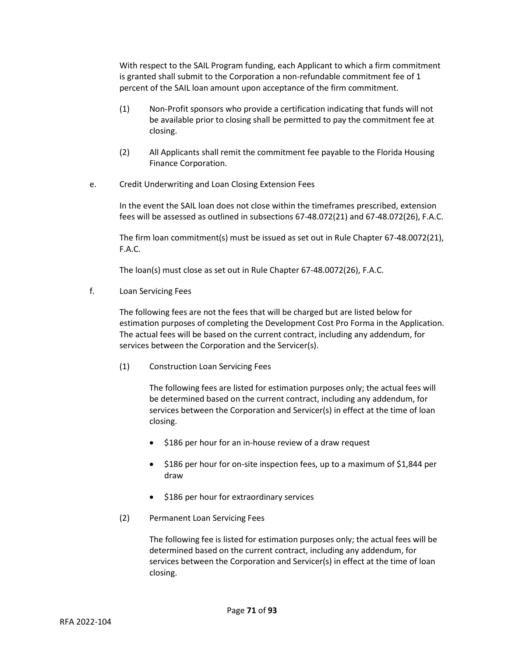With respect to the SAIL Program funding, each Applicant to which a firm commitment is granted shall submit to the Corporation a non-refundable commitment fee of 1 percent of the SAIL loan amount upon acceptance of the firm commitment.

- (1) Non-Profit sponsors who provide a certification indicating that funds will not be available prior to closing shall be permitted to pay the commitment fee at closing.
- (2) All Applicants shall remit the commitment fee payable to the Florida Housing Finance Corporation.
- e. Credit Underwriting and Loan Closing Extension Fees

In the event the SAIL loan does not close within the timeframes prescribed, extension fees will be assessed as outlined in subsections 67-48.072(21) and 67-48.072(26), F.A.C.

The firm loan commitment(s) must be issued as set out in Rule Chapter 67-48.0072(21), F.A.C.

The loan(s) must close as set out in Rule Chapter 67-48.0072(26), F.A.C.

f. Loan Servicing Fees

The following fees are not the fees that will be charged but are listed below for estimation purposes of completing the Development Cost Pro Forma in the Application. The actual fees will be based on the current contract, including any addendum, for services between the Corporation and the Servicer(s).

(1) Construction Loan Servicing Fees

The following fees are listed for estimation purposes only; the actual fees will be determined based on the current contract, including any addendum, for services between the Corporation and Servicer(s) in effect at the time of loan closing.

- \$186 per hour for an in-house review of a draw request
- \$186 per hour for on-site inspection fees, up to a maximum of \$1,844 per draw
- \$186 per hour for extraordinary services
- (2) Permanent Loan Servicing Fees

The following fee is listed for estimation purposes only; the actual fees will be determined based on the current contract, including any addendum, for services between the Corporation and Servicer(s) in effect at the time of loan closing.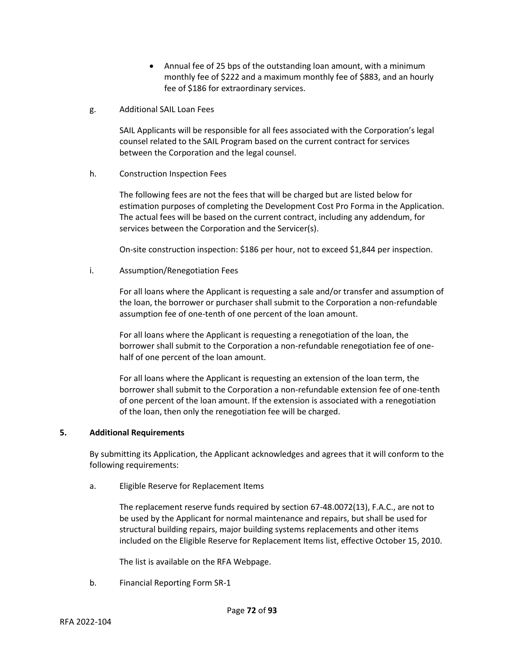- Annual fee of 25 bps of the outstanding loan amount, with a minimum monthly fee of \$222 and a maximum monthly fee of \$883, and an hourly fee of \$186 for extraordinary services.
- g. Additional SAIL Loan Fees

SAIL Applicants will be responsible for all fees associated with the Corporation's legal counsel related to the SAIL Program based on the current contract for services between the Corporation and the legal counsel.

h. Construction Inspection Fees

The following fees are not the fees that will be charged but are listed below for estimation purposes of completing the Development Cost Pro Forma in the Application. The actual fees will be based on the current contract, including any addendum, for services between the Corporation and the Servicer(s).

On-site construction inspection: \$186 per hour, not to exceed \$1,844 per inspection.

## i. Assumption/Renegotiation Fees

For all loans where the Applicant is requesting a sale and/or transfer and assumption of the loan, the borrower or purchaser shall submit to the Corporation a non-refundable assumption fee of one-tenth of one percent of the loan amount.

For all loans where the Applicant is requesting a renegotiation of the loan, the borrower shall submit to the Corporation a non-refundable renegotiation fee of onehalf of one percent of the loan amount.

For all loans where the Applicant is requesting an extension of the loan term, the borrower shall submit to the Corporation a non-refundable extension fee of one-tenth of one percent of the loan amount. If the extension is associated with a renegotiation of the loan, then only the renegotiation fee will be charged.

#### **5. Additional Requirements**

By submitting its Application, the Applicant acknowledges and agrees that it will conform to the following requirements:

a. Eligible Reserve for Replacement Items

The replacement reserve funds required by section 67-48.0072(13), F.A.C., are not to be used by the Applicant for normal maintenance and repairs, but shall be used for structural building repairs, major building systems replacements and other items included on the Eligible Reserve for Replacement Items list, effective October 15, 2010.

The list is available on the RFA Webpage.

b. Financial Reporting Form SR-1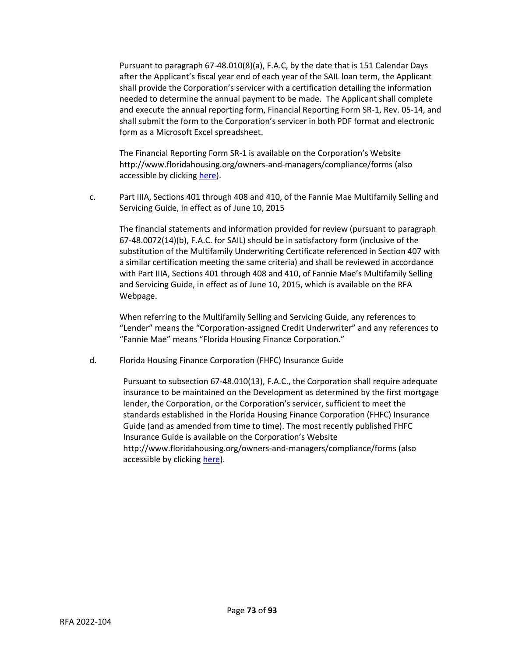Pursuant to paragraph 67-48.010(8)(a), F.A.C, by the date that is 151 Calendar Days after the Applicant's fiscal year end of each year of the SAIL loan term, the Applicant shall provide the Corporation's servicer with a certification detailing the information needed to determine the annual payment to be made. The Applicant shall complete and execute the annual reporting form, Financial Reporting Form SR-1, Rev. 05-14, and shall submit the form to the Corporation's servicer in both PDF format and electronic form as a Microsoft Excel spreadsheet.

The Financial Reporting Form SR-1 is available on the Corporation's Website http://www.floridahousing.org/owners-and-managers/compliance/forms (also accessible by clicking [here\)](http://www.floridahousing.org/owners-and-managers/compliance/forms).

c. Part IIIA, Sections 401 through 408 and 410, of the Fannie Mae Multifamily Selling and Servicing Guide, in effect as of June 10, 2015

The financial statements and information provided for review (pursuant to paragraph 67-48.0072(14)(b), F.A.C. for SAIL) should be in satisfactory form (inclusive of the substitution of the Multifamily Underwriting Certificate referenced in Section 407 with a similar certification meeting the same criteria) and shall be reviewed in accordance with Part IIIA, Sections 401 through 408 and 410, of Fannie Mae's Multifamily Selling and Servicing Guide, in effect as of June 10, 2015, which is available on the RFA Webpage.

When referring to the Multifamily Selling and Servicing Guide, any references to "Lender" means the "Corporation-assigned Credit Underwriter" and any references to "Fannie Mae" means "Florida Housing Finance Corporation."

d. Florida Housing Finance Corporation (FHFC) Insurance Guide

Pursuant to subsection 67-48.010(13), F.A.C., the Corporation shall require adequate insurance to be maintained on the Development as determined by the first mortgage lender, the Corporation, or the Corporation's servicer, sufficient to meet the standards established in the Florida Housing Finance Corporation (FHFC) Insurance Guide (and as amended from time to time). The most recently published FHFC Insurance Guide is available on the Corporation's Website http://www.floridahousing.org/owners-and-managers/compliance/forms (also accessible by clicking [here\)](http://www.floridahousing.org/owners-and-managers/compliance/forms).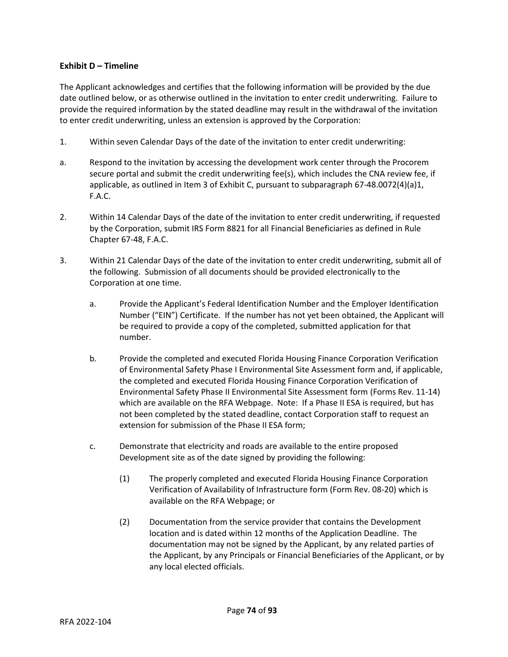# **Exhibit D – Timeline**

The Applicant acknowledges and certifies that the following information will be provided by the due date outlined below, or as otherwise outlined in the invitation to enter credit underwriting. Failure to provide the required information by the stated deadline may result in the withdrawal of the invitation to enter credit underwriting, unless an extension is approved by the Corporation:

- 1. Within seven Calendar Days of the date of the invitation to enter credit underwriting:
- a. Respond to the invitation by accessing the development work center through the Procorem secure portal and submit the credit underwriting fee(s), which includes the CNA review fee, if applicable, as outlined in Item 3 of Exhibit C, pursuant to subparagraph 67-48.0072(4)(a)1, F.A.C.
- 2. Within 14 Calendar Days of the date of the invitation to enter credit underwriting, if requested by the Corporation, submit IRS Form 8821 for all Financial Beneficiaries as defined in Rule Chapter 67-48, F.A.C.
- 3. Within 21 Calendar Days of the date of the invitation to enter credit underwriting, submit all of the following. Submission of all documents should be provided electronically to the Corporation at one time.
	- a. Provide the Applicant's Federal Identification Number and the Employer Identification Number ("EIN") Certificate. If the number has not yet been obtained, the Applicant will be required to provide a copy of the completed, submitted application for that number.
	- b. Provide the completed and executed Florida Housing Finance Corporation Verification of Environmental Safety Phase I Environmental Site Assessment form and, if applicable, the completed and executed Florida Housing Finance Corporation Verification of Environmental Safety Phase II Environmental Site Assessment form (Forms Rev. 11-14) which are available on the RFA Webpage. Note: If a Phase II ESA is required, but has not been completed by the stated deadline, contact Corporation staff to request an extension for submission of the Phase II ESA form;
	- c. Demonstrate that electricity and roads are available to the entire proposed Development site as of the date signed by providing the following:
		- (1) The properly completed and executed Florida Housing Finance Corporation Verification of Availability of Infrastructure form (Form Rev. 08-20) which is available on the RFA Webpage; or
		- (2) Documentation from the service provider that contains the Development location and is dated within 12 months of the Application Deadline. The documentation may not be signed by the Applicant, by any related parties of the Applicant, by any Principals or Financial Beneficiaries of the Applicant, or by any local elected officials.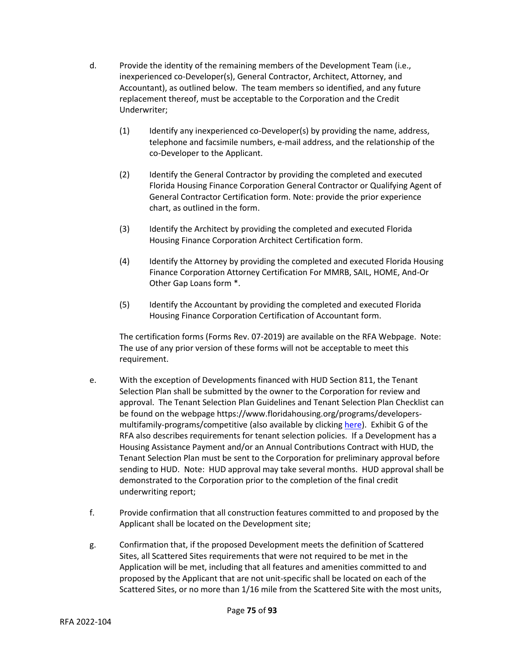- d. Provide the identity of the remaining members of the Development Team (i.e., inexperienced co-Developer(s), General Contractor, Architect, Attorney, and Accountant), as outlined below. The team members so identified, and any future replacement thereof, must be acceptable to the Corporation and the Credit Underwriter;
	- (1) Identify any inexperienced co-Developer(s) by providing the name, address, telephone and facsimile numbers, e-mail address, and the relationship of the co-Developer to the Applicant.
	- (2) Identify the General Contractor by providing the completed and executed Florida Housing Finance Corporation General Contractor or Qualifying Agent of General Contractor Certification form. Note: provide the prior experience chart, as outlined in the form.
	- (3) Identify the Architect by providing the completed and executed Florida Housing Finance Corporation Architect Certification form.
	- (4) Identify the Attorney by providing the completed and executed Florida Housing Finance Corporation Attorney Certification For MMRB, SAIL, HOME, And-Or Other Gap Loans form \*.
	- (5) Identify the Accountant by providing the completed and executed Florida Housing Finance Corporation Certification of Accountant form.

The certification forms (Forms Rev. 07-2019) are available on the RFA Webpage. Note: The use of any prior version of these forms will not be acceptable to meet this requirement.

- e. With the exception of Developments financed with HUD Section 811, the Tenant Selection Plan shall be submitted by the owner to the Corporation for review and approval. The Tenant Selection Plan Guidelines and Tenant Selection Plan Checklist can be found on the webpage https://www.floridahousing.org/programs/developersmultifamily-programs/competitive (also available by clickin[g here\)](https://www.floridahousing.org/programs/developers-multifamily-programs/competitive). Exhibit G of the RFA also describes requirements for tenant selection policies. If a Development has a Housing Assistance Payment and/or an Annual Contributions Contract with HUD, the Tenant Selection Plan must be sent to the Corporation for preliminary approval before sending to HUD. Note: HUD approval may take several months. HUD approval shall be demonstrated to the Corporation prior to the completion of the final credit underwriting report;
- f. Provide confirmation that all construction features committed to and proposed by the Applicant shall be located on the Development site;
- g. Confirmation that, if the proposed Development meets the definition of Scattered Sites, all Scattered Sites requirements that were not required to be met in the Application will be met, including that all features and amenities committed to and proposed by the Applicant that are not unit-specific shall be located on each of the Scattered Sites, or no more than 1/16 mile from the Scattered Site with the most units,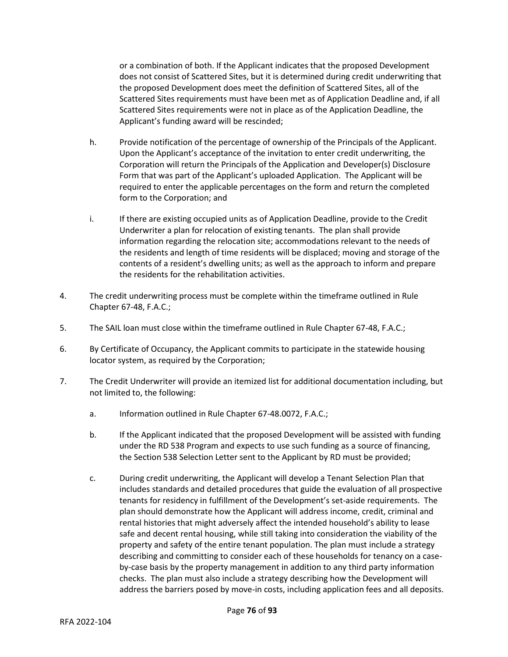or a combination of both. If the Applicant indicates that the proposed Development does not consist of Scattered Sites, but it is determined during credit underwriting that the proposed Development does meet the definition of Scattered Sites, all of the Scattered Sites requirements must have been met as of Application Deadline and, if all Scattered Sites requirements were not in place as of the Application Deadline, the Applicant's funding award will be rescinded;

- h. Provide notification of the percentage of ownership of the Principals of the Applicant. Upon the Applicant's acceptance of the invitation to enter credit underwriting, the Corporation will return the Principals of the Application and Developer(s) Disclosure Form that was part of the Applicant's uploaded Application. The Applicant will be required to enter the applicable percentages on the form and return the completed form to the Corporation; and
- i. If there are existing occupied units as of Application Deadline, provide to the Credit Underwriter a plan for relocation of existing tenants. The plan shall provide information regarding the relocation site; accommodations relevant to the needs of the residents and length of time residents will be displaced; moving and storage of the contents of a resident's dwelling units; as well as the approach to inform and prepare the residents for the rehabilitation activities.
- 4. The credit underwriting process must be complete within the timeframe outlined in Rule Chapter 67-48, F.A.C.;
- 5. The SAIL loan must close within the timeframe outlined in Rule Chapter 67-48, F.A.C.;
- 6. By Certificate of Occupancy, the Applicant commits to participate in the statewide housing locator system, as required by the Corporation;
- 7. The Credit Underwriter will provide an itemized list for additional documentation including, but not limited to, the following:
	- a. Information outlined in Rule Chapter 67-48.0072, F.A.C.;
	- b. If the Applicant indicated that the proposed Development will be assisted with funding under the RD 538 Program and expects to use such funding as a source of financing, the Section 538 Selection Letter sent to the Applicant by RD must be provided;
	- c. During credit underwriting, the Applicant will develop a Tenant Selection Plan that includes standards and detailed procedures that guide the evaluation of all prospective tenants for residency in fulfillment of the Development's set-aside requirements. The plan should demonstrate how the Applicant will address income, credit, criminal and rental histories that might adversely affect the intended household's ability to lease safe and decent rental housing, while still taking into consideration the viability of the property and safety of the entire tenant population. The plan must include a strategy describing and committing to consider each of these households for tenancy on a caseby-case basis by the property management in addition to any third party information checks. The plan must also include a strategy describing how the Development will address the barriers posed by move-in costs, including application fees and all deposits.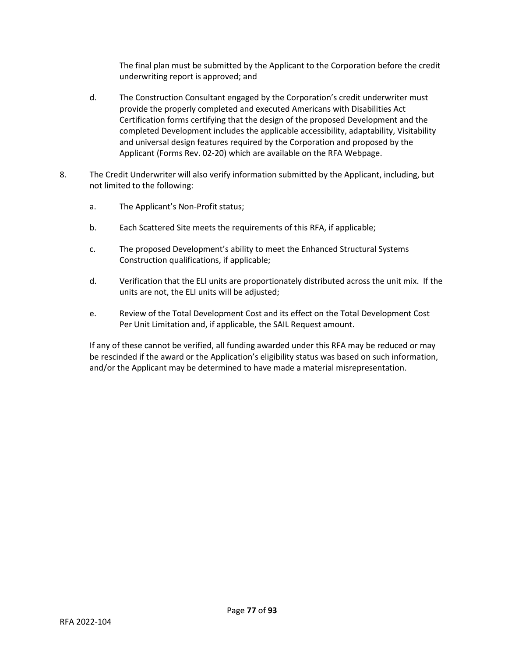The final plan must be submitted by the Applicant to the Corporation before the credit underwriting report is approved; and

- d. The Construction Consultant engaged by the Corporation's credit underwriter must provide the properly completed and executed Americans with Disabilities Act Certification forms certifying that the design of the proposed Development and the completed Development includes the applicable accessibility, adaptability, Visitability and universal design features required by the Corporation and proposed by the Applicant (Forms Rev. 02-20) which are available on the RFA Webpage.
- 8. The Credit Underwriter will also verify information submitted by the Applicant, including, but not limited to the following:
	- a. The Applicant's Non-Profit status;
	- b. Each Scattered Site meets the requirements of this RFA, if applicable;
	- c. The proposed Development's ability to meet the Enhanced Structural Systems Construction qualifications, if applicable;
	- d. Verification that the ELI units are proportionately distributed across the unit mix. If the units are not, the ELI units will be adjusted;
	- e. Review of the Total Development Cost and its effect on the Total Development Cost Per Unit Limitation and, if applicable, the SAIL Request amount.

If any of these cannot be verified, all funding awarded under this RFA may be reduced or may be rescinded if the award or the Application's eligibility status was based on such information, and/or the Applicant may be determined to have made a material misrepresentation.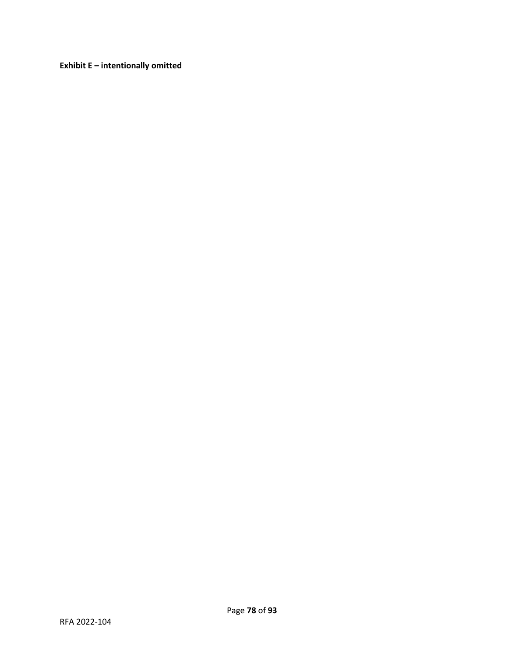**Exhibit E – intentionally omitted**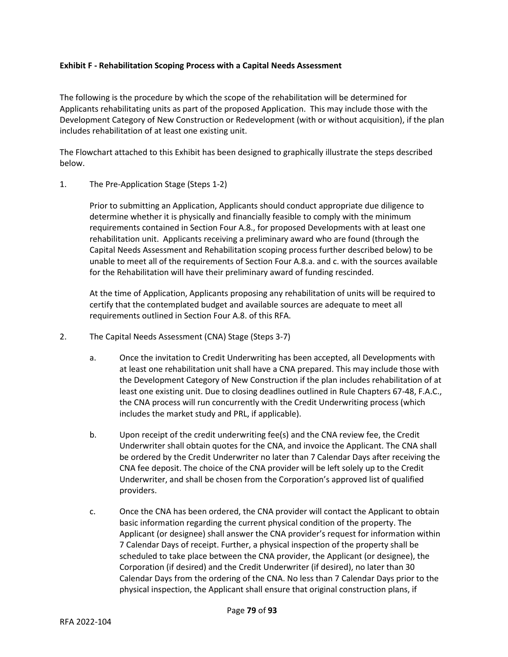#### **Exhibit F - Rehabilitation Scoping Process with a Capital Needs Assessment**

The following is the procedure by which the scope of the rehabilitation will be determined for Applicants rehabilitating units as part of the proposed Application. This may include those with the Development Category of New Construction or Redevelopment (with or without acquisition), if the plan includes rehabilitation of at least one existing unit.

The Flowchart attached to this Exhibit has been designed to graphically illustrate the steps described below.

## 1. The Pre-Application Stage (Steps 1-2)

Prior to submitting an Application, Applicants should conduct appropriate due diligence to determine whether it is physically and financially feasible to comply with the minimum requirements contained in Section Four A.8., for proposed Developments with at least one rehabilitation unit. Applicants receiving a preliminary award who are found (through the Capital Needs Assessment and Rehabilitation scoping process further described below) to be unable to meet all of the requirements of Section Four A.8.a. and c. with the sources available for the Rehabilitation will have their preliminary award of funding rescinded.

At the time of Application, Applicants proposing any rehabilitation of units will be required to certify that the contemplated budget and available sources are adequate to meet all requirements outlined in Section Four A.8. of this RFA.

- 2. The Capital Needs Assessment (CNA) Stage (Steps 3-7)
	- a. Once the invitation to Credit Underwriting has been accepted, all Developments with at least one rehabilitation unit shall have a CNA prepared. This may include those with the Development Category of New Construction if the plan includes rehabilitation of at least one existing unit. Due to closing deadlines outlined in Rule Chapters 67-48, F.A.C., the CNA process will run concurrently with the Credit Underwriting process (which includes the market study and PRL, if applicable).
	- b. Upon receipt of the credit underwriting fee(s) and the CNA review fee, the Credit Underwriter shall obtain quotes for the CNA, and invoice the Applicant. The CNA shall be ordered by the Credit Underwriter no later than 7 Calendar Days after receiving the CNA fee deposit. The choice of the CNA provider will be left solely up to the Credit Underwriter, and shall be chosen from the Corporation's approved list of qualified providers.
	- c. Once the CNA has been ordered, the CNA provider will contact the Applicant to obtain basic information regarding the current physical condition of the property. The Applicant (or designee) shall answer the CNA provider's request for information within 7 Calendar Days of receipt. Further, a physical inspection of the property shall be scheduled to take place between the CNA provider, the Applicant (or designee), the Corporation (if desired) and the Credit Underwriter (if desired), no later than 30 Calendar Days from the ordering of the CNA. No less than 7 Calendar Days prior to the physical inspection, the Applicant shall ensure that original construction plans, if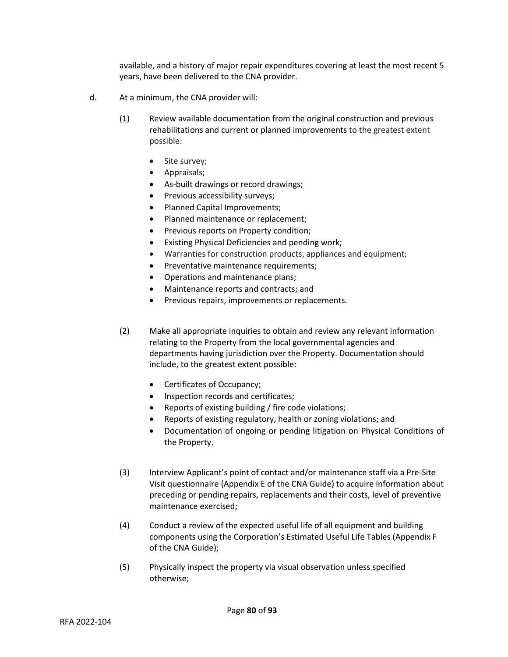available, and a history of major repair expenditures covering at least the most recent 5 years, have been delivered to the CNA provider.

- d. At a minimum, the CNA provider will:
	- (1) Review available documentation from the original construction and previous rehabilitations and current or planned improvements to the greatest extent possible:
		- Site survey;
		- Appraisals;
		- As-built drawings or record drawings;
		- Previous accessibility surveys;
		- Planned Capital Improvements;
		- Planned maintenance or replacement;
		- Previous reports on Property condition;
		- Existing Physical Deficiencies and pending work;
		- Warranties for construction products, appliances and equipment;
		- Preventative maintenance requirements;
		- Operations and maintenance plans;
		- Maintenance reports and contracts; and
		- Previous repairs, improvements or replacements.
	- (2) Make all appropriate inquiries to obtain and review any relevant information relating to the Property from the local governmental agencies and departments having jurisdiction over the Property. Documentation should include, to the greatest extent possible:
		- Certificates of Occupancy;
		- Inspection records and certificates;
		- Reports of existing building / fire code violations;
		- Reports of existing regulatory, health or zoning violations; and
		- Documentation of ongoing or pending litigation on Physical Conditions of the Property.
	- (3) Interview Applicant's point of contact and/or maintenance staff via a Pre-Site Visit questionnaire (Appendix E of the CNA Guide) to acquire information about preceding or pending repairs, replacements and their costs, level of preventive maintenance exercised;
	- (4) Conduct a review of the expected useful life of all equipment and building components using the Corporation's Estimated Useful Life Tables (Appendix F of the CNA Guide);
	- (5) Physically inspect the property via visual observation unless specified otherwise;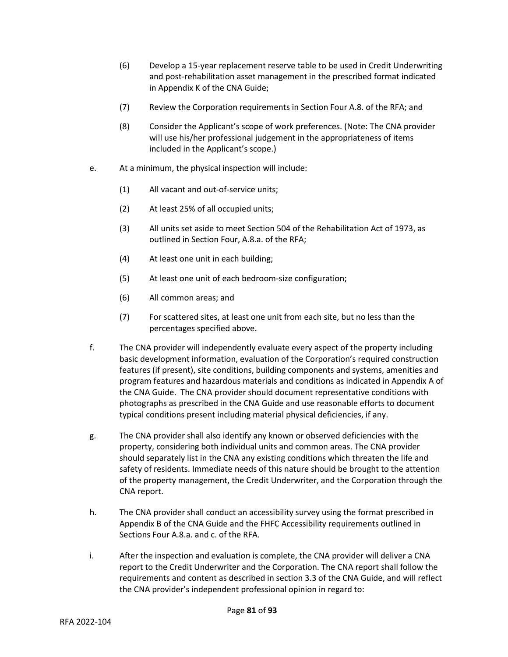- (6) Develop a 15-year replacement reserve table to be used in Credit Underwriting and post-rehabilitation asset management in the prescribed format indicated in Appendix K of the CNA Guide;
- (7) Review the Corporation requirements in Section Four A.8. of the RFA; and
- (8) Consider the Applicant's scope of work preferences. (Note: The CNA provider will use his/her professional judgement in the appropriateness of items included in the Applicant's scope.)
- e. At a minimum, the physical inspection will include:
	- (1) All vacant and out-of-service units;
	- (2) At least 25% of all occupied units;
	- (3) All units set aside to meet Section 504 of the Rehabilitation Act of 1973, as outlined in Section Four, A.8.a. of the RFA;
	- (4) At least one unit in each building;
	- (5) At least one unit of each bedroom-size configuration;
	- (6) All common areas; and
	- (7) For scattered sites, at least one unit from each site, but no less than the percentages specified above.
- f. The CNA provider will independently evaluate every aspect of the property including basic development information, evaluation of the Corporation's required construction features (if present), site conditions, building components and systems, amenities and program features and hazardous materials and conditions as indicated in Appendix A of the CNA Guide. The CNA provider should document representative conditions with photographs as prescribed in the CNA Guide and use reasonable efforts to document typical conditions present including material physical deficiencies, if any.
- g. The CNA provider shall also identify any known or observed deficiencies with the property, considering both individual units and common areas. The CNA provider should separately list in the CNA any existing conditions which threaten the life and safety of residents. Immediate needs of this nature should be brought to the attention of the property management, the Credit Underwriter, and the Corporation through the CNA report.
- h. The CNA provider shall conduct an accessibility survey using the format prescribed in Appendix B of the CNA Guide and the FHFC Accessibility requirements outlined in Sections Four A.8.a. and c. of the RFA.
- i. After the inspection and evaluation is complete, the CNA provider will deliver a CNA report to the Credit Underwriter and the Corporation. The CNA report shall follow the requirements and content as described in section 3.3 of the CNA Guide, and will reflect the CNA provider's independent professional opinion in regard to: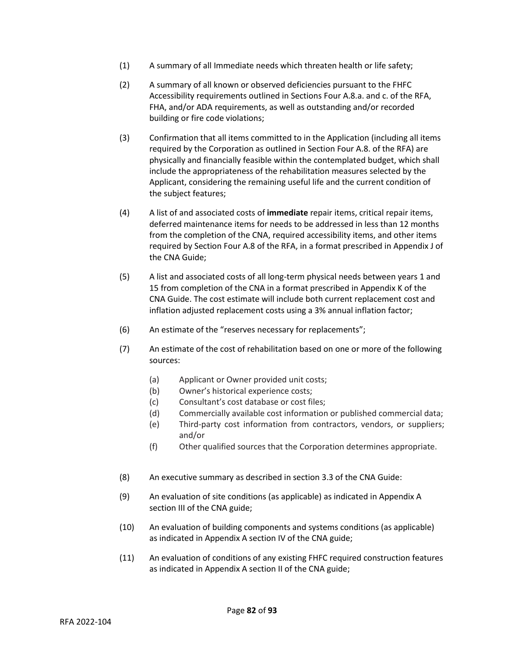- (1) A summary of all Immediate needs which threaten health or life safety;
- (2) A summary of all known or observed deficiencies pursuant to the FHFC Accessibility requirements outlined in Sections Four A.8.a. and c. of the RFA, FHA, and/or ADA requirements, as well as outstanding and/or recorded building or fire code violations;
- (3) Confirmation that all items committed to in the Application (including all items required by the Corporation as outlined in Section Four A.8. of the RFA) are physically and financially feasible within the contemplated budget, which shall include the appropriateness of the rehabilitation measures selected by the Applicant, considering the remaining useful life and the current condition of the subject features;
- (4) A list of and associated costs of **immediate** repair items, critical repair items, deferred maintenance items for needs to be addressed in less than 12 months from the completion of the CNA, required accessibility items, and other items required by Section Four A.8 of the RFA, in a format prescribed in Appendix J of the CNA Guide;
- (5) A list and associated costs of all long-term physical needs between years 1 and 15 from completion of the CNA in a format prescribed in Appendix K of the CNA Guide. The cost estimate will include both current replacement cost and inflation adjusted replacement costs using a 3% annual inflation factor;
- (6) An estimate of the "reserves necessary for replacements";
- (7) An estimate of the cost of rehabilitation based on one or more of the following sources:
	- (a) Applicant or Owner provided unit costs;
	- (b) Owner's historical experience costs;
	- (c) Consultant's cost database or cost files;
	- (d) Commercially available cost information or published commercial data;
	- (e) Third-party cost information from contractors, vendors, or suppliers; and/or
	- (f) Other qualified sources that the Corporation determines appropriate.
- (8) An executive summary as described in section 3.3 of the CNA Guide:
- (9) An evaluation of site conditions (as applicable) as indicated in Appendix A section III of the CNA guide;
- (10) An evaluation of building components and systems conditions (as applicable) as indicated in Appendix A section IV of the CNA guide;
- (11) An evaluation of conditions of any existing FHFC required construction features as indicated in Appendix A section II of the CNA guide;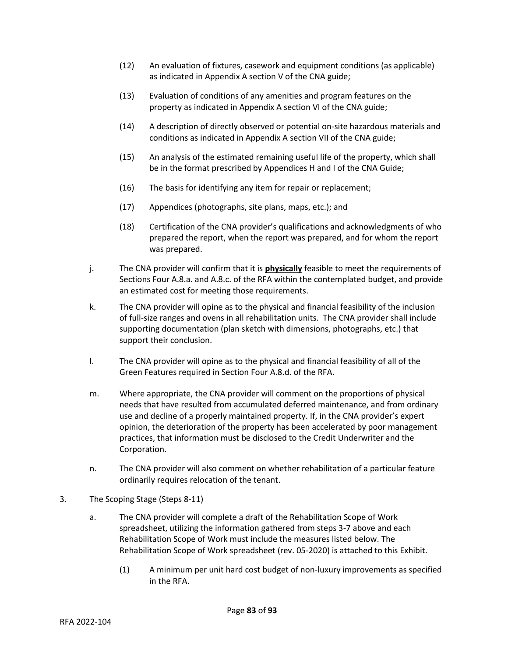- (12) An evaluation of fixtures, casework and equipment conditions (as applicable) as indicated in Appendix A section V of the CNA guide;
- (13) Evaluation of conditions of any amenities and program features on the property as indicated in Appendix A section VI of the CNA guide;
- (14) A description of directly observed or potential on-site hazardous materials and conditions as indicated in Appendix A section VII of the CNA guide;
- (15) An analysis of the estimated remaining useful life of the property, which shall be in the format prescribed by Appendices H and I of the CNA Guide;
- (16) The basis for identifying any item for repair or replacement;
- (17) Appendices (photographs, site plans, maps, etc.); and
- (18) Certification of the CNA provider's qualifications and acknowledgments of who prepared the report, when the report was prepared, and for whom the report was prepared.
- j. The CNA provider will confirm that it is **physically** feasible to meet the requirements of Sections Four A.8.a. and A.8.c. of the RFA within the contemplated budget, and provide an estimated cost for meeting those requirements.
- k. The CNA provider will opine as to the physical and financial feasibility of the inclusion of full-size ranges and ovens in all rehabilitation units. The CNA provider shall include supporting documentation (plan sketch with dimensions, photographs, etc.) that support their conclusion.
- l. The CNA provider will opine as to the physical and financial feasibility of all of the Green Features required in Section Four A.8.d. of the RFA.
- m. Where appropriate, the CNA provider will comment on the proportions of physical needs that have resulted from accumulated deferred maintenance, and from ordinary use and decline of a properly maintained property. If, in the CNA provider's expert opinion, the deterioration of the property has been accelerated by poor management practices, that information must be disclosed to the Credit Underwriter and the Corporation.
- n. The CNA provider will also comment on whether rehabilitation of a particular feature ordinarily requires relocation of the tenant.
- 3. The Scoping Stage (Steps 8-11)
	- a. The CNA provider will complete a draft of the Rehabilitation Scope of Work spreadsheet, utilizing the information gathered from steps 3-7 above and each Rehabilitation Scope of Work must include the measures listed below. The Rehabilitation Scope of Work spreadsheet (rev. 05-2020) is attached to this Exhibit.
		- (1) A minimum per unit hard cost budget of non-luxury improvements as specified in the RFA.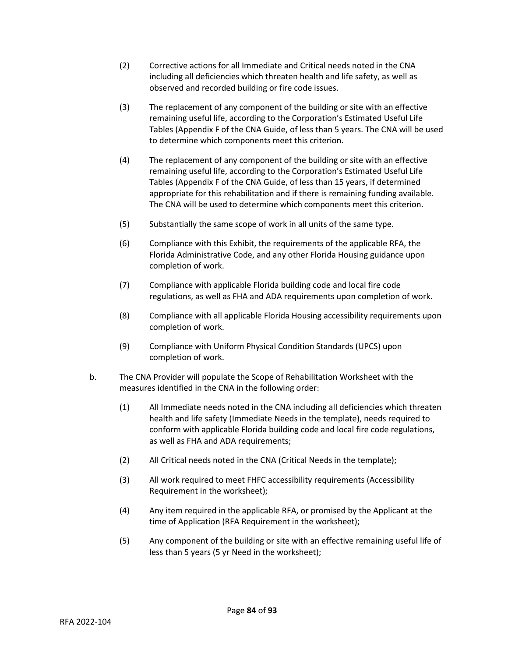- (2) Corrective actions for all Immediate and Critical needs noted in the CNA including all deficiencies which threaten health and life safety, as well as observed and recorded building or fire code issues.
- (3) The replacement of any component of the building or site with an effective remaining useful life, according to the Corporation's Estimated Useful Life Tables (Appendix F of the CNA Guide, of less than 5 years. The CNA will be used to determine which components meet this criterion.
- (4) The replacement of any component of the building or site with an effective remaining useful life, according to the Corporation's Estimated Useful Life Tables (Appendix F of the CNA Guide, of less than 15 years, if determined appropriate for this rehabilitation and if there is remaining funding available. The CNA will be used to determine which components meet this criterion.
- (5) Substantially the same scope of work in all units of the same type.
- (6) Compliance with this Exhibit, the requirements of the applicable RFA, the Florida Administrative Code, and any other Florida Housing guidance upon completion of work.
- (7) Compliance with applicable Florida building code and local fire code regulations, as well as FHA and ADA requirements upon completion of work.
- (8) Compliance with all applicable Florida Housing accessibility requirements upon completion of work.
- (9) Compliance with Uniform Physical Condition Standards (UPCS) upon completion of work.
- b. The CNA Provider will populate the Scope of Rehabilitation Worksheet with the measures identified in the CNA in the following order:
	- (1) All Immediate needs noted in the CNA including all deficiencies which threaten health and life safety (Immediate Needs in the template), needs required to conform with applicable Florida building code and local fire code regulations, as well as FHA and ADA requirements;
	- (2) All Critical needs noted in the CNA (Critical Needs in the template);
	- (3) All work required to meet FHFC accessibility requirements (Accessibility Requirement in the worksheet);
	- (4) Any item required in the applicable RFA, or promised by the Applicant at the time of Application (RFA Requirement in the worksheet);
	- (5) Any component of the building or site with an effective remaining useful life of less than 5 years (5 yr Need in the worksheet);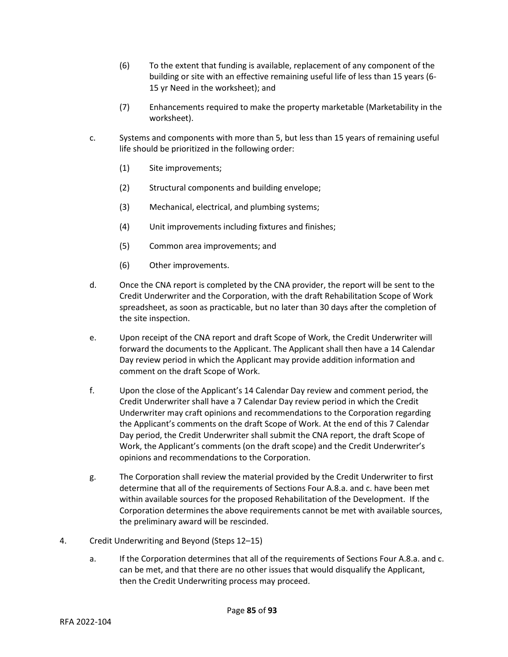- (6) To the extent that funding is available, replacement of any component of the building or site with an effective remaining useful life of less than 15 years (6- 15 yr Need in the worksheet); and
- (7) Enhancements required to make the property marketable (Marketability in the worksheet).
- c. Systems and components with more than 5, but less than 15 years of remaining useful life should be prioritized in the following order:
	- (1) Site improvements;
	- (2) Structural components and building envelope;
	- (3) Mechanical, electrical, and plumbing systems;
	- (4) Unit improvements including fixtures and finishes;
	- (5) Common area improvements; and
	- (6) Other improvements.
- d. Once the CNA report is completed by the CNA provider, the report will be sent to the Credit Underwriter and the Corporation, with the draft Rehabilitation Scope of Work spreadsheet, as soon as practicable, but no later than 30 days after the completion of the site inspection.
- e. Upon receipt of the CNA report and draft Scope of Work, the Credit Underwriter will forward the documents to the Applicant. The Applicant shall then have a 14 Calendar Day review period in which the Applicant may provide addition information and comment on the draft Scope of Work.
- f. Upon the close of the Applicant's 14 Calendar Day review and comment period, the Credit Underwriter shall have a 7 Calendar Day review period in which the Credit Underwriter may craft opinions and recommendations to the Corporation regarding the Applicant's comments on the draft Scope of Work. At the end of this 7 Calendar Day period, the Credit Underwriter shall submit the CNA report, the draft Scope of Work, the Applicant's comments (on the draft scope) and the Credit Underwriter's opinions and recommendations to the Corporation.
- g. The Corporation shall review the material provided by the Credit Underwriter to first determine that all of the requirements of Sections Four A.8.a. and c. have been met within available sources for the proposed Rehabilitation of the Development. If the Corporation determines the above requirements cannot be met with available sources, the preliminary award will be rescinded.
- 4. Credit Underwriting and Beyond (Steps 12–15)
	- a. If the Corporation determines that all of the requirements of Sections Four A.8.a. and c. can be met, and that there are no other issues that would disqualify the Applicant, then the Credit Underwriting process may proceed.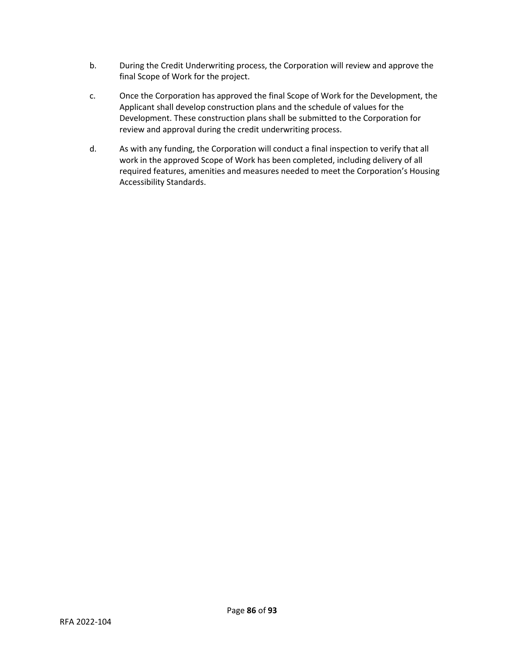- b. During the Credit Underwriting process, the Corporation will review and approve the final Scope of Work for the project.
- c. Once the Corporation has approved the final Scope of Work for the Development, the Applicant shall develop construction plans and the schedule of values for the Development. These construction plans shall be submitted to the Corporation for review and approval during the credit underwriting process.
- d. As with any funding, the Corporation will conduct a final inspection to verify that all work in the approved Scope of Work has been completed, including delivery of all required features, amenities and measures needed to meet the Corporation's Housing Accessibility Standards.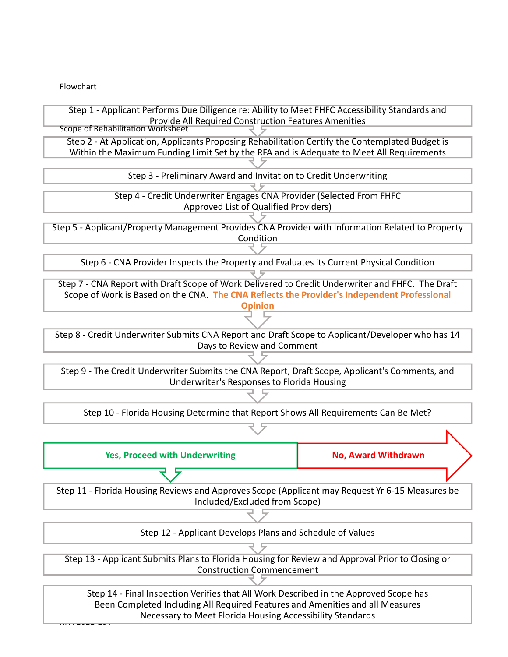Flowchart

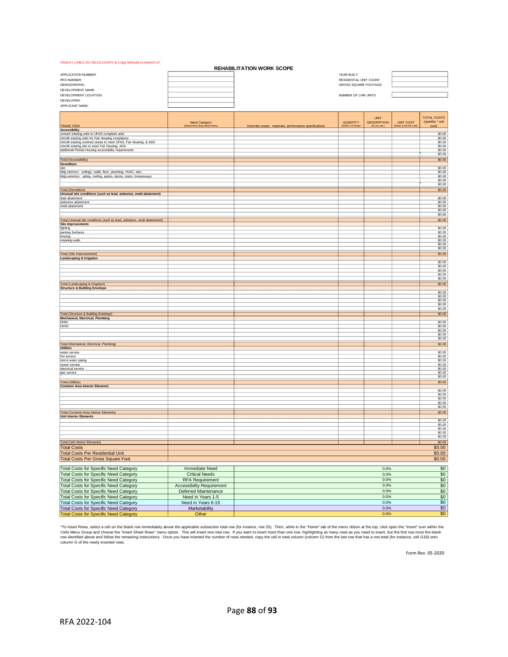#### *INSERT LINES AS NECESSARY & Copy formula in column G\**

| <b>REHABILITATION WORK SCOPE</b>                                                                      |                                  |                                                       |                         |                                   |                       |                                        |
|-------------------------------------------------------------------------------------------------------|----------------------------------|-------------------------------------------------------|-------------------------|-----------------------------------|-----------------------|----------------------------------------|
| APPLICATION NUMBER:                                                                                   |                                  |                                                       | YEAR BUILT:             |                                   |                       |                                        |
| RFA NUMBER:                                                                                           |                                  |                                                       | RESIDENTIAL UNIT COUNT: |                                   |                       |                                        |
| DEMOGRAPHIC:                                                                                          |                                  |                                                       | GROSS SQUARE FOOTAGE:   |                                   |                       |                                        |
| DEVELOPMENT NAME:                                                                                     |                                  |                                                       |                         |                                   |                       |                                        |
| DEVELOPMENT LOCATION:                                                                                 |                                  |                                                       | NUMBER OF LINK UNITS    |                                   |                       |                                        |
| DEVELOPER:<br>APPLICANT NAME:                                                                         |                                  |                                                       |                         |                                   |                       |                                        |
|                                                                                                       |                                  |                                                       |                         |                                   |                       |                                        |
|                                                                                                       |                                  |                                                       |                         |                                   |                       |                                        |
|                                                                                                       | <b>Need Category</b>             |                                                       | QUANTITY                | <b>UNIT</b><br><b>DESCRIPTION</b> | <b>UNIT COST</b>      | <b>TOTAL COSTS</b><br>(quantity * unit |
| <b>TRADE ITEM</b>                                                                                     | (Select from drop-down menu)     | Describe scope: materials, performance specifications | (Enter # of Units)      | (sf, ea, etc.                     | (Enter Cost Per Unit) | cost)                                  |
| <b>Accessibility</b>                                                                                  |                                  |                                                       |                         |                                   |                       |                                        |
| convert existing units to UFAS-compliant units<br>retrofit existing units for Fair Housing compliance |                                  |                                                       |                         |                                   |                       | \$0.00<br>\$0.00                       |
| retrofit existing common areas to meet UFAS, Fair Housing, & ADA                                      |                                  |                                                       |                         |                                   |                       | \$0.00                                 |
| retrofit existing site to meet Fair Housing, ADA                                                      |                                  |                                                       |                         |                                   |                       | \$0.00                                 |
| additional Florida Housing accessibility requirements                                                 |                                  |                                                       |                         |                                   |                       | \$0.00<br>\$0.00                       |
| <b>Total (Accessibility)</b>                                                                          |                                  |                                                       |                         |                                   |                       | \$0.00                                 |
| <b>Demolition</b>                                                                                     |                                  |                                                       |                         |                                   |                       |                                        |
| site                                                                                                  |                                  |                                                       |                         |                                   |                       | \$0.00                                 |
| bldg interiors: ceilings, walls, floor, plumbing, HVAC, elec                                          |                                  |                                                       |                         |                                   |                       | \$0.00                                 |
| bldg exteriors: siding, roofing, patios, decks, stairs, breezeways                                    |                                  |                                                       |                         |                                   |                       | \$0.00<br>\$0.00                       |
|                                                                                                       |                                  |                                                       |                         |                                   |                       | \$0.00                                 |
| <b>Total (Demolition)</b>                                                                             |                                  |                                                       |                         |                                   |                       | \$0.00                                 |
| Unusual site conditions (such as lead, asbestos, mold abatement)                                      |                                  |                                                       |                         |                                   |                       |                                        |
| lead abatement<br>asbestos abatement                                                                  |                                  |                                                       |                         |                                   |                       | \$0.00<br>\$0.00                       |
| mold abatement                                                                                        |                                  |                                                       |                         |                                   |                       | \$0.00                                 |
|                                                                                                       |                                  |                                                       |                         |                                   |                       | \$0.00                                 |
|                                                                                                       |                                  |                                                       |                         |                                   |                       | \$0.00                                 |
| Total (Unusual site conditions (such as lead, asbestos, mold abatement))                              |                                  |                                                       |                         |                                   |                       | \$0.00                                 |
| <b>Site Improvements</b><br>lighting                                                                  |                                  |                                                       |                         |                                   |                       | \$0.00                                 |
| parking Surfaces                                                                                      |                                  |                                                       |                         |                                   |                       | \$0.00                                 |
| fencing                                                                                               |                                  |                                                       |                         |                                   |                       | \$0.00                                 |
| retaining walls                                                                                       |                                  |                                                       |                         |                                   |                       | \$0.00<br>\$0.00                       |
|                                                                                                       |                                  |                                                       |                         |                                   |                       | \$0.00                                 |
| <b>Total (Site Improvements)</b>                                                                      |                                  |                                                       |                         |                                   |                       | \$0.00                                 |
| <b>Landscaping &amp; Irrigation</b>                                                                   |                                  |                                                       |                         |                                   |                       |                                        |
|                                                                                                       |                                  |                                                       |                         |                                   |                       | \$0.00                                 |
|                                                                                                       |                                  |                                                       |                         |                                   |                       | \$0.00<br>\$0.00                       |
|                                                                                                       |                                  |                                                       |                         |                                   |                       | \$0.00                                 |
|                                                                                                       |                                  |                                                       |                         |                                   |                       | \$0.00                                 |
| Total (Landscaping & Irrigation)                                                                      |                                  |                                                       |                         |                                   |                       | \$0.00                                 |
| <b>Structure &amp; Building Envelope</b>                                                              |                                  |                                                       |                         |                                   |                       | \$0.00                                 |
|                                                                                                       |                                  |                                                       |                         |                                   |                       | \$0.00                                 |
|                                                                                                       |                                  |                                                       |                         |                                   |                       | \$0.00                                 |
|                                                                                                       |                                  |                                                       |                         |                                   |                       | \$0.00                                 |
|                                                                                                       |                                  |                                                       |                         |                                   |                       | \$0.00                                 |
| <b>Total (Structure &amp; Building Envelope)</b><br><b>Mechanical, Electrical, Plumbing</b>           |                                  |                                                       |                         |                                   |                       | \$0.00                                 |
| DHW                                                                                                   |                                  |                                                       |                         |                                   |                       | \$0.00                                 |
| <b>HVAC</b>                                                                                           |                                  |                                                       |                         |                                   |                       | \$0.00                                 |
|                                                                                                       |                                  |                                                       |                         |                                   |                       | \$0.00<br>\$0.00                       |
|                                                                                                       |                                  |                                                       |                         |                                   |                       | \$0.00                                 |
| Total (Mechanical, Electrical, Plumbing)                                                              |                                  |                                                       |                         |                                   |                       | \$0.00                                 |
| <b>Utilities</b>                                                                                      |                                  |                                                       |                         |                                   |                       |                                        |
| water service                                                                                         |                                  |                                                       |                         |                                   |                       | \$0.00                                 |
| fire service<br>storm water piping                                                                    |                                  |                                                       |                         |                                   |                       | \$0.00<br>\$0.00                       |
| sewer service                                                                                         |                                  |                                                       |                         |                                   |                       | \$0.00                                 |
| electrical service                                                                                    |                                  |                                                       |                         |                                   |                       | \$0.00                                 |
| gas service                                                                                           |                                  |                                                       |                         |                                   |                       | \$0.00<br>\$0.00                       |
| <b>Total (Utilities)</b>                                                                              |                                  |                                                       |                         |                                   |                       | \$0.00                                 |
| <b>Common Area Interior Elements</b>                                                                  |                                  |                                                       |                         |                                   |                       |                                        |
|                                                                                                       |                                  |                                                       |                         |                                   |                       | \$0.00                                 |
|                                                                                                       |                                  |                                                       |                         |                                   |                       | \$0.00<br>\$0.00                       |
|                                                                                                       |                                  |                                                       |                         |                                   |                       | \$0.00                                 |
|                                                                                                       |                                  |                                                       |                         |                                   |                       | \$0.00                                 |
| <b>Total (Common Area Interior Elements)</b>                                                          |                                  |                                                       |                         |                                   |                       | \$0.00                                 |
| <b>Unit Interior Elements</b>                                                                         |                                  |                                                       |                         |                                   |                       |                                        |
|                                                                                                       |                                  |                                                       |                         |                                   |                       | \$0.00<br>\$0.00                       |
|                                                                                                       |                                  |                                                       |                         |                                   |                       | \$0.00                                 |
|                                                                                                       |                                  |                                                       |                         |                                   |                       | \$0.00                                 |
|                                                                                                       |                                  |                                                       |                         |                                   |                       | \$0.00                                 |
| <b>Total (Unit Interior Elements)</b>                                                                 |                                  |                                                       |                         |                                   |                       | \$0.00                                 |
| <b>Total Costs</b>                                                                                    |                                  |                                                       |                         |                                   |                       | \$0.00                                 |
| <b>Total Costs Per Residential Unit</b>                                                               |                                  |                                                       |                         |                                   |                       | \$0.00                                 |
| <b>Total Costs Per Gross Square Foot</b>                                                              |                                  |                                                       |                         |                                   |                       | \$0.00                                 |
|                                                                                                       |                                  |                                                       |                         |                                   |                       |                                        |
| <b>Total Costs for Specific Need Category</b>                                                         | <b>Immediate Need</b>            |                                                       |                         | 0.0%                              |                       | $\frac{$0}{$0}$                        |
| <b>Total Costs for Specific Need Category</b>                                                         | <b>Critical Needs</b>            |                                                       |                         | 0.0%                              |                       |                                        |
| <b>Total Costs for Specific Need Category</b>                                                         | <b>RFA Requirement</b>           |                                                       |                         | 0.0%                              |                       | $\frac{$0}{$0}$                        |
| <b>Total Costs for Specific Need Category</b>                                                         | <b>Accessibility Requirement</b> |                                                       |                         | 0.0%                              |                       |                                        |
| <b>Total Costs for Specific Need Category</b>                                                         | Deferred Maintenance             |                                                       |                         | 0.0%                              |                       | $\frac{$0}{$0}$                        |
| <b>Total Costs for Specific Need Category</b>                                                         | Need in Years 1-5                |                                                       |                         | 0.0%                              |                       |                                        |
| <b>Total Costs for Specific Need Category</b>                                                         | Need in Years 6-15               |                                                       |                         | 0.0%                              |                       |                                        |
| Total Costs for Specific Need Category                                                                | Marketability                    |                                                       |                         | 0.0%                              |                       | $rac{1}{100}$<br>$rac{1}{100}$         |
| <b>Total Costs for Specific Need Category</b>                                                         | Other                            |                                                       |                         | 0.0%                              |                       |                                        |

"To Insert Rows, select a cell on the blank row immediately above the applicable subsection total row (for insance, row 20). Then, while in the "Home" tab of the menu ribbon at the top, click open the "Insert" icon within

Form Rev. 05-2020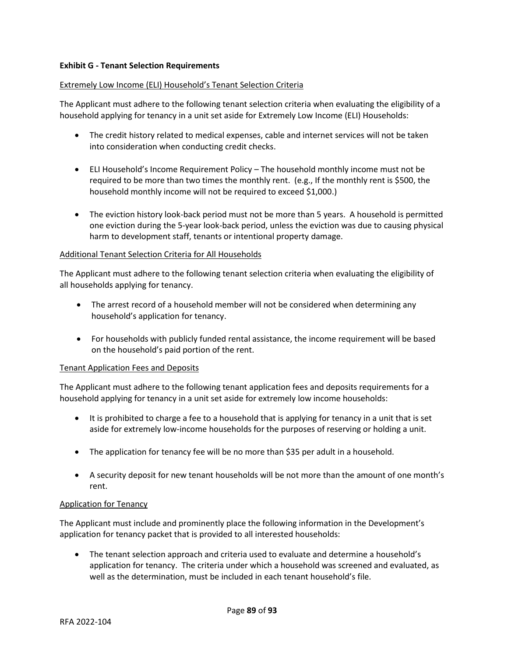## **Exhibit G - Tenant Selection Requirements**

#### Extremely Low Income (ELI) Household's Tenant Selection Criteria

The Applicant must adhere to the following tenant selection criteria when evaluating the eligibility of a household applying for tenancy in a unit set aside for Extremely Low Income (ELI) Households:

- The credit history related to medical expenses, cable and internet services will not be taken into consideration when conducting credit checks.
- ELI Household's Income Requirement Policy The household monthly income must not be required to be more than two times the monthly rent. (e.g., If the monthly rent is \$500, the household monthly income will not be required to exceed \$1,000.)
- The eviction history look-back period must not be more than 5 years. A household is permitted one eviction during the 5-year look-back period, unless the eviction was due to causing physical harm to development staff, tenants or intentional property damage.

#### Additional Tenant Selection Criteria for All Households

The Applicant must adhere to the following tenant selection criteria when evaluating the eligibility of all households applying for tenancy.

- The arrest record of a household member will not be considered when determining any household's application for tenancy.
- For households with publicly funded rental assistance, the income requirement will be based on the household's paid portion of the rent.

#### Tenant Application Fees and Deposits

The Applicant must adhere to the following tenant application fees and deposits requirements for a household applying for tenancy in a unit set aside for extremely low income households:

- It is prohibited to charge a fee to a household that is applying for tenancy in a unit that is set aside for extremely low-income households for the purposes of reserving or holding a unit.
- The application for tenancy fee will be no more than \$35 per adult in a household.
- A security deposit for new tenant households will be not more than the amount of one month's rent.

## Application for Tenancy

The Applicant must include and prominently place the following information in the Development's application for tenancy packet that is provided to all interested households:

• The tenant selection approach and criteria used to evaluate and determine a household's application for tenancy. The criteria under which a household was screened and evaluated, as well as the determination, must be included in each tenant household's file.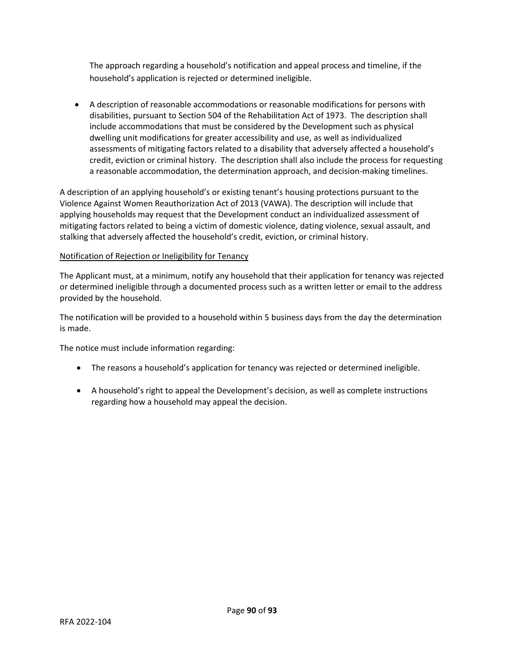The approach regarding a household's notification and appeal process and timeline, if the household's application is rejected or determined ineligible.

• A description of reasonable accommodations or reasonable modifications for persons with disabilities, pursuant to Section 504 of the Rehabilitation Act of 1973. The description shall include accommodations that must be considered by the Development such as physical dwelling unit modifications for greater accessibility and use, as well as individualized assessments of mitigating factors related to a disability that adversely affected a household's credit, eviction or criminal history. The description shall also include the process for requesting a reasonable accommodation, the determination approach, and decision-making timelines.

A description of an applying household's or existing tenant's housing protections pursuant to the Violence Against Women Reauthorization Act of 2013 (VAWA). The description will include that applying households may request that the Development conduct an individualized assessment of mitigating factors related to being a victim of domestic violence, dating violence, sexual assault, and stalking that adversely affected the household's credit, eviction, or criminal history.

# Notification of Rejection or Ineligibility for Tenancy

The Applicant must, at a minimum, notify any household that their application for tenancy was rejected or determined ineligible through a documented process such as a written letter or email to the address provided by the household.

The notification will be provided to a household within 5 business days from the day the determination is made.

The notice must include information regarding:

- The reasons a household's application for tenancy was rejected or determined ineligible.
- A household's right to appeal the Development's decision, as well as complete instructions regarding how a household may appeal the decision.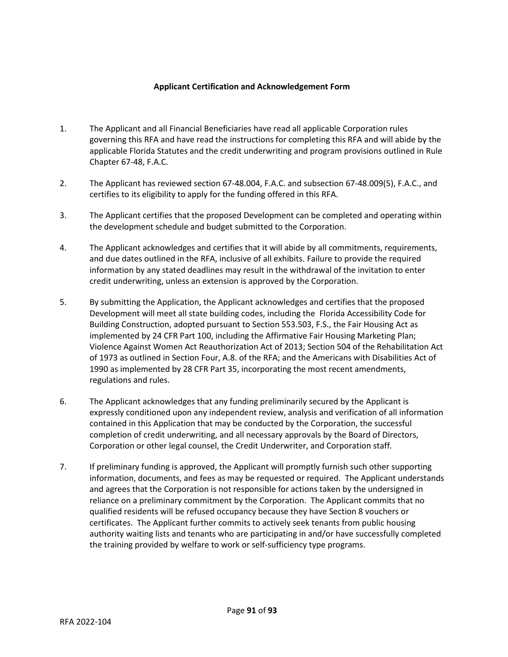## **Applicant Certification and Acknowledgement Form**

- 1. The Applicant and all Financial Beneficiaries have read all applicable Corporation rules governing this RFA and have read the instructions for completing this RFA and will abide by the applicable Florida Statutes and the credit underwriting and program provisions outlined in Rule Chapter 67-48, F.A.C.
- 2. The Applicant has reviewed section 67-48.004, F.A.C. and subsection 67-48.009(5), F.A.C., and certifies to its eligibility to apply for the funding offered in this RFA.
- 3. The Applicant certifies that the proposed Development can be completed and operating within the development schedule and budget submitted to the Corporation.
- 4. The Applicant acknowledges and certifies that it will abide by all commitments, requirements, and due dates outlined in the RFA, inclusive of all exhibits. Failure to provide the required information by any stated deadlines may result in the withdrawal of the invitation to enter credit underwriting, unless an extension is approved by the Corporation.
- 5. By submitting the Application, the Applicant acknowledges and certifies that the proposed Development will meet all state building codes, including the Florida Accessibility Code for Building Construction, adopted pursuant to Section 553.503, F.S., the Fair Housing Act as implemented by 24 CFR Part 100, including the Affirmative Fair Housing Marketing Plan; Violence Against Women Act Reauthorization Act of 2013; Section 504 of the Rehabilitation Act of 1973 as outlined in Section Four, A.8. of the RFA; and the Americans with Disabilities Act of 1990 as implemented by 28 CFR Part 35, incorporating the most recent amendments, regulations and rules.
- 6. The Applicant acknowledges that any funding preliminarily secured by the Applicant is expressly conditioned upon any independent review, analysis and verification of all information contained in this Application that may be conducted by the Corporation, the successful completion of credit underwriting, and all necessary approvals by the Board of Directors, Corporation or other legal counsel, the Credit Underwriter, and Corporation staff.
- 7. If preliminary funding is approved, the Applicant will promptly furnish such other supporting information, documents, and fees as may be requested or required. The Applicant understands and agrees that the Corporation is not responsible for actions taken by the undersigned in reliance on a preliminary commitment by the Corporation. The Applicant commits that no qualified residents will be refused occupancy because they have Section 8 vouchers or certificates. The Applicant further commits to actively seek tenants from public housing authority waiting lists and tenants who are participating in and/or have successfully completed the training provided by welfare to work or self-sufficiency type programs.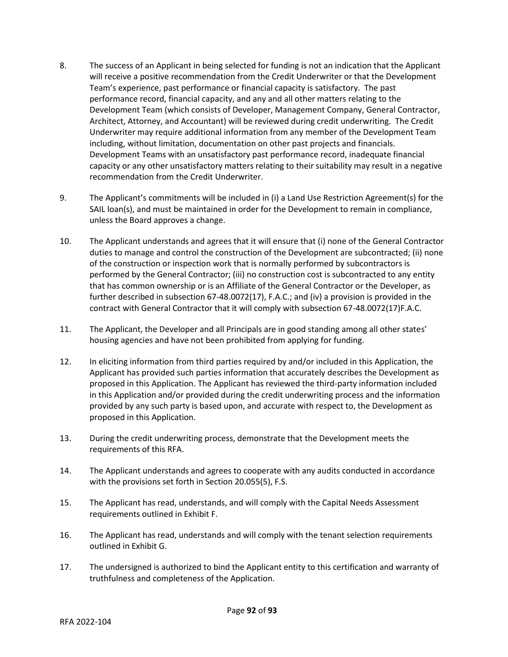- 8. The success of an Applicant in being selected for funding is not an indication that the Applicant will receive a positive recommendation from the Credit Underwriter or that the Development Team's experience, past performance or financial capacity is satisfactory. The past performance record, financial capacity, and any and all other matters relating to the Development Team (which consists of Developer, Management Company, General Contractor, Architect, Attorney, and Accountant) will be reviewed during credit underwriting. The Credit Underwriter may require additional information from any member of the Development Team including, without limitation, documentation on other past projects and financials. Development Teams with an unsatisfactory past performance record, inadequate financial capacity or any other unsatisfactory matters relating to their suitability may result in a negative recommendation from the Credit Underwriter.
- 9. The Applicant's commitments will be included in (i) a Land Use Restriction Agreement(s) for the SAIL loan(s), and must be maintained in order for the Development to remain in compliance, unless the Board approves a change.
- 10. The Applicant understands and agrees that it will ensure that (i) none of the General Contractor duties to manage and control the construction of the Development are subcontracted; (ii) none of the construction or inspection work that is normally performed by subcontractors is performed by the General Contractor; (iii) no construction cost is subcontracted to any entity that has common ownership or is an Affiliate of the General Contractor or the Developer, as further described in subsection 67-48.0072(17), F.A.C.; and (iv) a provision is provided in the contract with General Contractor that it will comply with subsection 67-48.0072(17)F.A.C.
- 11. The Applicant, the Developer and all Principals are in good standing among all other states' housing agencies and have not been prohibited from applying for funding.
- 12. In eliciting information from third parties required by and/or included in this Application, the Applicant has provided such parties information that accurately describes the Development as proposed in this Application. The Applicant has reviewed the third-party information included in this Application and/or provided during the credit underwriting process and the information provided by any such party is based upon, and accurate with respect to, the Development as proposed in this Application.
- 13. During the credit underwriting process, demonstrate that the Development meets the requirements of this RFA.
- 14. The Applicant understands and agrees to cooperate with any audits conducted in accordance with the provisions set forth in Section 20.055(5), F.S.
- 15. The Applicant has read, understands, and will comply with the Capital Needs Assessment requirements outlined in Exhibit F.
- 16. The Applicant has read, understands and will comply with the tenant selection requirements outlined in Exhibit G.
- 17. The undersigned is authorized to bind the Applicant entity to this certification and warranty of truthfulness and completeness of the Application.